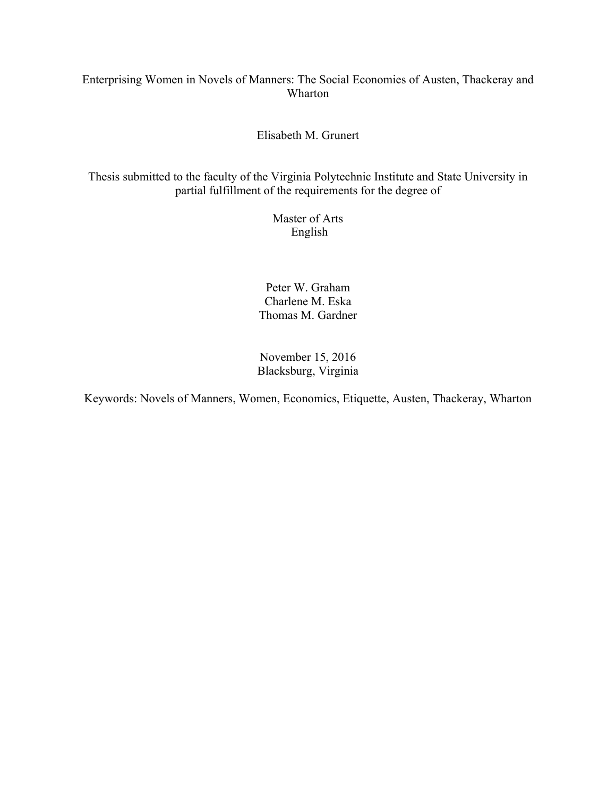# Enterprising Women in Novels of Manners: The Social Economies of Austen, Thackeray and Wharton

# Elisabeth M. Grunert

Thesis submitted to the faculty of the Virginia Polytechnic Institute and State University in partial fulfillment of the requirements for the degree of

> Master of Arts English

Peter W. Graham Charlene M. Eska Thomas M. Gardner

November 15, 2016 Blacksburg, Virginia

Keywords: Novels of Manners, Women, Economics, Etiquette, Austen, Thackeray, Wharton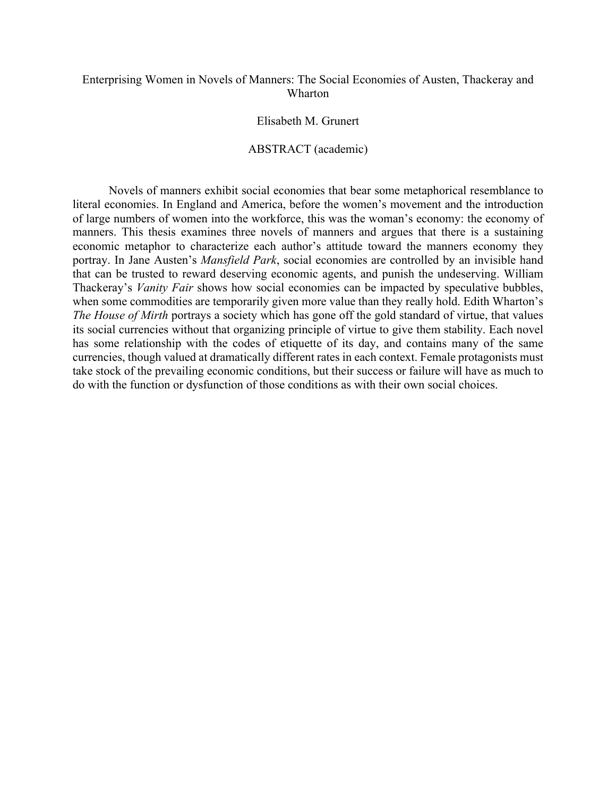## Enterprising Women in Novels of Manners: The Social Economies of Austen, Thackeray and Wharton

#### Elisabeth M. Grunert

#### ABSTRACT (academic)

Novels of manners exhibit social economies that bear some metaphorical resemblance to literal economies. In England and America, before the women's movement and the introduction of large numbers of women into the workforce, this was the woman's economy: the economy of manners. This thesis examines three novels of manners and argues that there is a sustaining economic metaphor to characterize each author's attitude toward the manners economy they portray. In Jane Austen's *Mansfield Park*, social economies are controlled by an invisible hand that can be trusted to reward deserving economic agents, and punish the undeserving. William Thackeray's *Vanity Fair* shows how social economies can be impacted by speculative bubbles, when some commodities are temporarily given more value than they really hold. Edith Wharton's *The House of Mirth* portrays a society which has gone off the gold standard of virtue, that values its social currencies without that organizing principle of virtue to give them stability. Each novel has some relationship with the codes of etiquette of its day, and contains many of the same currencies, though valued at dramatically different rates in each context. Female protagonists must take stock of the prevailing economic conditions, but their success or failure will have as much to do with the function or dysfunction of those conditions as with their own social choices.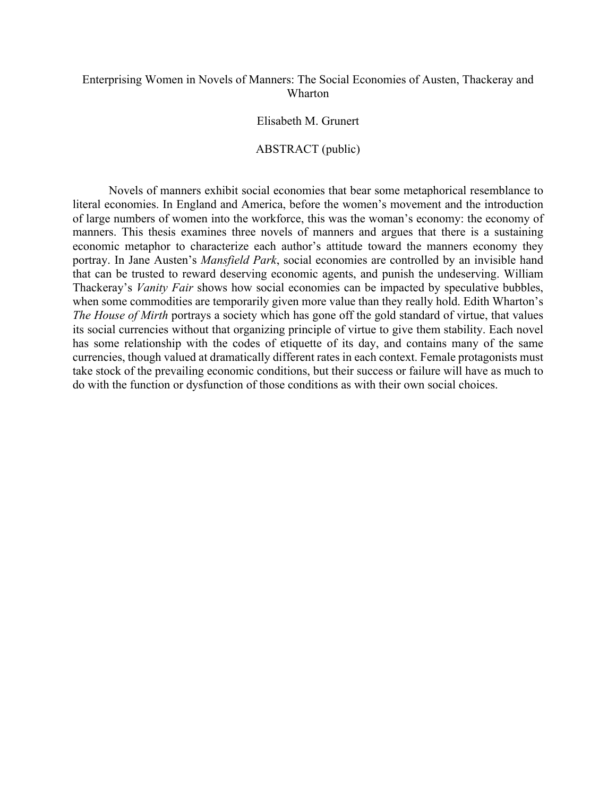## Enterprising Women in Novels of Manners: The Social Economies of Austen, Thackeray and Wharton

## Elisabeth M. Grunert

## ABSTRACT (public)

Novels of manners exhibit social economies that bear some metaphorical resemblance to literal economies. In England and America, before the women's movement and the introduction of large numbers of women into the workforce, this was the woman's economy: the economy of manners. This thesis examines three novels of manners and argues that there is a sustaining economic metaphor to characterize each author's attitude toward the manners economy they portray. In Jane Austen's *Mansfield Park*, social economies are controlled by an invisible hand that can be trusted to reward deserving economic agents, and punish the undeserving. William Thackeray's *Vanity Fair* shows how social economies can be impacted by speculative bubbles, when some commodities are temporarily given more value than they really hold. Edith Wharton's *The House of Mirth* portrays a society which has gone off the gold standard of virtue, that values its social currencies without that organizing principle of virtue to give them stability. Each novel has some relationship with the codes of etiquette of its day, and contains many of the same currencies, though valued at dramatically different rates in each context. Female protagonists must take stock of the prevailing economic conditions, but their success or failure will have as much to do with the function or dysfunction of those conditions as with their own social choices.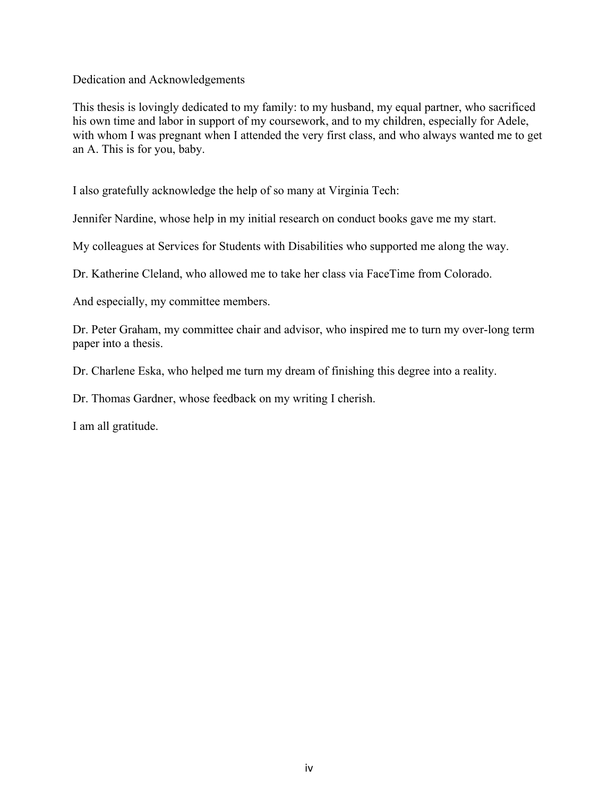Dedication and Acknowledgements

This thesis is lovingly dedicated to my family: to my husband, my equal partner, who sacrificed his own time and labor in support of my coursework, and to my children, especially for Adele, with whom I was pregnant when I attended the very first class, and who always wanted me to get an A. This is for you, baby.

I also gratefully acknowledge the help of so many at Virginia Tech:

Jennifer Nardine, whose help in my initial research on conduct books gave me my start.

My colleagues at Services for Students with Disabilities who supported me along the way.

Dr. Katherine Cleland, who allowed me to take her class via FaceTime from Colorado.

And especially, my committee members.

Dr. Peter Graham, my committee chair and advisor, who inspired me to turn my over-long term paper into a thesis.

Dr. Charlene Eska, who helped me turn my dream of finishing this degree into a reality.

Dr. Thomas Gardner, whose feedback on my writing I cherish.

I am all gratitude.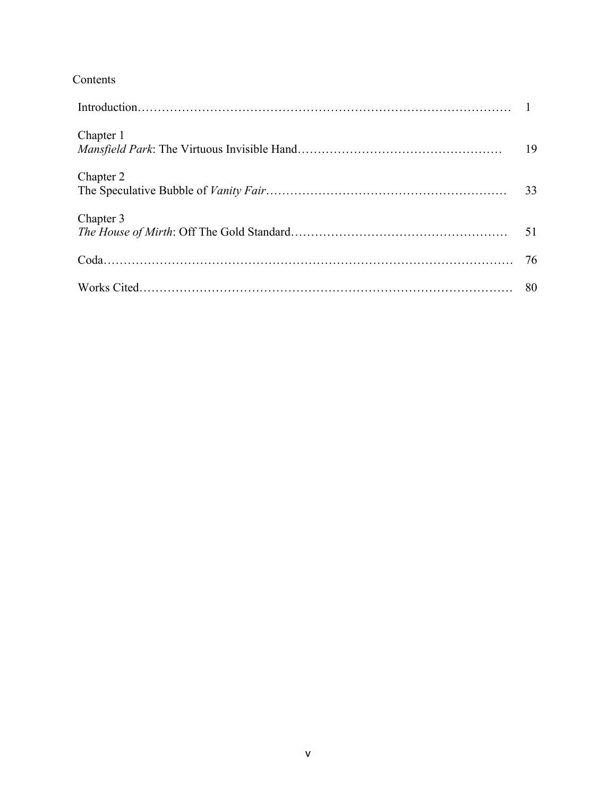# Contents

| Chapter 1 | 19 |
|-----------|----|
| Chapter 2 | 33 |
| Chapter 3 | 51 |
|           |    |
|           |    |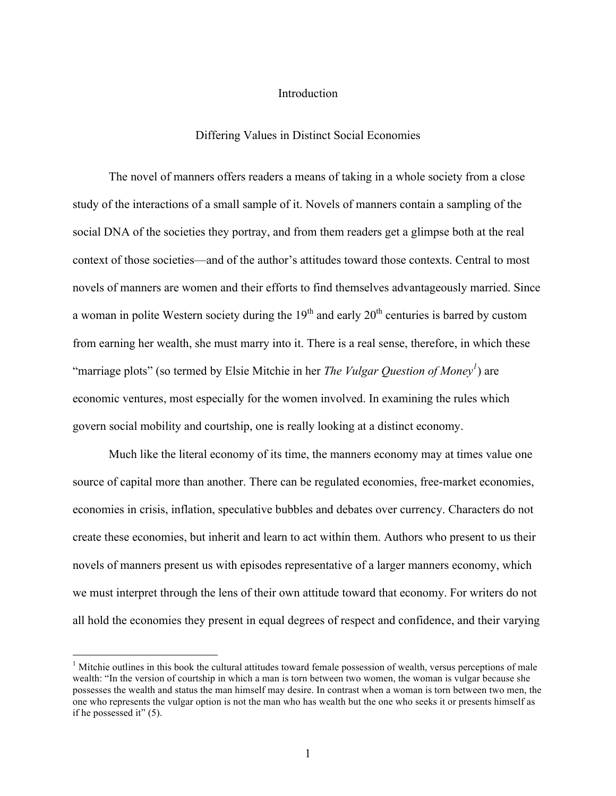#### Introduction

#### Differing Values in Distinct Social Economies

The novel of manners offers readers a means of taking in a whole society from a close study of the interactions of a small sample of it. Novels of manners contain a sampling of the social DNA of the societies they portray, and from them readers get a glimpse both at the real context of those societies—and of the author's attitudes toward those contexts. Central to most novels of manners are women and their efforts to find themselves advantageously married. Since a woman in polite Western society during the  $19<sup>th</sup>$  and early  $20<sup>th</sup>$  centuries is barred by custom from earning her wealth, she must marry into it. There is a real sense, therefore, in which these "marriage plots" (so termed by Elsie Mitchie in her *The Vulgar Question of Money*<sup>1</sup>) are economic ventures, most especially for the women involved. In examining the rules which govern social mobility and courtship, one is really looking at a distinct economy.

Much like the literal economy of its time, the manners economy may at times value one source of capital more than another. There can be regulated economies, free-market economies, economies in crisis, inflation, speculative bubbles and debates over currency. Characters do not create these economies, but inherit and learn to act within them. Authors who present to us their novels of manners present us with episodes representative of a larger manners economy, which we must interpret through the lens of their own attitude toward that economy. For writers do not all hold the economies they present in equal degrees of respect and confidence, and their varying

<sup>&</sup>lt;sup>1</sup> Mitchie outlines in this book the cultural attitudes toward female possession of wealth, versus perceptions of male wealth: "In the version of courtship in which a man is torn between two women, the woman is vulgar because she possesses the wealth and status the man himself may desire. In contrast when a woman is torn between two men, the one who represents the vulgar option is not the man who has wealth but the one who seeks it or presents himself as if he possessed it" (5).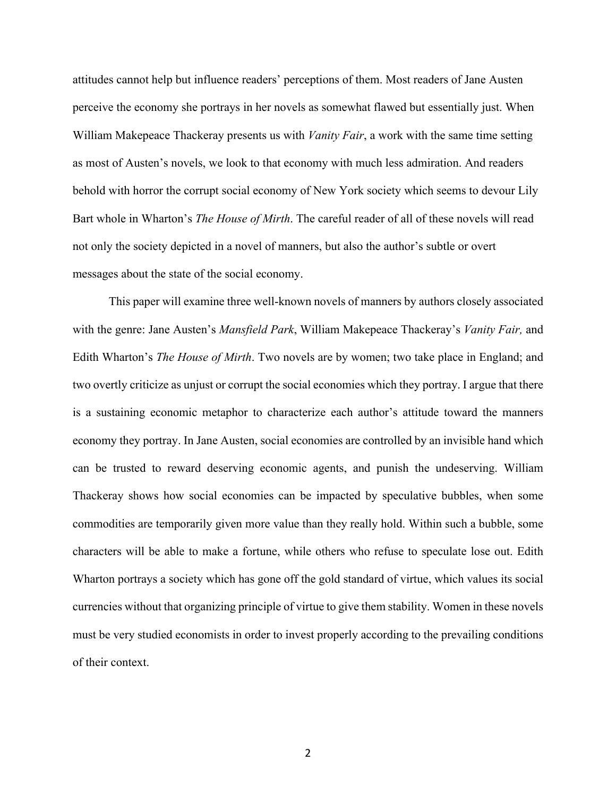attitudes cannot help but influence readers' perceptions of them. Most readers of Jane Austen perceive the economy she portrays in her novels as somewhat flawed but essentially just. When William Makepeace Thackeray presents us with *Vanity Fair*, a work with the same time setting as most of Austen's novels, we look to that economy with much less admiration. And readers behold with horror the corrupt social economy of New York society which seems to devour Lily Bart whole in Wharton's *The House of Mirth*. The careful reader of all of these novels will read not only the society depicted in a novel of manners, but also the author's subtle or overt messages about the state of the social economy.

This paper will examine three well-known novels of manners by authors closely associated with the genre: Jane Austen's *Mansfield Park*, William Makepeace Thackeray's *Vanity Fair,* and Edith Wharton's *The House of Mirth*. Two novels are by women; two take place in England; and two overtly criticize as unjust or corrupt the social economies which they portray. I argue that there is a sustaining economic metaphor to characterize each author's attitude toward the manners economy they portray. In Jane Austen, social economies are controlled by an invisible hand which can be trusted to reward deserving economic agents, and punish the undeserving. William Thackeray shows how social economies can be impacted by speculative bubbles, when some commodities are temporarily given more value than they really hold. Within such a bubble, some characters will be able to make a fortune, while others who refuse to speculate lose out. Edith Wharton portrays a society which has gone off the gold standard of virtue, which values its social currencies without that organizing principle of virtue to give them stability. Women in these novels must be very studied economists in order to invest properly according to the prevailing conditions of their context.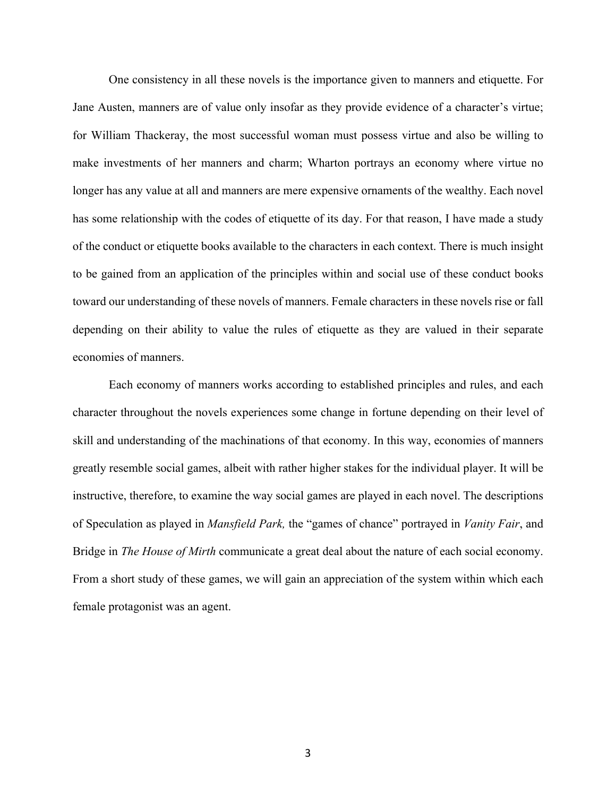One consistency in all these novels is the importance given to manners and etiquette. For Jane Austen, manners are of value only insofar as they provide evidence of a character's virtue; for William Thackeray, the most successful woman must possess virtue and also be willing to make investments of her manners and charm; Wharton portrays an economy where virtue no longer has any value at all and manners are mere expensive ornaments of the wealthy. Each novel has some relationship with the codes of etiquette of its day. For that reason, I have made a study of the conduct or etiquette books available to the characters in each context. There is much insight to be gained from an application of the principles within and social use of these conduct books toward our understanding of these novels of manners. Female characters in these novels rise or fall depending on their ability to value the rules of etiquette as they are valued in their separate economies of manners.

Each economy of manners works according to established principles and rules, and each character throughout the novels experiences some change in fortune depending on their level of skill and understanding of the machinations of that economy. In this way, economies of manners greatly resemble social games, albeit with rather higher stakes for the individual player. It will be instructive, therefore, to examine the way social games are played in each novel. The descriptions of Speculation as played in *Mansfield Park,* the "games of chance" portrayed in *Vanity Fair*, and Bridge in *The House of Mirth* communicate a great deal about the nature of each social economy. From a short study of these games, we will gain an appreciation of the system within which each female protagonist was an agent.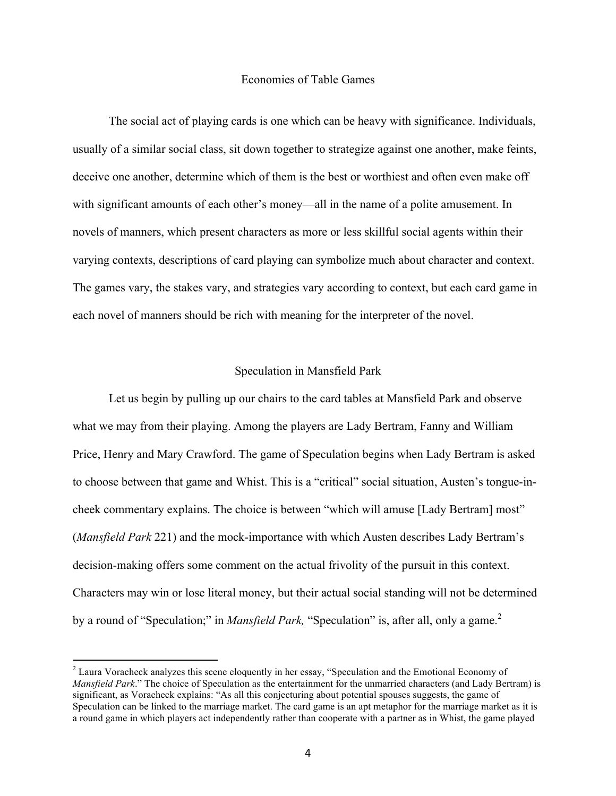#### Economies of Table Games

The social act of playing cards is one which can be heavy with significance. Individuals, usually of a similar social class, sit down together to strategize against one another, make feints, deceive one another, determine which of them is the best or worthiest and often even make off with significant amounts of each other's money—all in the name of a polite amusement. In novels of manners, which present characters as more or less skillful social agents within their varying contexts, descriptions of card playing can symbolize much about character and context. The games vary, the stakes vary, and strategies vary according to context, but each card game in each novel of manners should be rich with meaning for the interpreter of the novel.

#### Speculation in Mansfield Park

Let us begin by pulling up our chairs to the card tables at Mansfield Park and observe what we may from their playing. Among the players are Lady Bertram, Fanny and William Price, Henry and Mary Crawford. The game of Speculation begins when Lady Bertram is asked to choose between that game and Whist. This is a "critical" social situation, Austen's tongue-incheek commentary explains. The choice is between "which will amuse [Lady Bertram] most" (*Mansfield Park* 221) and the mock-importance with which Austen describes Lady Bertram's decision-making offers some comment on the actual frivolity of the pursuit in this context. Characters may win or lose literal money, but their actual social standing will not be determined by a round of "Speculation;" in *Mansfield Park*, "Speculation" is, after all, only a game.<sup>2</sup>

<sup>&</sup>lt;sup>2</sup> Laura Voracheck analyzes this scene eloquently in her essay, "Speculation and the Emotional Economy of *Mansfield Park*." The choice of Speculation as the entertainment for the unmarried characters (and Lady Bertram) is significant, as Voracheck explains: "As all this conjecturing about potential spouses suggests, the game of Speculation can be linked to the marriage market. The card game is an apt metaphor for the marriage market as it is a round game in which players act independently rather than cooperate with a partner as in Whist, the game played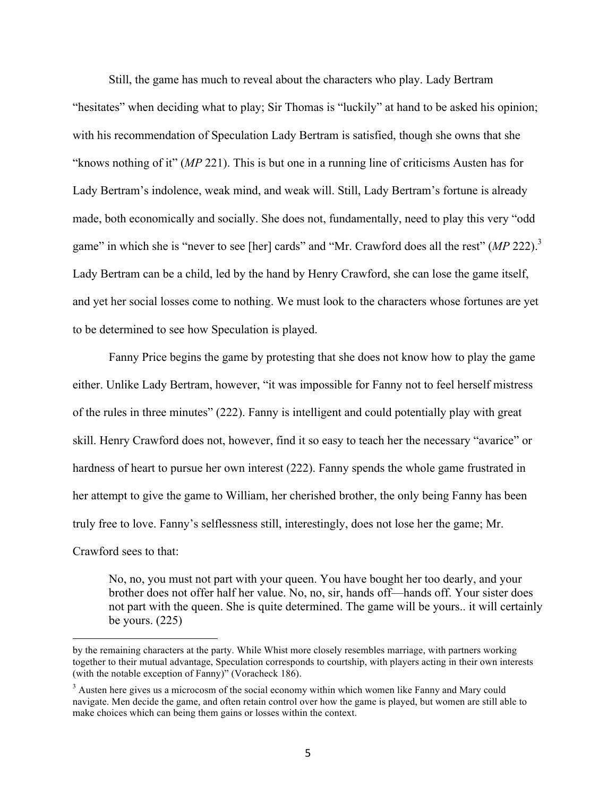Still, the game has much to reveal about the characters who play. Lady Bertram "hesitates" when deciding what to play; Sir Thomas is "luckily" at hand to be asked his opinion; with his recommendation of Speculation Lady Bertram is satisfied, though she owns that she "knows nothing of it" (*MP* 221). This is but one in a running line of criticisms Austen has for Lady Bertram's indolence, weak mind, and weak will. Still, Lady Bertram's fortune is already made, both economically and socially. She does not, fundamentally, need to play this very "odd game" in which she is "never to see [her] cards" and "Mr. Crawford does all the rest" (*MP* 222). 3 Lady Bertram can be a child, led by the hand by Henry Crawford, she can lose the game itself, and yet her social losses come to nothing. We must look to the characters whose fortunes are yet to be determined to see how Speculation is played.

Fanny Price begins the game by protesting that she does not know how to play the game either. Unlike Lady Bertram, however, "it was impossible for Fanny not to feel herself mistress of the rules in three minutes" (222). Fanny is intelligent and could potentially play with great skill. Henry Crawford does not, however, find it so easy to teach her the necessary "avarice" or hardness of heart to pursue her own interest (222). Fanny spends the whole game frustrated in her attempt to give the game to William, her cherished brother, the only being Fanny has been truly free to love. Fanny's selflessness still, interestingly, does not lose her the game; Mr. Crawford sees to that:

No, no, you must not part with your queen. You have bought her too dearly, and your brother does not offer half her value. No, no, sir, hands off—hands off. Your sister does not part with the queen. She is quite determined. The game will be yours.. it will certainly be yours. (225)

by the remaining characters at the party. While Whist more closely resembles marriage, with partners working together to their mutual advantage, Speculation corresponds to courtship, with players acting in their own interests (with the notable exception of Fanny)" (Voracheck 186).

<sup>&</sup>lt;sup>3</sup> Austen here gives us a microcosm of the social economy within which women like Fanny and Mary could navigate. Men decide the game, and often retain control over how the game is played, but women are still able to make choices which can being them gains or losses within the context.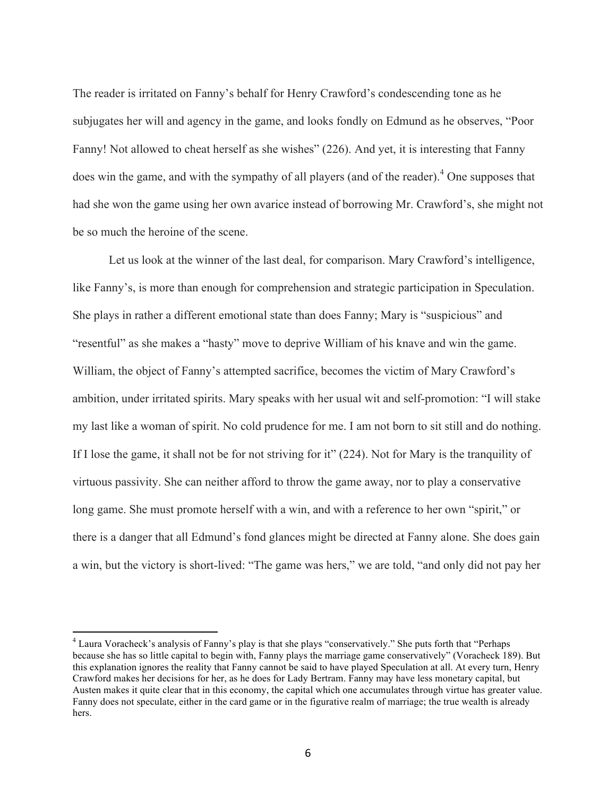The reader is irritated on Fanny's behalf for Henry Crawford's condescending tone as he subjugates her will and agency in the game, and looks fondly on Edmund as he observes, "Poor Fanny! Not allowed to cheat herself as she wishes" (226). And yet, it is interesting that Fanny does win the game, and with the sympathy of all players (and of the reader).<sup>4</sup> One supposes that had she won the game using her own avarice instead of borrowing Mr. Crawford's, she might not be so much the heroine of the scene.

Let us look at the winner of the last deal, for comparison. Mary Crawford's intelligence, like Fanny's, is more than enough for comprehension and strategic participation in Speculation. She plays in rather a different emotional state than does Fanny; Mary is "suspicious" and "resentful" as she makes a "hasty" move to deprive William of his knave and win the game. William, the object of Fanny's attempted sacrifice, becomes the victim of Mary Crawford's ambition, under irritated spirits. Mary speaks with her usual wit and self-promotion: "I will stake my last like a woman of spirit. No cold prudence for me. I am not born to sit still and do nothing. If I lose the game, it shall not be for not striving for it" (224). Not for Mary is the tranquility of virtuous passivity. She can neither afford to throw the game away, nor to play a conservative long game. She must promote herself with a win, and with a reference to her own "spirit," or there is a danger that all Edmund's fond glances might be directed at Fanny alone. She does gain a win, but the victory is short-lived: "The game was hers," we are told, "and only did not pay her

 <sup>4</sup> Laura Voracheck's analysis of Fanny's play is that she plays "conservatively." She puts forth that "Perhaps because she has so little capital to begin with, Fanny plays the marriage game conservatively" (Voracheck 189). But this explanation ignores the reality that Fanny cannot be said to have played Speculation at all. At every turn, Henry Crawford makes her decisions for her, as he does for Lady Bertram. Fanny may have less monetary capital, but Austen makes it quite clear that in this economy, the capital which one accumulates through virtue has greater value. Fanny does not speculate, either in the card game or in the figurative realm of marriage; the true wealth is already hers.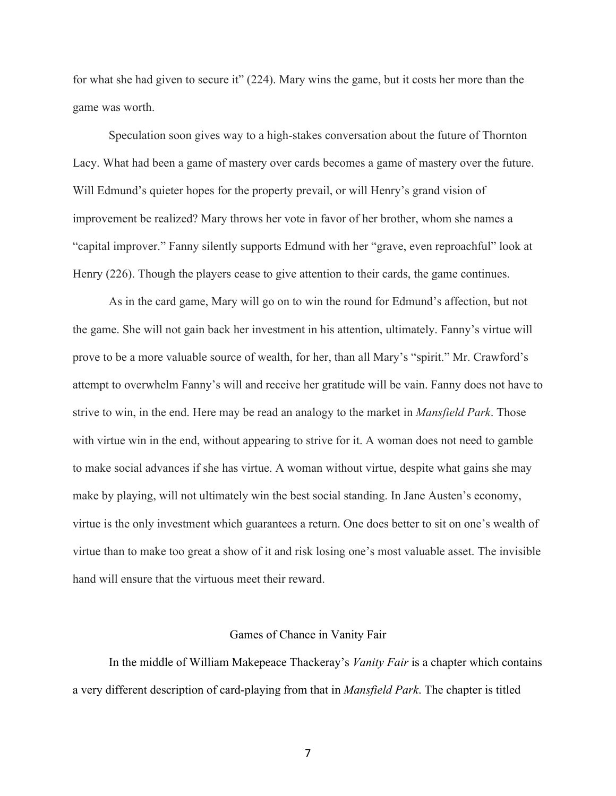for what she had given to secure it" (224). Mary wins the game, but it costs her more than the game was worth.

Speculation soon gives way to a high-stakes conversation about the future of Thornton Lacy. What had been a game of mastery over cards becomes a game of mastery over the future. Will Edmund's quieter hopes for the property prevail, or will Henry's grand vision of improvement be realized? Mary throws her vote in favor of her brother, whom she names a "capital improver." Fanny silently supports Edmund with her "grave, even reproachful" look at Henry (226). Though the players cease to give attention to their cards, the game continues.

As in the card game, Mary will go on to win the round for Edmund's affection, but not the game. She will not gain back her investment in his attention, ultimately. Fanny's virtue will prove to be a more valuable source of wealth, for her, than all Mary's "spirit." Mr. Crawford's attempt to overwhelm Fanny's will and receive her gratitude will be vain. Fanny does not have to strive to win, in the end. Here may be read an analogy to the market in *Mansfield Park*. Those with virtue win in the end, without appearing to strive for it. A woman does not need to gamble to make social advances if she has virtue. A woman without virtue, despite what gains she may make by playing, will not ultimately win the best social standing. In Jane Austen's economy, virtue is the only investment which guarantees a return. One does better to sit on one's wealth of virtue than to make too great a show of it and risk losing one's most valuable asset. The invisible hand will ensure that the virtuous meet their reward.

#### Games of Chance in Vanity Fair

In the middle of William Makepeace Thackeray's *Vanity Fair* is a chapter which contains a very different description of card-playing from that in *Mansfield Park*. The chapter is titled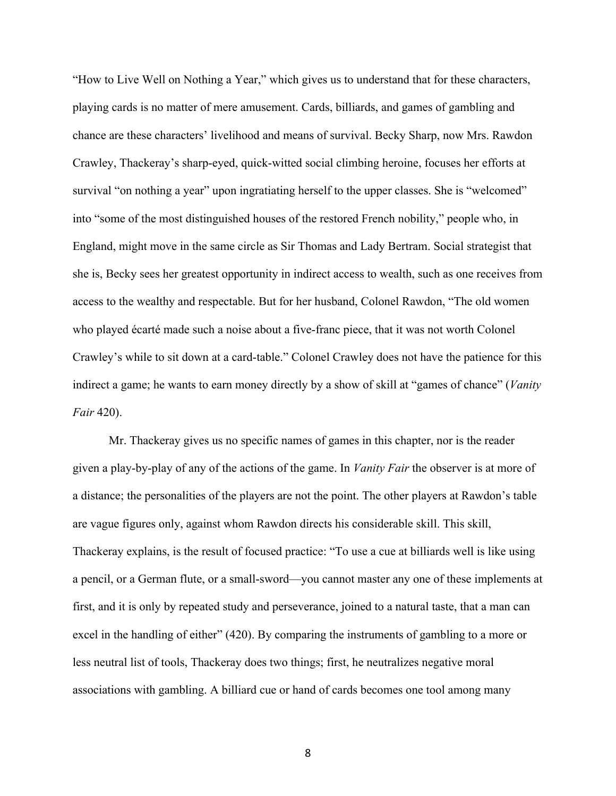"How to Live Well on Nothing a Year," which gives us to understand that for these characters, playing cards is no matter of mere amusement. Cards, billiards, and games of gambling and chance are these characters' livelihood and means of survival. Becky Sharp, now Mrs. Rawdon Crawley, Thackeray's sharp-eyed, quick-witted social climbing heroine, focuses her efforts at survival "on nothing a year" upon ingratiating herself to the upper classes. She is "welcomed" into "some of the most distinguished houses of the restored French nobility," people who, in England, might move in the same circle as Sir Thomas and Lady Bertram. Social strategist that she is, Becky sees her greatest opportunity in indirect access to wealth, such as one receives from access to the wealthy and respectable. But for her husband, Colonel Rawdon, "The old women who played écarté made such a noise about a five-franc piece, that it was not worth Colonel Crawley's while to sit down at a card-table." Colonel Crawley does not have the patience for this indirect a game; he wants to earn money directly by a show of skill at "games of chance" (*Vanity Fair* 420).

Mr. Thackeray gives us no specific names of games in this chapter, nor is the reader given a play-by-play of any of the actions of the game. In *Vanity Fair* the observer is at more of a distance; the personalities of the players are not the point. The other players at Rawdon's table are vague figures only, against whom Rawdon directs his considerable skill. This skill, Thackeray explains, is the result of focused practice: "To use a cue at billiards well is like using a pencil, or a German flute, or a small-sword—you cannot master any one of these implements at first, and it is only by repeated study and perseverance, joined to a natural taste, that a man can excel in the handling of either" (420). By comparing the instruments of gambling to a more or less neutral list of tools, Thackeray does two things; first, he neutralizes negative moral associations with gambling. A billiard cue or hand of cards becomes one tool among many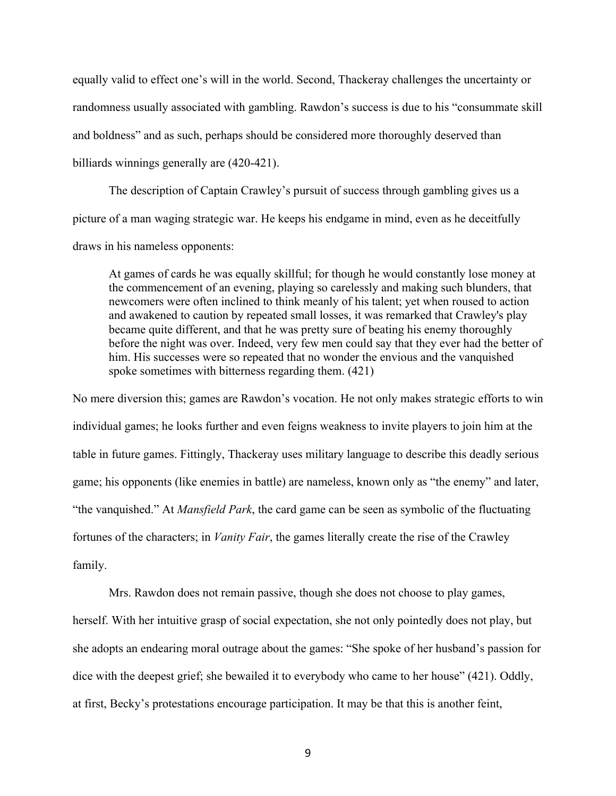equally valid to effect one's will in the world. Second, Thackeray challenges the uncertainty or randomness usually associated with gambling. Rawdon's success is due to his "consummate skill and boldness" and as such, perhaps should be considered more thoroughly deserved than billiards winnings generally are (420-421).

The description of Captain Crawley's pursuit of success through gambling gives us a picture of a man waging strategic war. He keeps his endgame in mind, even as he deceitfully draws in his nameless opponents:

At games of cards he was equally skillful; for though he would constantly lose money at the commencement of an evening, playing so carelessly and making such blunders, that newcomers were often inclined to think meanly of his talent; yet when roused to action and awakened to caution by repeated small losses, it was remarked that Crawley's play became quite different, and that he was pretty sure of beating his enemy thoroughly before the night was over. Indeed, very few men could say that they ever had the better of him. His successes were so repeated that no wonder the envious and the vanquished spoke sometimes with bitterness regarding them. (421)

No mere diversion this; games are Rawdon's vocation. He not only makes strategic efforts to win individual games; he looks further and even feigns weakness to invite players to join him at the table in future games. Fittingly, Thackeray uses military language to describe this deadly serious game; his opponents (like enemies in battle) are nameless, known only as "the enemy" and later, "the vanquished." At *Mansfield Park*, the card game can be seen as symbolic of the fluctuating fortunes of the characters; in *Vanity Fair*, the games literally create the rise of the Crawley family.

Mrs. Rawdon does not remain passive, though she does not choose to play games, herself. With her intuitive grasp of social expectation, she not only pointedly does not play, but she adopts an endearing moral outrage about the games: "She spoke of her husband's passion for dice with the deepest grief; she bewailed it to everybody who came to her house" (421). Oddly, at first, Becky's protestations encourage participation. It may be that this is another feint,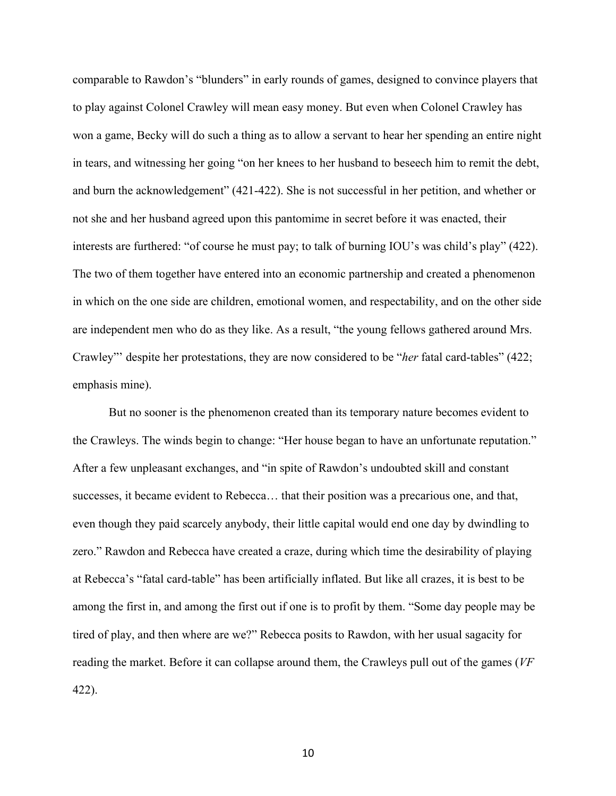comparable to Rawdon's "blunders" in early rounds of games, designed to convince players that to play against Colonel Crawley will mean easy money. But even when Colonel Crawley has won a game, Becky will do such a thing as to allow a servant to hear her spending an entire night in tears, and witnessing her going "on her knees to her husband to beseech him to remit the debt, and burn the acknowledgement" (421-422). She is not successful in her petition, and whether or not she and her husband agreed upon this pantomime in secret before it was enacted, their interests are furthered: "of course he must pay; to talk of burning IOU's was child's play" (422). The two of them together have entered into an economic partnership and created a phenomenon in which on the one side are children, emotional women, and respectability, and on the other side are independent men who do as they like. As a result, "the young fellows gathered around Mrs. Crawley"' despite her protestations, they are now considered to be "*her* fatal card-tables" (422; emphasis mine).

But no sooner is the phenomenon created than its temporary nature becomes evident to the Crawleys. The winds begin to change: "Her house began to have an unfortunate reputation." After a few unpleasant exchanges, and "in spite of Rawdon's undoubted skill and constant successes, it became evident to Rebecca… that their position was a precarious one, and that, even though they paid scarcely anybody, their little capital would end one day by dwindling to zero." Rawdon and Rebecca have created a craze, during which time the desirability of playing at Rebecca's "fatal card-table" has been artificially inflated. But like all crazes, it is best to be among the first in, and among the first out if one is to profit by them. "Some day people may be tired of play, and then where are we?" Rebecca posits to Rawdon, with her usual sagacity for reading the market. Before it can collapse around them, the Crawleys pull out of the games (*VF* 422).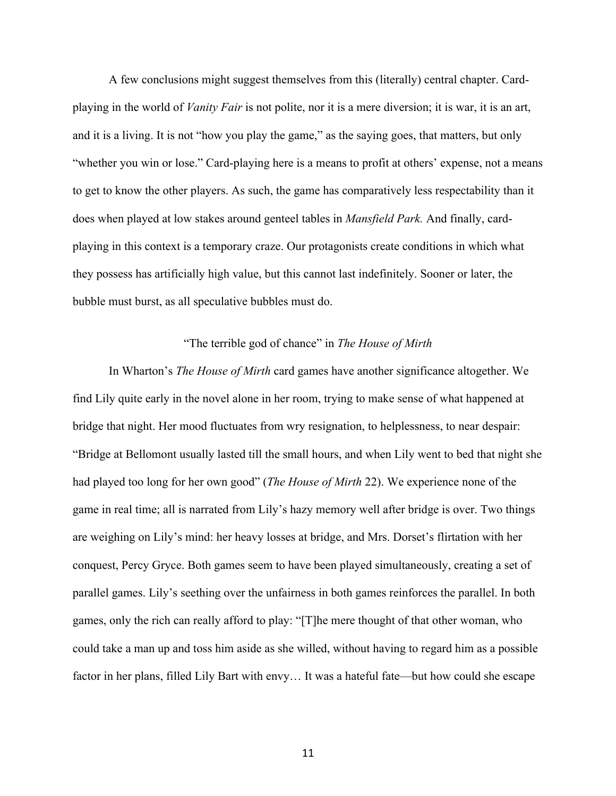A few conclusions might suggest themselves from this (literally) central chapter. Cardplaying in the world of *Vanity Fair* is not polite, nor it is a mere diversion; it is war, it is an art, and it is a living. It is not "how you play the game," as the saying goes, that matters, but only "whether you win or lose." Card-playing here is a means to profit at others' expense, not a means to get to know the other players. As such, the game has comparatively less respectability than it does when played at low stakes around genteel tables in *Mansfield Park.* And finally, cardplaying in this context is a temporary craze. Our protagonists create conditions in which what they possess has artificially high value, but this cannot last indefinitely. Sooner or later, the bubble must burst, as all speculative bubbles must do.

## "The terrible god of chance" in *The House of Mirth*

In Wharton's *The House of Mirth* card games have another significance altogether. We find Lily quite early in the novel alone in her room, trying to make sense of what happened at bridge that night. Her mood fluctuates from wry resignation, to helplessness, to near despair: "Bridge at Bellomont usually lasted till the small hours, and when Lily went to bed that night she had played too long for her own good" (*The House of Mirth* 22). We experience none of the game in real time; all is narrated from Lily's hazy memory well after bridge is over. Two things are weighing on Lily's mind: her heavy losses at bridge, and Mrs. Dorset's flirtation with her conquest, Percy Gryce. Both games seem to have been played simultaneously, creating a set of parallel games. Lily's seething over the unfairness in both games reinforces the parallel. In both games, only the rich can really afford to play: "[T]he mere thought of that other woman, who could take a man up and toss him aside as she willed, without having to regard him as a possible factor in her plans, filled Lily Bart with envy… It was a hateful fate—but how could she escape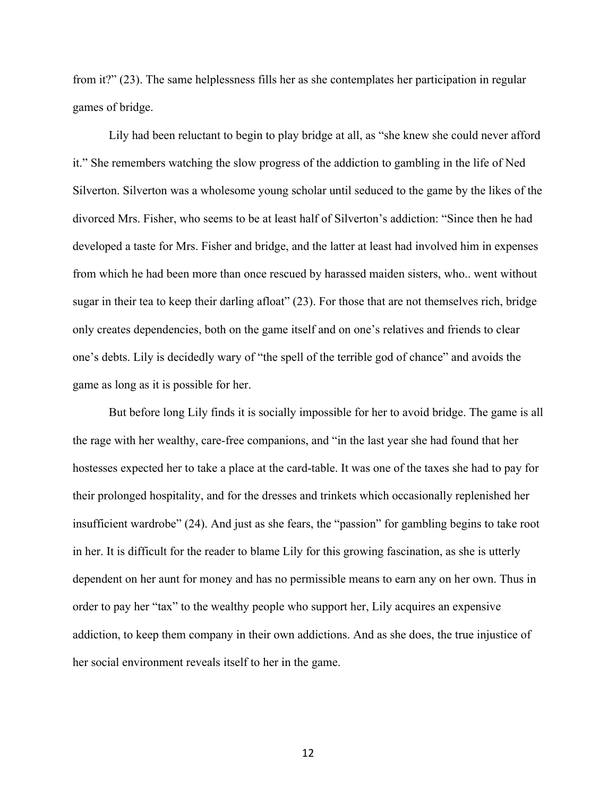from it?" (23). The same helplessness fills her as she contemplates her participation in regular games of bridge.

Lily had been reluctant to begin to play bridge at all, as "she knew she could never afford it." She remembers watching the slow progress of the addiction to gambling in the life of Ned Silverton. Silverton was a wholesome young scholar until seduced to the game by the likes of the divorced Mrs. Fisher, who seems to be at least half of Silverton's addiction: "Since then he had developed a taste for Mrs. Fisher and bridge, and the latter at least had involved him in expenses from which he had been more than once rescued by harassed maiden sisters, who.. went without sugar in their tea to keep their darling afloat" (23). For those that are not themselves rich, bridge only creates dependencies, both on the game itself and on one's relatives and friends to clear one's debts. Lily is decidedly wary of "the spell of the terrible god of chance" and avoids the game as long as it is possible for her.

But before long Lily finds it is socially impossible for her to avoid bridge. The game is all the rage with her wealthy, care-free companions, and "in the last year she had found that her hostesses expected her to take a place at the card-table. It was one of the taxes she had to pay for their prolonged hospitality, and for the dresses and trinkets which occasionally replenished her insufficient wardrobe" (24). And just as she fears, the "passion" for gambling begins to take root in her. It is difficult for the reader to blame Lily for this growing fascination, as she is utterly dependent on her aunt for money and has no permissible means to earn any on her own. Thus in order to pay her "tax" to the wealthy people who support her, Lily acquires an expensive addiction, to keep them company in their own addictions. And as she does, the true injustice of her social environment reveals itself to her in the game.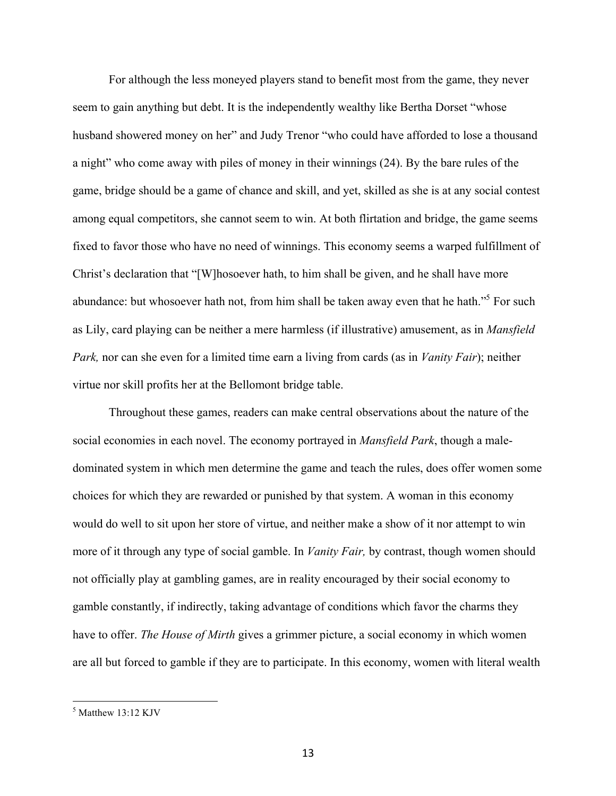For although the less moneyed players stand to benefit most from the game, they never seem to gain anything but debt. It is the independently wealthy like Bertha Dorset "whose husband showered money on her" and Judy Trenor "who could have afforded to lose a thousand a night" who come away with piles of money in their winnings (24). By the bare rules of the game, bridge should be a game of chance and skill, and yet, skilled as she is at any social contest among equal competitors, she cannot seem to win. At both flirtation and bridge, the game seems fixed to favor those who have no need of winnings. This economy seems a warped fulfillment of Christ's declaration that "[W]hosoever hath, to him shall be given, and he shall have more abundance: but whosoever hath not, from him shall be taken away even that he hath."<sup>5</sup> For such as Lily, card playing can be neither a mere harmless (if illustrative) amusement, as in *Mansfield Park,* nor can she even for a limited time earn a living from cards (as in *Vanity Fair*); neither virtue nor skill profits her at the Bellomont bridge table.

Throughout these games, readers can make central observations about the nature of the social economies in each novel. The economy portrayed in *Mansfield Park*, though a maledominated system in which men determine the game and teach the rules, does offer women some choices for which they are rewarded or punished by that system. A woman in this economy would do well to sit upon her store of virtue, and neither make a show of it nor attempt to win more of it through any type of social gamble. In *Vanity Fair,* by contrast, though women should not officially play at gambling games, are in reality encouraged by their social economy to gamble constantly, if indirectly, taking advantage of conditions which favor the charms they have to offer. *The House of Mirth* gives a grimmer picture, a social economy in which women are all but forced to gamble if they are to participate. In this economy, women with literal wealth

 $<sup>5</sup>$  Matthew 13:12 KJV</sup>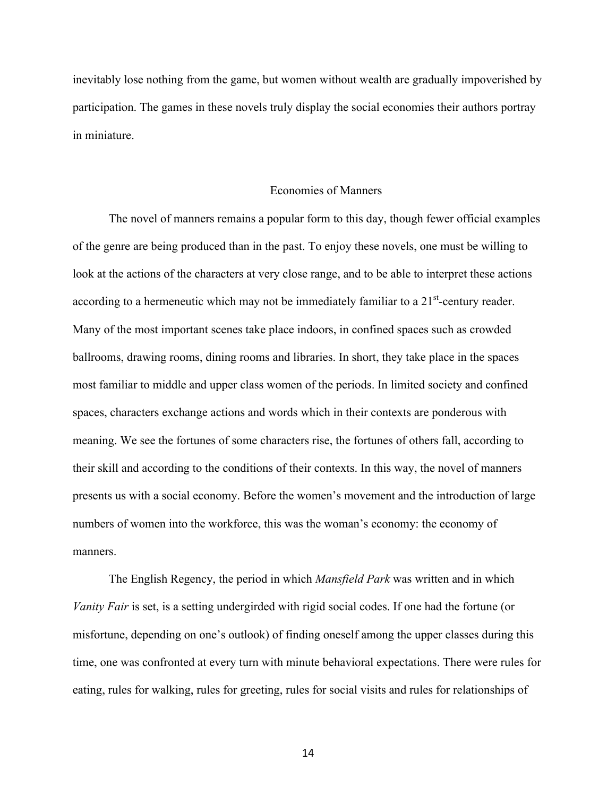inevitably lose nothing from the game, but women without wealth are gradually impoverished by participation. The games in these novels truly display the social economies their authors portray in miniature.

#### Economies of Manners

The novel of manners remains a popular form to this day, though fewer official examples of the genre are being produced than in the past. To enjoy these novels, one must be willing to look at the actions of the characters at very close range, and to be able to interpret these actions according to a hermeneutic which may not be immediately familiar to a  $21<sup>st</sup>$ -century reader. Many of the most important scenes take place indoors, in confined spaces such as crowded ballrooms, drawing rooms, dining rooms and libraries. In short, they take place in the spaces most familiar to middle and upper class women of the periods. In limited society and confined spaces, characters exchange actions and words which in their contexts are ponderous with meaning. We see the fortunes of some characters rise, the fortunes of others fall, according to their skill and according to the conditions of their contexts. In this way, the novel of manners presents us with a social economy. Before the women's movement and the introduction of large numbers of women into the workforce, this was the woman's economy: the economy of manners.

The English Regency, the period in which *Mansfield Park* was written and in which *Vanity Fair* is set, is a setting undergirded with rigid social codes. If one had the fortune (or misfortune, depending on one's outlook) of finding oneself among the upper classes during this time, one was confronted at every turn with minute behavioral expectations. There were rules for eating, rules for walking, rules for greeting, rules for social visits and rules for relationships of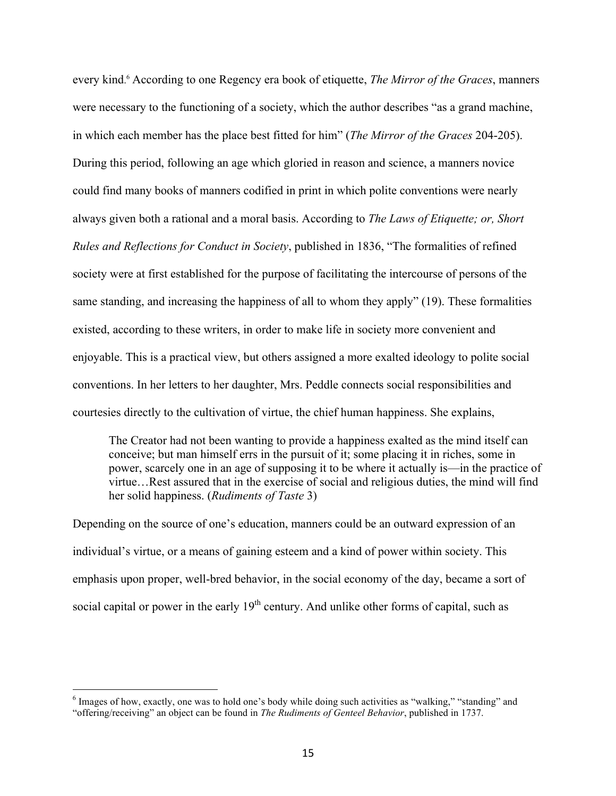every kind. <sup>6</sup> According to one Regency era book of etiquette, *The Mirror of the Graces*, manners were necessary to the functioning of a society, which the author describes "as a grand machine, in which each member has the place best fitted for him" (*The Mirror of the Graces* 204-205). During this period, following an age which gloried in reason and science, a manners novice could find many books of manners codified in print in which polite conventions were nearly always given both a rational and a moral basis. According to *The Laws of Etiquette; or, Short Rules and Reflections for Conduct in Society*, published in 1836, "The formalities of refined society were at first established for the purpose of facilitating the intercourse of persons of the same standing, and increasing the happiness of all to whom they apply" (19). These formalities existed, according to these writers, in order to make life in society more convenient and enjoyable. This is a practical view, but others assigned a more exalted ideology to polite social conventions. In her letters to her daughter, Mrs. Peddle connects social responsibilities and courtesies directly to the cultivation of virtue, the chief human happiness. She explains,

The Creator had not been wanting to provide a happiness exalted as the mind itself can conceive; but man himself errs in the pursuit of it; some placing it in riches, some in power, scarcely one in an age of supposing it to be where it actually is—in the practice of virtue…Rest assured that in the exercise of social and religious duties, the mind will find her solid happiness. (*Rudiments of Taste* 3)

Depending on the source of one's education, manners could be an outward expression of an individual's virtue, or a means of gaining esteem and a kind of power within society. This emphasis upon proper, well-bred behavior, in the social economy of the day, became a sort of social capital or power in the early  $19<sup>th</sup>$  century. And unlike other forms of capital, such as

<sup>&</sup>lt;sup>6</sup> Images of how, exactly, one was to hold one's body while doing such activities as "walking," "standing" and "offering/receiving" an object can be found in *The Rudiments of Genteel Behavior*, published in 1737.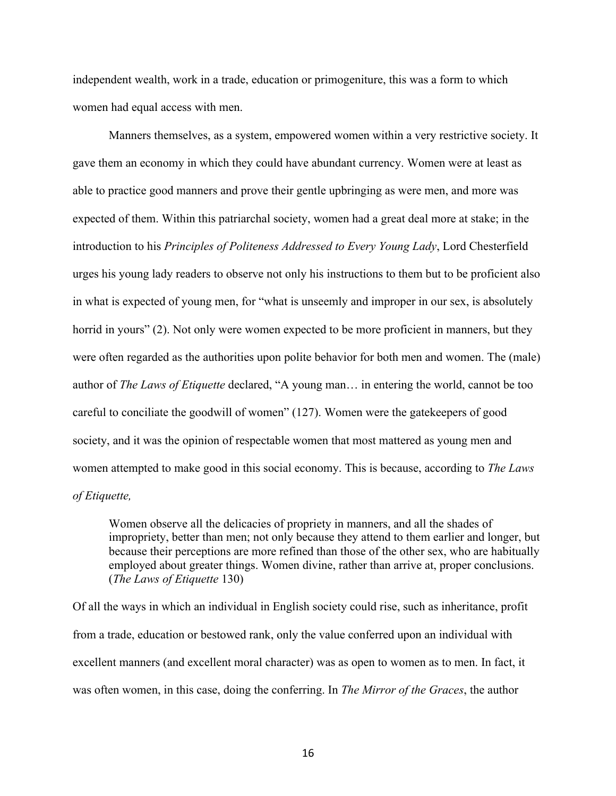independent wealth, work in a trade, education or primogeniture, this was a form to which women had equal access with men.

Manners themselves, as a system, empowered women within a very restrictive society. It gave them an economy in which they could have abundant currency. Women were at least as able to practice good manners and prove their gentle upbringing as were men, and more was expected of them. Within this patriarchal society, women had a great deal more at stake; in the introduction to his *Principles of Politeness Addressed to Every Young Lady*, Lord Chesterfield urges his young lady readers to observe not only his instructions to them but to be proficient also in what is expected of young men, for "what is unseemly and improper in our sex, is absolutely horrid in yours" (2). Not only were women expected to be more proficient in manners, but they were often regarded as the authorities upon polite behavior for both men and women. The (male) author of *The Laws of Etiquette* declared, "A young man… in entering the world, cannot be too careful to conciliate the goodwill of women" (127). Women were the gatekeepers of good society, and it was the opinion of respectable women that most mattered as young men and women attempted to make good in this social economy. This is because, according to *The Laws of Etiquette,*

Women observe all the delicacies of propriety in manners, and all the shades of impropriety, better than men; not only because they attend to them earlier and longer, but because their perceptions are more refined than those of the other sex, who are habitually employed about greater things. Women divine, rather than arrive at, proper conclusions. (*The Laws of Etiquette* 130)

Of all the ways in which an individual in English society could rise, such as inheritance, profit from a trade, education or bestowed rank, only the value conferred upon an individual with excellent manners (and excellent moral character) was as open to women as to men. In fact, it was often women, in this case, doing the conferring. In *The Mirror of the Graces*, the author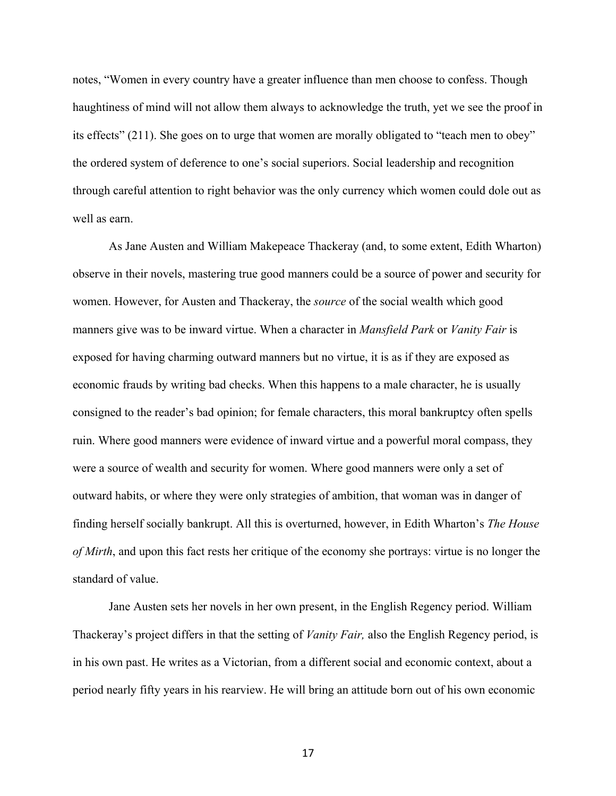notes, "Women in every country have a greater influence than men choose to confess. Though haughtiness of mind will not allow them always to acknowledge the truth, yet we see the proof in its effects" (211). She goes on to urge that women are morally obligated to "teach men to obey" the ordered system of deference to one's social superiors. Social leadership and recognition through careful attention to right behavior was the only currency which women could dole out as well as earn

As Jane Austen and William Makepeace Thackeray (and, to some extent, Edith Wharton) observe in their novels, mastering true good manners could be a source of power and security for women. However, for Austen and Thackeray, the *source* of the social wealth which good manners give was to be inward virtue. When a character in *Mansfield Park* or *Vanity Fair* is exposed for having charming outward manners but no virtue, it is as if they are exposed as economic frauds by writing bad checks. When this happens to a male character, he is usually consigned to the reader's bad opinion; for female characters, this moral bankruptcy often spells ruin. Where good manners were evidence of inward virtue and a powerful moral compass, they were a source of wealth and security for women. Where good manners were only a set of outward habits, or where they were only strategies of ambition, that woman was in danger of finding herself socially bankrupt. All this is overturned, however, in Edith Wharton's *The House of Mirth*, and upon this fact rests her critique of the economy she portrays: virtue is no longer the standard of value.

Jane Austen sets her novels in her own present, in the English Regency period. William Thackeray's project differs in that the setting of *Vanity Fair,* also the English Regency period, is in his own past. He writes as a Victorian, from a different social and economic context, about a period nearly fifty years in his rearview. He will bring an attitude born out of his own economic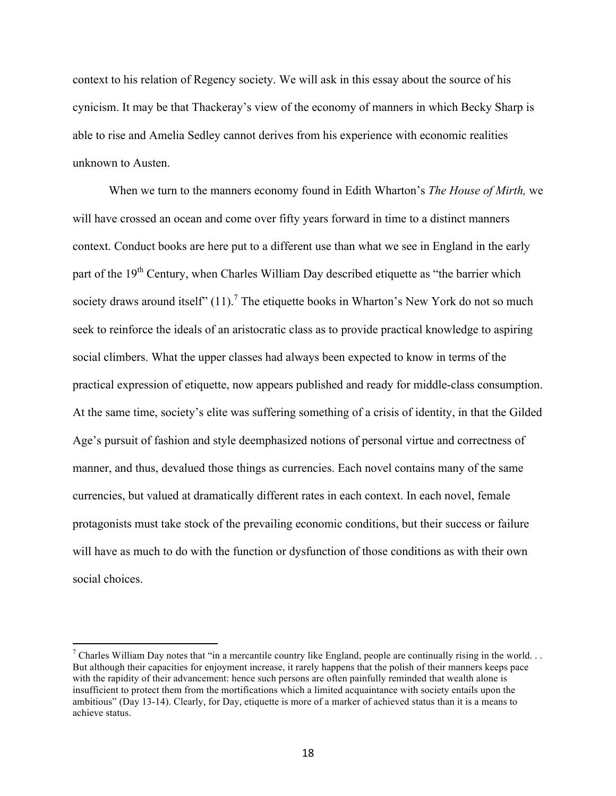context to his relation of Regency society. We will ask in this essay about the source of his cynicism. It may be that Thackeray's view of the economy of manners in which Becky Sharp is able to rise and Amelia Sedley cannot derives from his experience with economic realities unknown to Austen.

When we turn to the manners economy found in Edith Wharton's *The House of Mirth,* we will have crossed an ocean and come over fifty years forward in time to a distinct manners context. Conduct books are here put to a different use than what we see in England in the early part of the 19<sup>th</sup> Century, when Charles William Day described etiquette as "the barrier which society draws around itself"  $(11)$ .<sup>7</sup> The etiquette books in Wharton's New York do not so much seek to reinforce the ideals of an aristocratic class as to provide practical knowledge to aspiring social climbers. What the upper classes had always been expected to know in terms of the practical expression of etiquette, now appears published and ready for middle-class consumption. At the same time, society's elite was suffering something of a crisis of identity, in that the Gilded Age's pursuit of fashion and style deemphasized notions of personal virtue and correctness of manner, and thus, devalued those things as currencies. Each novel contains many of the same currencies, but valued at dramatically different rates in each context. In each novel, female protagonists must take stock of the prevailing economic conditions, but their success or failure will have as much to do with the function or dysfunction of those conditions as with their own social choices.

<sup>&</sup>lt;sup>7</sup> Charles William Day notes that "in a mercantile country like England, people are continually rising in the world... But although their capacities for enjoyment increase, it rarely happens that the polish of their manners keeps pace with the rapidity of their advancement: hence such persons are often painfully reminded that wealth alone is insufficient to protect them from the mortifications which a limited acquaintance with society entails upon the ambitious" (Day 13-14). Clearly, for Day, etiquette is more of a marker of achieved status than it is a means to achieve status.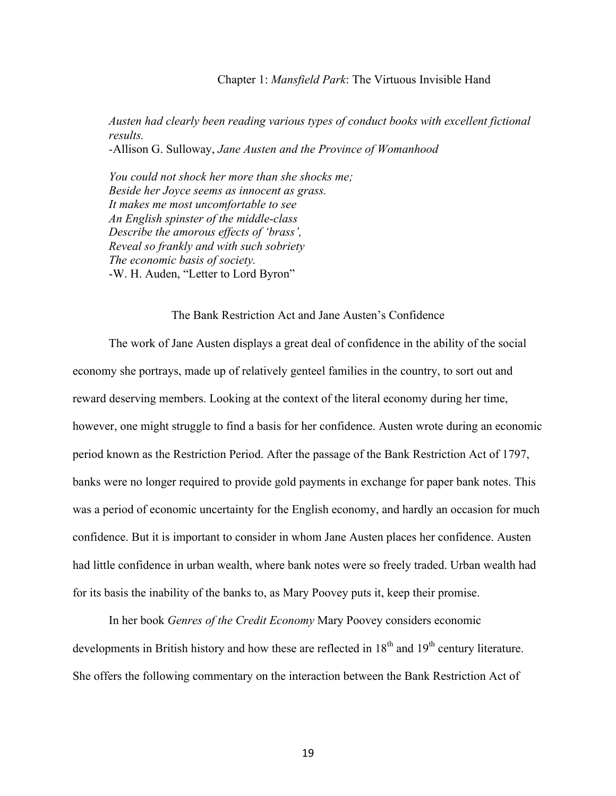#### Chapter 1: *Mansfield Park*: The Virtuous Invisible Hand

*Austen had clearly been reading various types of conduct books with excellent fictional results. -*Allison G. Sulloway, *Jane Austen and the Province of Womanhood* 

*You could not shock her more than she shocks me; Beside her Joyce seems as innocent as grass. It makes me most uncomfortable to see An English spinster of the middle-class Describe the amorous effects of 'brass', Reveal so frankly and with such sobriety The economic basis of society.* -W. H. Auden, "Letter to Lord Byron"

## The Bank Restriction Act and Jane Austen's Confidence

The work of Jane Austen displays a great deal of confidence in the ability of the social economy she portrays, made up of relatively genteel families in the country, to sort out and reward deserving members. Looking at the context of the literal economy during her time, however, one might struggle to find a basis for her confidence. Austen wrote during an economic period known as the Restriction Period. After the passage of the Bank Restriction Act of 1797, banks were no longer required to provide gold payments in exchange for paper bank notes. This was a period of economic uncertainty for the English economy, and hardly an occasion for much confidence. But it is important to consider in whom Jane Austen places her confidence. Austen had little confidence in urban wealth, where bank notes were so freely traded. Urban wealth had for its basis the inability of the banks to, as Mary Poovey puts it, keep their promise.

In her book *Genres of the Credit Economy* Mary Poovey considers economic developments in British history and how these are reflected in 18<sup>th</sup> and 19<sup>th</sup> century literature. She offers the following commentary on the interaction between the Bank Restriction Act of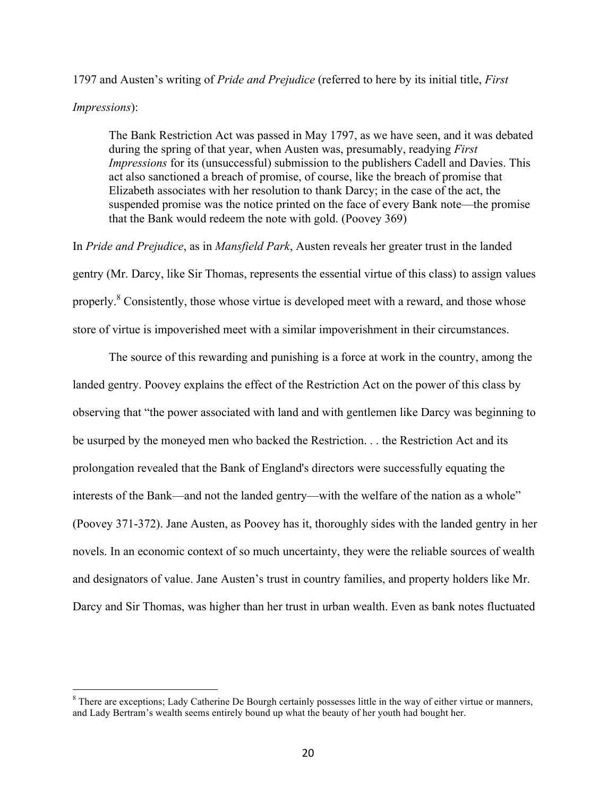# 1797 and Austen's writing of *Pride and Prejudice* (referred to here by its initial title, *First*

#### *Impressions*):

The Bank Restriction Act was passed in May 1797, as we have seen, and it was debated during the spring of that year, when Austen was, presumably, readying *First Impressions* for its (unsuccessful) submission to the publishers Cadell and Davies. This act also sanctioned a breach of promise, of course, like the breach of promise that Elizabeth associates with her resolution to thank Darcy; in the case of the act, the suspended promise was the notice printed on the face of every Bank note—the promise that the Bank would redeem the note with gold. (Poovey 369)

In *Pride and Prejudice*, as in *Mansfield Park*, Austen reveals her greater trust in the landed gentry (Mr. Darcy, like Sir Thomas, represents the essential virtue of this class) to assign values properly.<sup>8</sup> Consistently, those whose virtue is developed meet with a reward, and those whose store of virtue is impoverished meet with a similar impoverishment in their circumstances.

The source of this rewarding and punishing is a force at work in the country, among the landed gentry. Poovey explains the effect of the Restriction Act on the power of this class by observing that "the power associated with land and with gentlemen like Darcy was beginning to be usurped by the moneyed men who backed the Restriction. . . the Restriction Act and its prolongation revealed that the Bank of England's directors were successfully equating the interests of the Bank—and not the landed gentry—with the welfare of the nation as a whole" (Poovey 371-372). Jane Austen, as Poovey has it, thoroughly sides with the landed gentry in her novels. In an economic context of so much uncertainty, they were the reliable sources of wealth and designators of value. Jane Austen's trust in country families, and property holders like Mr. Darcy and Sir Thomas, was higher than her trust in urban wealth. Even as bank notes fluctuated

<sup>&</sup>lt;sup>8</sup> There are exceptions; Lady Catherine De Bourgh certainly possesses little in the way of either virtue or manners, and Lady Bertram's wealth seems entirely bound up what the beauty of her youth had bought her.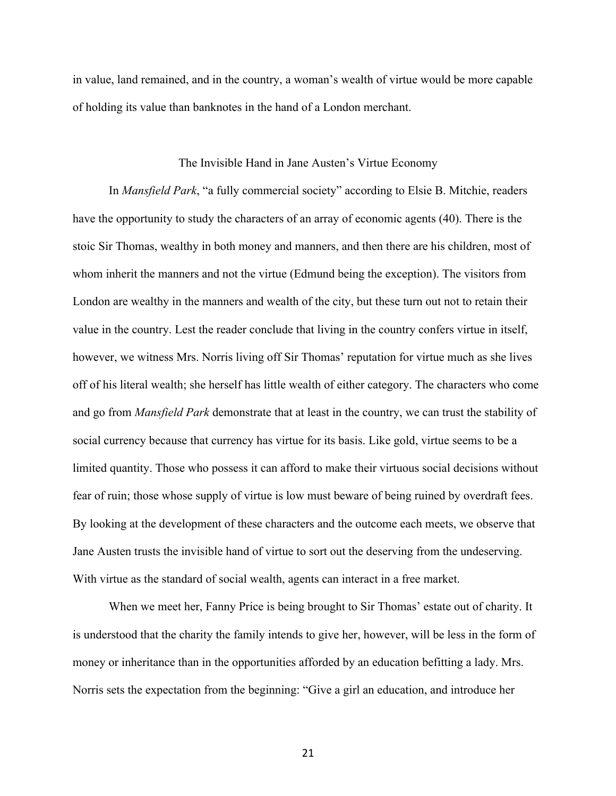in value, land remained, and in the country, a woman's wealth of virtue would be more capable of holding its value than banknotes in the hand of a London merchant.

#### The Invisible Hand in Jane Austen's Virtue Economy

In *Mansfield Park*, "a fully commercial society" according to Elsie B. Mitchie, readers have the opportunity to study the characters of an array of economic agents (40). There is the stoic Sir Thomas, wealthy in both money and manners, and then there are his children, most of whom inherit the manners and not the virtue (Edmund being the exception). The visitors from London are wealthy in the manners and wealth of the city, but these turn out not to retain their value in the country. Lest the reader conclude that living in the country confers virtue in itself, however, we witness Mrs. Norris living off Sir Thomas' reputation for virtue much as she lives off of his literal wealth; she herself has little wealth of either category. The characters who come and go from *Mansfield Park* demonstrate that at least in the country, we can trust the stability of social currency because that currency has virtue for its basis. Like gold, virtue seems to be a limited quantity. Those who possess it can afford to make their virtuous social decisions without fear of ruin; those whose supply of virtue is low must beware of being ruined by overdraft fees. By looking at the development of these characters and the outcome each meets, we observe that Jane Austen trusts the invisible hand of virtue to sort out the deserving from the undeserving. With virtue as the standard of social wealth, agents can interact in a free market.

When we meet her, Fanny Price is being brought to Sir Thomas' estate out of charity. It is understood that the charity the family intends to give her, however, will be less in the form of money or inheritance than in the opportunities afforded by an education befitting a lady. Mrs. Norris sets the expectation from the beginning: "Give a girl an education, and introduce her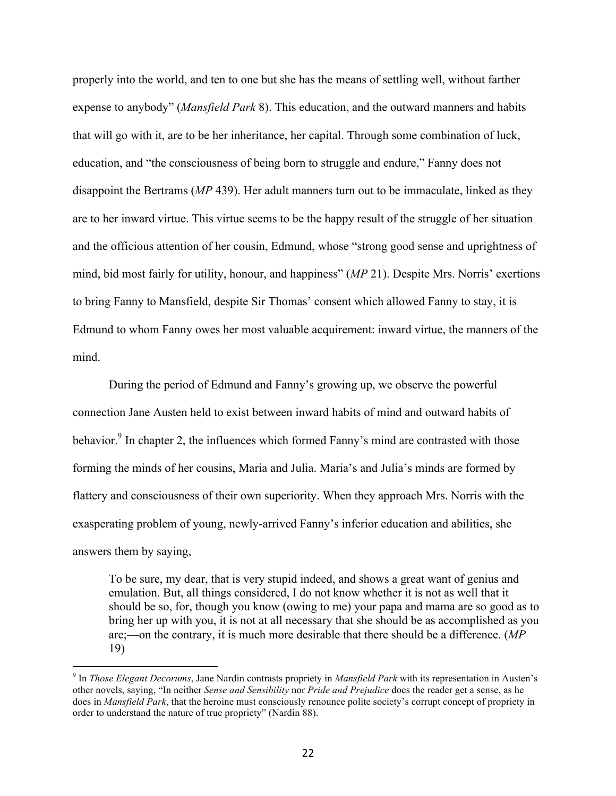properly into the world, and ten to one but she has the means of settling well, without farther expense to anybody" (*Mansfield Park* 8). This education, and the outward manners and habits that will go with it, are to be her inheritance, her capital. Through some combination of luck, education, and "the consciousness of being born to struggle and endure," Fanny does not disappoint the Bertrams (*MP* 439). Her adult manners turn out to be immaculate, linked as they are to her inward virtue. This virtue seems to be the happy result of the struggle of her situation and the officious attention of her cousin, Edmund, whose "strong good sense and uprightness of mind, bid most fairly for utility, honour, and happiness" (*MP* 21). Despite Mrs. Norris' exertions to bring Fanny to Mansfield, despite Sir Thomas' consent which allowed Fanny to stay, it is Edmund to whom Fanny owes her most valuable acquirement: inward virtue, the manners of the mind.

During the period of Edmund and Fanny's growing up, we observe the powerful connection Jane Austen held to exist between inward habits of mind and outward habits of behavior.<sup>9</sup> In chapter 2, the influences which formed Fanny's mind are contrasted with those forming the minds of her cousins, Maria and Julia. Maria's and Julia's minds are formed by flattery and consciousness of their own superiority. When they approach Mrs. Norris with the exasperating problem of young, newly-arrived Fanny's inferior education and abilities, she answers them by saying,

To be sure, my dear, that is very stupid indeed, and shows a great want of genius and emulation. But, all things considered, I do not know whether it is not as well that it should be so, for, though you know (owing to me) your papa and mama are so good as to bring her up with you, it is not at all necessary that she should be as accomplished as you are;—on the contrary, it is much more desirable that there should be a difference. (*MP* 19)

<sup>9</sup> In *Those Elegant Decorums*, Jane Nardin contrasts propriety in *Mansfield Park* with its representation in Austen's other novels, saying, "In neither *Sense and Sensibility* nor *Pride and Prejudice* does the reader get a sense, as he does in *Mansfield Park*, that the heroine must consciously renounce polite society's corrupt concept of propriety in order to understand the nature of true propriety" (Nardin 88).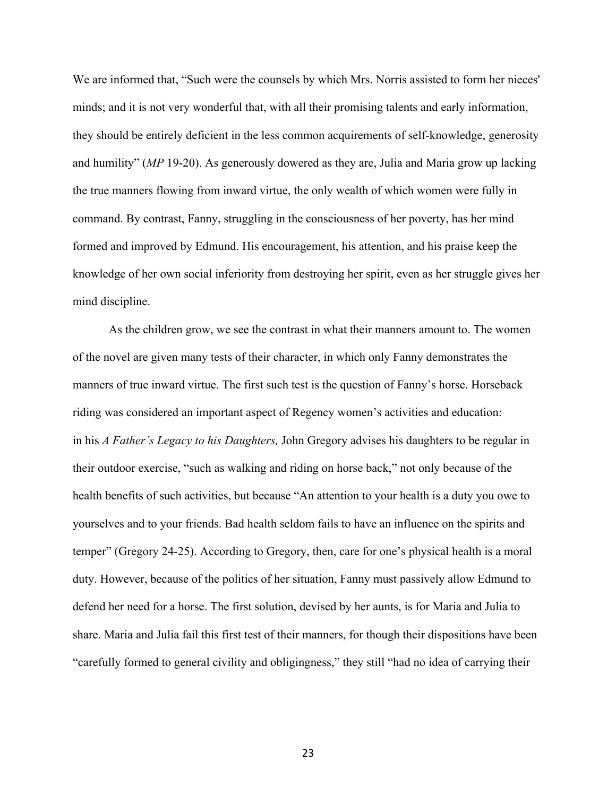We are informed that, "Such were the counsels by which Mrs. Norris assisted to form her nieces' minds; and it is not very wonderful that, with all their promising talents and early information, they should be entirely deficient in the less common acquirements of self-knowledge, generosity and humility" (*MP* 19-20). As generously dowered as they are, Julia and Maria grow up lacking the true manners flowing from inward virtue, the only wealth of which women were fully in command. By contrast, Fanny, struggling in the consciousness of her poverty, has her mind formed and improved by Edmund. His encouragement, his attention, and his praise keep the knowledge of her own social inferiority from destroying her spirit, even as her struggle gives her mind discipline.

As the children grow, we see the contrast in what their manners amount to. The women of the novel are given many tests of their character, in which only Fanny demonstrates the manners of true inward virtue. The first such test is the question of Fanny's horse. Horseback riding was considered an important aspect of Regency women's activities and education: in his *A Father's Legacy to his Daughters,* John Gregory advises his daughters to be regular in their outdoor exercise, "such as walking and riding on horse back," not only because of the health benefits of such activities, but because "An attention to your health is a duty you owe to yourselves and to your friends. Bad health seldom fails to have an influence on the spirits and temper" (Gregory 24-25). According to Gregory, then, care for one's physical health is a moral duty. However, because of the politics of her situation, Fanny must passively allow Edmund to defend her need for a horse. The first solution, devised by her aunts, is for Maria and Julia to share. Maria and Julia fail this first test of their manners, for though their dispositions have been "carefully formed to general civility and obligingness," they still "had no idea of carrying their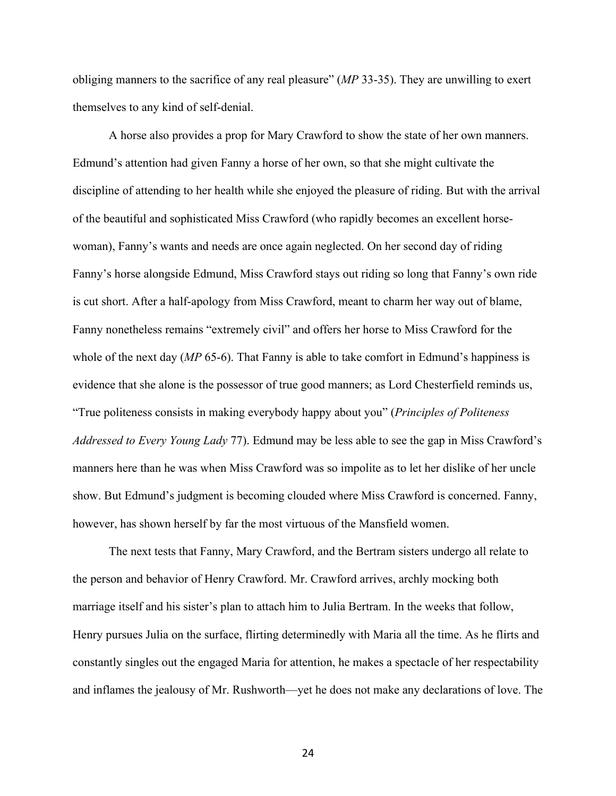obliging manners to the sacrifice of any real pleasure" (*MP* 33-35). They are unwilling to exert themselves to any kind of self-denial.

A horse also provides a prop for Mary Crawford to show the state of her own manners. Edmund's attention had given Fanny a horse of her own, so that she might cultivate the discipline of attending to her health while she enjoyed the pleasure of riding. But with the arrival of the beautiful and sophisticated Miss Crawford (who rapidly becomes an excellent horsewoman), Fanny's wants and needs are once again neglected. On her second day of riding Fanny's horse alongside Edmund, Miss Crawford stays out riding so long that Fanny's own ride is cut short. After a half-apology from Miss Crawford, meant to charm her way out of blame, Fanny nonetheless remains "extremely civil" and offers her horse to Miss Crawford for the whole of the next day (*MP* 65-6). That Fanny is able to take comfort in Edmund's happiness is evidence that she alone is the possessor of true good manners; as Lord Chesterfield reminds us, "True politeness consists in making everybody happy about you" (*Principles of Politeness Addressed to Every Young Lady* 77). Edmund may be less able to see the gap in Miss Crawford's manners here than he was when Miss Crawford was so impolite as to let her dislike of her uncle show. But Edmund's judgment is becoming clouded where Miss Crawford is concerned. Fanny, however, has shown herself by far the most virtuous of the Mansfield women.

The next tests that Fanny, Mary Crawford, and the Bertram sisters undergo all relate to the person and behavior of Henry Crawford. Mr. Crawford arrives, archly mocking both marriage itself and his sister's plan to attach him to Julia Bertram. In the weeks that follow, Henry pursues Julia on the surface, flirting determinedly with Maria all the time. As he flirts and constantly singles out the engaged Maria for attention, he makes a spectacle of her respectability and inflames the jealousy of Mr. Rushworth—yet he does not make any declarations of love. The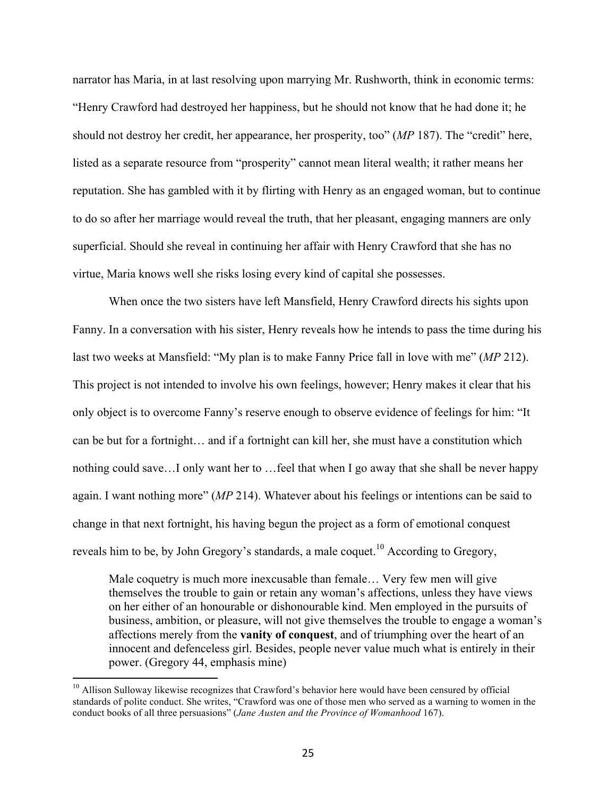narrator has Maria, in at last resolving upon marrying Mr. Rushworth, think in economic terms: "Henry Crawford had destroyed her happiness, but he should not know that he had done it; he should not destroy her credit, her appearance, her prosperity, too" (*MP* 187). The "credit" here, listed as a separate resource from "prosperity" cannot mean literal wealth; it rather means her reputation. She has gambled with it by flirting with Henry as an engaged woman, but to continue to do so after her marriage would reveal the truth, that her pleasant, engaging manners are only superficial. Should she reveal in continuing her affair with Henry Crawford that she has no virtue, Maria knows well she risks losing every kind of capital she possesses.

When once the two sisters have left Mansfield, Henry Crawford directs his sights upon Fanny. In a conversation with his sister, Henry reveals how he intends to pass the time during his last two weeks at Mansfield: "My plan is to make Fanny Price fall in love with me" (*MP* 212). This project is not intended to involve his own feelings, however; Henry makes it clear that his only object is to overcome Fanny's reserve enough to observe evidence of feelings for him: "It can be but for a fortnight… and if a fortnight can kill her, she must have a constitution which nothing could save…I only want her to …feel that when I go away that she shall be never happy again. I want nothing more" (*MP* 214). Whatever about his feelings or intentions can be said to change in that next fortnight, his having begun the project as a form of emotional conquest reveals him to be, by John Gregory's standards, a male coquet.<sup>10</sup> According to Gregory,

Male coquetry is much more inexcusable than female… Very few men will give themselves the trouble to gain or retain any woman's affections, unless they have views on her either of an honourable or dishonourable kind. Men employed in the pursuits of business, ambition, or pleasure, will not give themselves the trouble to engage a woman's affections merely from the **vanity of conquest**, and of triumphing over the heart of an innocent and defenceless girl. Besides, people never value much what is entirely in their power. (Gregory 44, emphasis mine)

<sup>&</sup>lt;sup>10</sup> Allison Sulloway likewise recognizes that Crawford's behavior here would have been censured by official standards of polite conduct. She writes, "Crawford was one of those men who served as a warning to women in the conduct books of all three persuasions" (*Jane Austen and the Province of Womanhood* 167).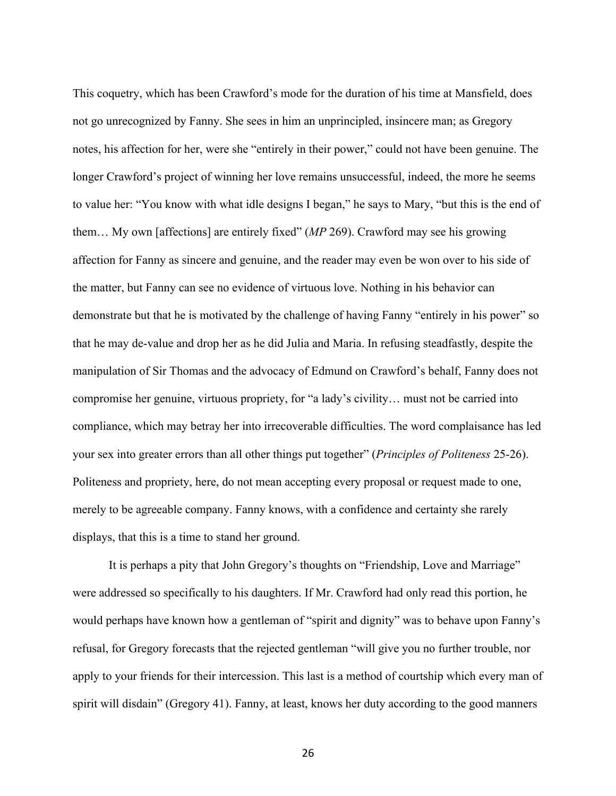This coquetry, which has been Crawford's mode for the duration of his time at Mansfield, does not go unrecognized by Fanny. She sees in him an unprincipled, insincere man; as Gregory notes, his affection for her, were she "entirely in their power," could not have been genuine. The longer Crawford's project of winning her love remains unsuccessful, indeed, the more he seems to value her: "You know with what idle designs I began," he says to Mary, "but this is the end of them… My own [affections] are entirely fixed" (*MP* 269). Crawford may see his growing affection for Fanny as sincere and genuine, and the reader may even be won over to his side of the matter, but Fanny can see no evidence of virtuous love. Nothing in his behavior can demonstrate but that he is motivated by the challenge of having Fanny "entirely in his power" so that he may de-value and drop her as he did Julia and Maria. In refusing steadfastly, despite the manipulation of Sir Thomas and the advocacy of Edmund on Crawford's behalf, Fanny does not compromise her genuine, virtuous propriety, for "a lady's civility… must not be carried into compliance, which may betray her into irrecoverable difficulties. The word complaisance has led your sex into greater errors than all other things put together" (*Principles of Politeness* 25-26). Politeness and propriety, here, do not mean accepting every proposal or request made to one, merely to be agreeable company. Fanny knows, with a confidence and certainty she rarely displays, that this is a time to stand her ground.

It is perhaps a pity that John Gregory's thoughts on "Friendship, Love and Marriage" were addressed so specifically to his daughters. If Mr. Crawford had only read this portion, he would perhaps have known how a gentleman of "spirit and dignity" was to behave upon Fanny's refusal, for Gregory forecasts that the rejected gentleman "will give you no further trouble, nor apply to your friends for their intercession. This last is a method of courtship which every man of spirit will disdain" (Gregory 41). Fanny, at least, knows her duty according to the good manners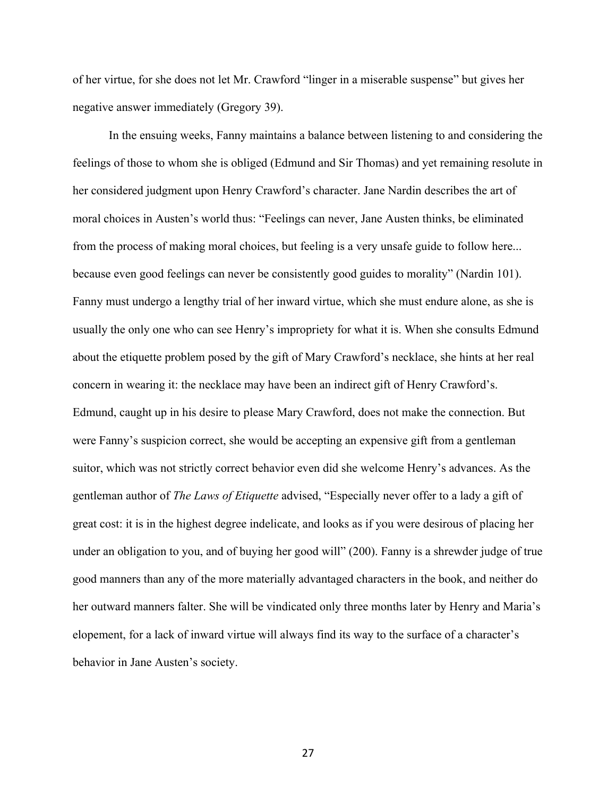of her virtue, for she does not let Mr. Crawford "linger in a miserable suspense" but gives her negative answer immediately (Gregory 39).

In the ensuing weeks, Fanny maintains a balance between listening to and considering the feelings of those to whom she is obliged (Edmund and Sir Thomas) and yet remaining resolute in her considered judgment upon Henry Crawford's character. Jane Nardin describes the art of moral choices in Austen's world thus: "Feelings can never, Jane Austen thinks, be eliminated from the process of making moral choices, but feeling is a very unsafe guide to follow here... because even good feelings can never be consistently good guides to morality" (Nardin 101). Fanny must undergo a lengthy trial of her inward virtue, which she must endure alone, as she is usually the only one who can see Henry's impropriety for what it is. When she consults Edmund about the etiquette problem posed by the gift of Mary Crawford's necklace, she hints at her real concern in wearing it: the necklace may have been an indirect gift of Henry Crawford's. Edmund, caught up in his desire to please Mary Crawford, does not make the connection. But were Fanny's suspicion correct, she would be accepting an expensive gift from a gentleman suitor, which was not strictly correct behavior even did she welcome Henry's advances. As the gentleman author of *The Laws of Etiquette* advised, "Especially never offer to a lady a gift of great cost: it is in the highest degree indelicate, and looks as if you were desirous of placing her under an obligation to you, and of buying her good will" (200). Fanny is a shrewder judge of true good manners than any of the more materially advantaged characters in the book, and neither do her outward manners falter. She will be vindicated only three months later by Henry and Maria's elopement, for a lack of inward virtue will always find its way to the surface of a character's behavior in Jane Austen's society.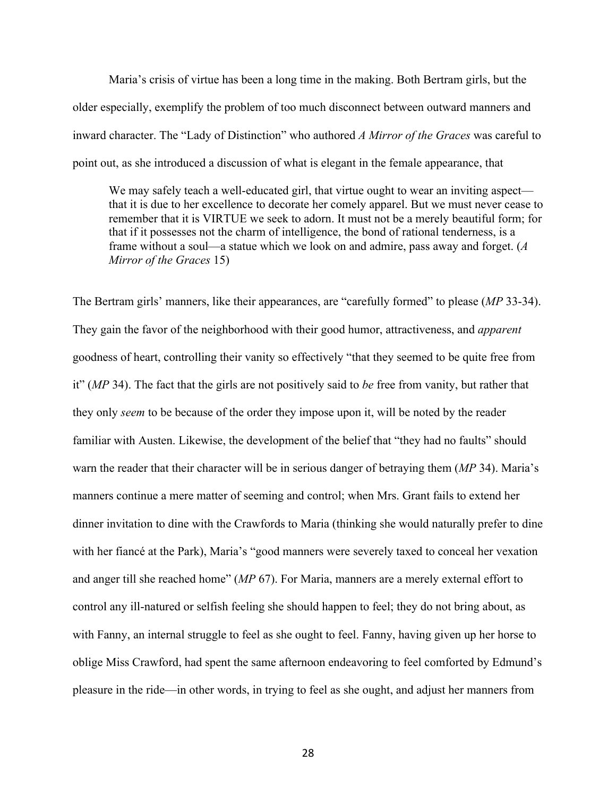Maria's crisis of virtue has been a long time in the making. Both Bertram girls, but the older especially, exemplify the problem of too much disconnect between outward manners and inward character. The "Lady of Distinction" who authored *A Mirror of the Graces* was careful to point out, as she introduced a discussion of what is elegant in the female appearance, that

We may safely teach a well-educated girl, that virtue ought to wear an inviting aspect that it is due to her excellence to decorate her comely apparel. But we must never cease to remember that it is VIRTUE we seek to adorn. It must not be a merely beautiful form; for that if it possesses not the charm of intelligence, the bond of rational tenderness, is a frame without a soul—a statue which we look on and admire, pass away and forget. (*A Mirror of the Graces* 15)

The Bertram girls' manners, like their appearances, are "carefully formed" to please (*MP* 33-34). They gain the favor of the neighborhood with their good humor, attractiveness, and *apparent* goodness of heart, controlling their vanity so effectively "that they seemed to be quite free from it" (*MP* 34). The fact that the girls are not positively said to *be* free from vanity, but rather that they only *seem* to be because of the order they impose upon it, will be noted by the reader familiar with Austen. Likewise, the development of the belief that "they had no faults" should warn the reader that their character will be in serious danger of betraying them (*MP* 34). Maria's manners continue a mere matter of seeming and control; when Mrs. Grant fails to extend her dinner invitation to dine with the Crawfords to Maria (thinking she would naturally prefer to dine with her fiancé at the Park), Maria's "good manners were severely taxed to conceal her vexation and anger till she reached home" (*MP* 67). For Maria, manners are a merely external effort to control any ill-natured or selfish feeling she should happen to feel; they do not bring about, as with Fanny, an internal struggle to feel as she ought to feel. Fanny, having given up her horse to oblige Miss Crawford, had spent the same afternoon endeavoring to feel comforted by Edmund's pleasure in the ride—in other words, in trying to feel as she ought, and adjust her manners from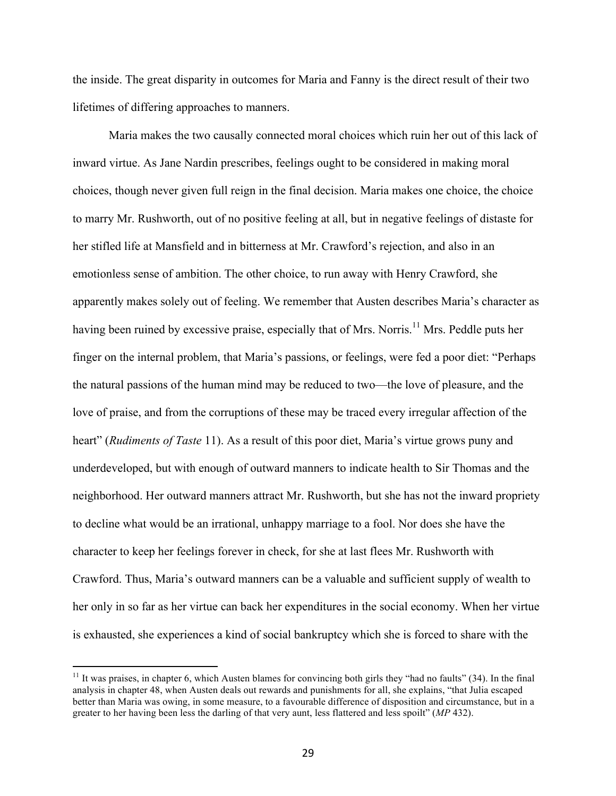the inside. The great disparity in outcomes for Maria and Fanny is the direct result of their two lifetimes of differing approaches to manners.

Maria makes the two causally connected moral choices which ruin her out of this lack of inward virtue. As Jane Nardin prescribes, feelings ought to be considered in making moral choices, though never given full reign in the final decision. Maria makes one choice, the choice to marry Mr. Rushworth, out of no positive feeling at all, but in negative feelings of distaste for her stifled life at Mansfield and in bitterness at Mr. Crawford's rejection, and also in an emotionless sense of ambition. The other choice, to run away with Henry Crawford, she apparently makes solely out of feeling. We remember that Austen describes Maria's character as having been ruined by excessive praise, especially that of Mrs. Norris.<sup>11</sup> Mrs. Peddle puts her finger on the internal problem, that Maria's passions, or feelings, were fed a poor diet: "Perhaps the natural passions of the human mind may be reduced to two—the love of pleasure, and the love of praise, and from the corruptions of these may be traced every irregular affection of the heart" (*Rudiments of Taste* 11). As a result of this poor diet, Maria's virtue grows puny and underdeveloped, but with enough of outward manners to indicate health to Sir Thomas and the neighborhood. Her outward manners attract Mr. Rushworth, but she has not the inward propriety to decline what would be an irrational, unhappy marriage to a fool. Nor does she have the character to keep her feelings forever in check, for she at last flees Mr. Rushworth with Crawford. Thus, Maria's outward manners can be a valuable and sufficient supply of wealth to her only in so far as her virtue can back her expenditures in the social economy. When her virtue is exhausted, she experiences a kind of social bankruptcy which she is forced to share with the

<sup>&</sup>lt;sup>11</sup> It was praises, in chapter 6, which Austen blames for convincing both girls they "had no faults"  $(34)$ . In the final analysis in chapter 48, when Austen deals out rewards and punishments for all, she explains, "that Julia escaped better than Maria was owing, in some measure, to a favourable difference of disposition and circumstance, but in a greater to her having been less the darling of that very aunt, less flattered and less spoilt" (*MP* 432).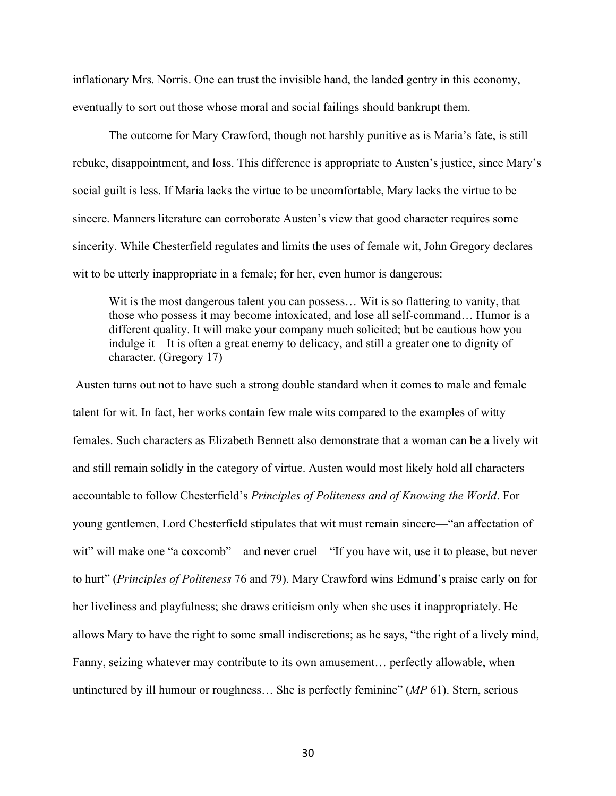inflationary Mrs. Norris. One can trust the invisible hand, the landed gentry in this economy, eventually to sort out those whose moral and social failings should bankrupt them.

The outcome for Mary Crawford, though not harshly punitive as is Maria's fate, is still rebuke, disappointment, and loss. This difference is appropriate to Austen's justice, since Mary's social guilt is less. If Maria lacks the virtue to be uncomfortable, Mary lacks the virtue to be sincere. Manners literature can corroborate Austen's view that good character requires some sincerity. While Chesterfield regulates and limits the uses of female wit, John Gregory declares wit to be utterly inappropriate in a female; for her, even humor is dangerous:

Wit is the most dangerous talent you can possess... Wit is so flattering to vanity, that those who possess it may become intoxicated, and lose all self-command… Humor is a different quality. It will make your company much solicited; but be cautious how you indulge it—It is often a great enemy to delicacy, and still a greater one to dignity of character. (Gregory 17)

Austen turns out not to have such a strong double standard when it comes to male and female talent for wit. In fact, her works contain few male wits compared to the examples of witty females. Such characters as Elizabeth Bennett also demonstrate that a woman can be a lively wit and still remain solidly in the category of virtue. Austen would most likely hold all characters accountable to follow Chesterfield's *Principles of Politeness and of Knowing the World*. For young gentlemen, Lord Chesterfield stipulates that wit must remain sincere—"an affectation of wit" will make one "a coxcomb"—and never cruel—"If you have wit, use it to please, but never to hurt" (*Principles of Politeness* 76 and 79). Mary Crawford wins Edmund's praise early on for her liveliness and playfulness; she draws criticism only when she uses it inappropriately. He allows Mary to have the right to some small indiscretions; as he says, "the right of a lively mind, Fanny, seizing whatever may contribute to its own amusement… perfectly allowable, when untinctured by ill humour or roughness… She is perfectly feminine" (*MP* 61). Stern, serious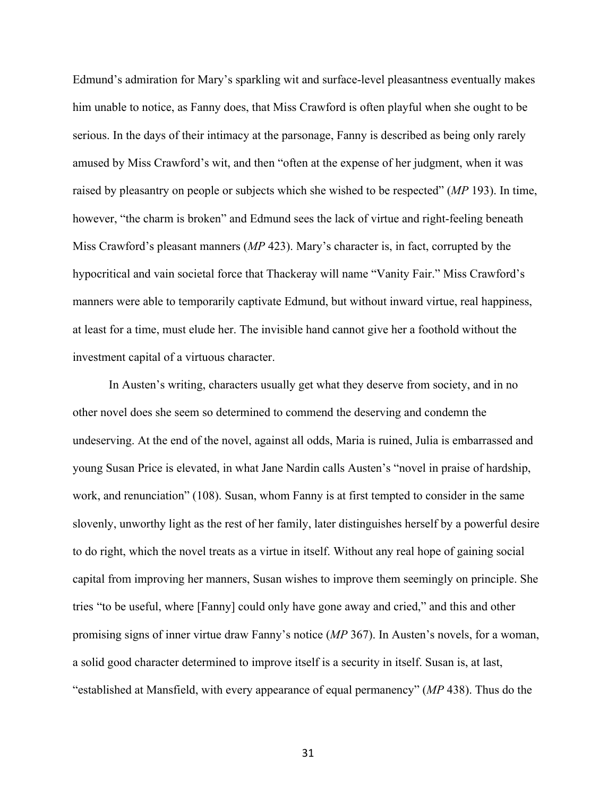Edmund's admiration for Mary's sparkling wit and surface-level pleasantness eventually makes him unable to notice, as Fanny does, that Miss Crawford is often playful when she ought to be serious. In the days of their intimacy at the parsonage, Fanny is described as being only rarely amused by Miss Crawford's wit, and then "often at the expense of her judgment, when it was raised by pleasantry on people or subjects which she wished to be respected" (*MP* 193). In time, however, "the charm is broken" and Edmund sees the lack of virtue and right-feeling beneath Miss Crawford's pleasant manners (*MP* 423). Mary's character is, in fact, corrupted by the hypocritical and vain societal force that Thackeray will name "Vanity Fair." Miss Crawford's manners were able to temporarily captivate Edmund, but without inward virtue, real happiness, at least for a time, must elude her. The invisible hand cannot give her a foothold without the investment capital of a virtuous character.

In Austen's writing, characters usually get what they deserve from society, and in no other novel does she seem so determined to commend the deserving and condemn the undeserving. At the end of the novel, against all odds, Maria is ruined, Julia is embarrassed and young Susan Price is elevated, in what Jane Nardin calls Austen's "novel in praise of hardship, work, and renunciation" (108). Susan, whom Fanny is at first tempted to consider in the same slovenly, unworthy light as the rest of her family, later distinguishes herself by a powerful desire to do right, which the novel treats as a virtue in itself. Without any real hope of gaining social capital from improving her manners, Susan wishes to improve them seemingly on principle. She tries "to be useful, where [Fanny] could only have gone away and cried," and this and other promising signs of inner virtue draw Fanny's notice (*MP* 367). In Austen's novels, for a woman, a solid good character determined to improve itself is a security in itself. Susan is, at last, "established at Mansfield, with every appearance of equal permanency" (*MP* 438). Thus do the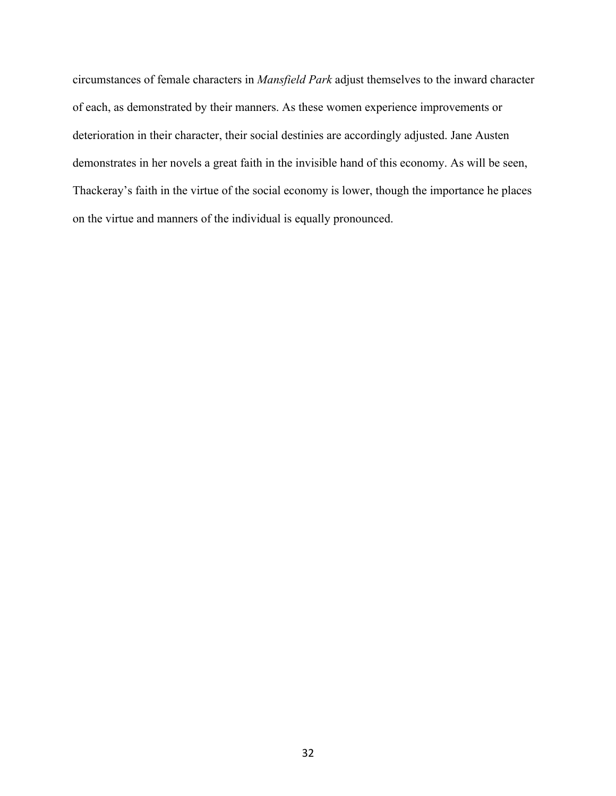circumstances of female characters in *Mansfield Park* adjust themselves to the inward character of each, as demonstrated by their manners. As these women experience improvements or deterioration in their character, their social destinies are accordingly adjusted. Jane Austen demonstrates in her novels a great faith in the invisible hand of this economy. As will be seen, Thackeray's faith in the virtue of the social economy is lower, though the importance he places on the virtue and manners of the individual is equally pronounced.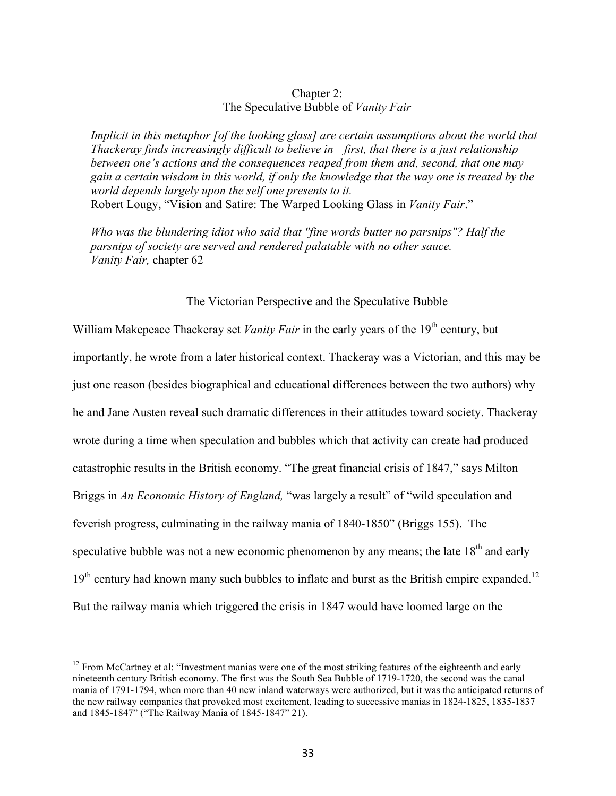## Chapter 2: The Speculative Bubble of *Vanity Fair*

*Implicit in this metaphor [of the looking glass] are certain assumptions about the world that Thackeray finds increasingly difficult to believe in—first, that there is a just relationship between one's actions and the consequences reaped from them and, second, that one may gain a certain wisdom in this world, if only the knowledge that the way one is treated by the world depends largely upon the self one presents to it.*  Robert Lougy, "Vision and Satire: The Warped Looking Glass in *Vanity Fair*."

*Who was the blundering idiot who said that "fine words butter no parsnips"? Half the parsnips of society are served and rendered palatable with no other sauce. Vanity Fair,* chapter 62

## The Victorian Perspective and the Speculative Bubble

William Makepeace Thackeray set *Vanity Fair* in the early years of the 19<sup>th</sup> century, but importantly, he wrote from a later historical context. Thackeray was a Victorian, and this may be just one reason (besides biographical and educational differences between the two authors) why he and Jane Austen reveal such dramatic differences in their attitudes toward society. Thackeray wrote during a time when speculation and bubbles which that activity can create had produced catastrophic results in the British economy. "The great financial crisis of 1847," says Milton Briggs in *An Economic History of England*, "was largely a result" of "wild speculation and feverish progress, culminating in the railway mania of 1840-1850" (Briggs 155). The speculative bubble was not a new economic phenomenon by any means; the late 18<sup>th</sup> and early  $19<sup>th</sup>$  century had known many such bubbles to inflate and burst as the British empire expanded.<sup>12</sup> But the railway mania which triggered the crisis in 1847 would have loomed large on the

<sup>&</sup>lt;sup>12</sup> From McCartney et al: "Investment manias were one of the most striking features of the eighteenth and early nineteenth century British economy. The first was the South Sea Bubble of 1719-1720, the second was the canal mania of 1791-1794, when more than 40 new inland waterways were authorized, but it was the anticipated returns of the new railway companies that provoked most excitement, leading to successive manias in 1824-1825, 1835-1837 and 1845-1847" ("The Railway Mania of 1845-1847" 21).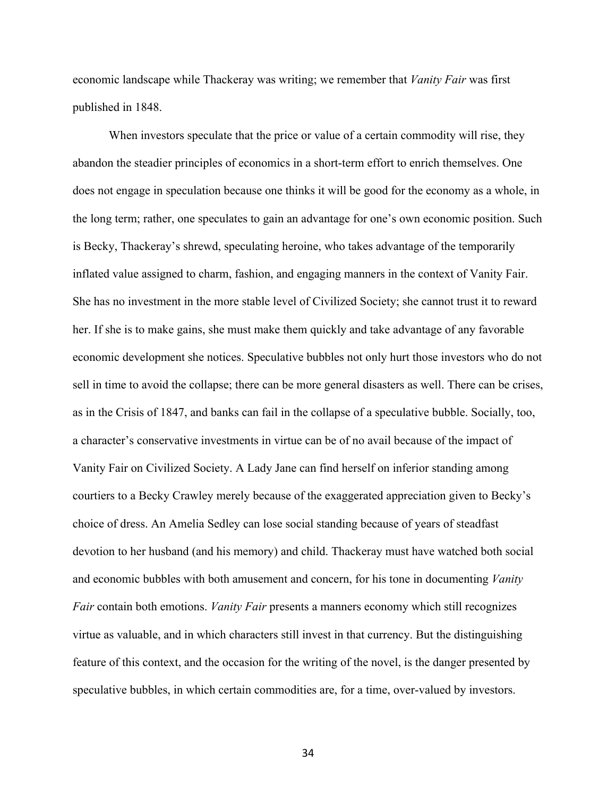economic landscape while Thackeray was writing; we remember that *Vanity Fair* was first published in 1848.

When investors speculate that the price or value of a certain commodity will rise, they abandon the steadier principles of economics in a short-term effort to enrich themselves. One does not engage in speculation because one thinks it will be good for the economy as a whole, in the long term; rather, one speculates to gain an advantage for one's own economic position. Such is Becky, Thackeray's shrewd, speculating heroine, who takes advantage of the temporarily inflated value assigned to charm, fashion, and engaging manners in the context of Vanity Fair. She has no investment in the more stable level of Civilized Society; she cannot trust it to reward her. If she is to make gains, she must make them quickly and take advantage of any favorable economic development she notices. Speculative bubbles not only hurt those investors who do not sell in time to avoid the collapse; there can be more general disasters as well. There can be crises, as in the Crisis of 1847, and banks can fail in the collapse of a speculative bubble. Socially, too, a character's conservative investments in virtue can be of no avail because of the impact of Vanity Fair on Civilized Society. A Lady Jane can find herself on inferior standing among courtiers to a Becky Crawley merely because of the exaggerated appreciation given to Becky's choice of dress. An Amelia Sedley can lose social standing because of years of steadfast devotion to her husband (and his memory) and child. Thackeray must have watched both social and economic bubbles with both amusement and concern, for his tone in documenting *Vanity Fair* contain both emotions. *Vanity Fair* presents a manners economy which still recognizes virtue as valuable, and in which characters still invest in that currency. But the distinguishing feature of this context, and the occasion for the writing of the novel, is the danger presented by speculative bubbles, in which certain commodities are, for a time, over-valued by investors.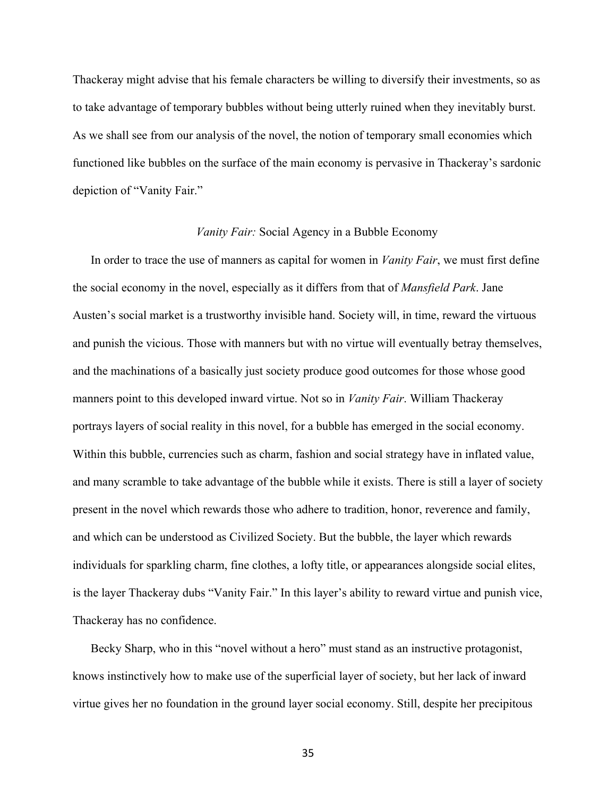Thackeray might advise that his female characters be willing to diversify their investments, so as to take advantage of temporary bubbles without being utterly ruined when they inevitably burst. As we shall see from our analysis of the novel, the notion of temporary small economies which functioned like bubbles on the surface of the main economy is pervasive in Thackeray's sardonic depiction of "Vanity Fair."

## *Vanity Fair:* Social Agency in a Bubble Economy

In order to trace the use of manners as capital for women in *Vanity Fair*, we must first define the social economy in the novel, especially as it differs from that of *Mansfield Park*. Jane Austen's social market is a trustworthy invisible hand. Society will, in time, reward the virtuous and punish the vicious. Those with manners but with no virtue will eventually betray themselves, and the machinations of a basically just society produce good outcomes for those whose good manners point to this developed inward virtue. Not so in *Vanity Fair*. William Thackeray portrays layers of social reality in this novel, for a bubble has emerged in the social economy. Within this bubble, currencies such as charm, fashion and social strategy have in inflated value, and many scramble to take advantage of the bubble while it exists. There is still a layer of society present in the novel which rewards those who adhere to tradition, honor, reverence and family, and which can be understood as Civilized Society. But the bubble, the layer which rewards individuals for sparkling charm, fine clothes, a lofty title, or appearances alongside social elites, is the layer Thackeray dubs "Vanity Fair." In this layer's ability to reward virtue and punish vice, Thackeray has no confidence.

Becky Sharp, who in this "novel without a hero" must stand as an instructive protagonist, knows instinctively how to make use of the superficial layer of society, but her lack of inward virtue gives her no foundation in the ground layer social economy. Still, despite her precipitous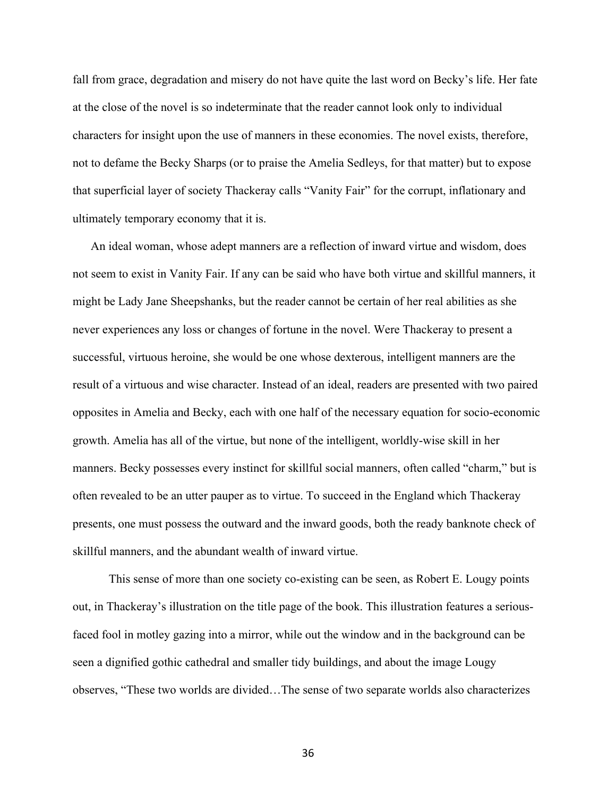fall from grace, degradation and misery do not have quite the last word on Becky's life. Her fate at the close of the novel is so indeterminate that the reader cannot look only to individual characters for insight upon the use of manners in these economies. The novel exists, therefore, not to defame the Becky Sharps (or to praise the Amelia Sedleys, for that matter) but to expose that superficial layer of society Thackeray calls "Vanity Fair" for the corrupt, inflationary and ultimately temporary economy that it is.

An ideal woman, whose adept manners are a reflection of inward virtue and wisdom, does not seem to exist in Vanity Fair. If any can be said who have both virtue and skillful manners, it might be Lady Jane Sheepshanks, but the reader cannot be certain of her real abilities as she never experiences any loss or changes of fortune in the novel. Were Thackeray to present a successful, virtuous heroine, she would be one whose dexterous, intelligent manners are the result of a virtuous and wise character. Instead of an ideal, readers are presented with two paired opposites in Amelia and Becky, each with one half of the necessary equation for socio-economic growth. Amelia has all of the virtue, but none of the intelligent, worldly-wise skill in her manners. Becky possesses every instinct for skillful social manners, often called "charm," but is often revealed to be an utter pauper as to virtue. To succeed in the England which Thackeray presents, one must possess the outward and the inward goods, both the ready banknote check of skillful manners, and the abundant wealth of inward virtue.

This sense of more than one society co-existing can be seen, as Robert E. Lougy points out, in Thackeray's illustration on the title page of the book. This illustration features a seriousfaced fool in motley gazing into a mirror, while out the window and in the background can be seen a dignified gothic cathedral and smaller tidy buildings, and about the image Lougy observes, "These two worlds are divided…The sense of two separate worlds also characterizes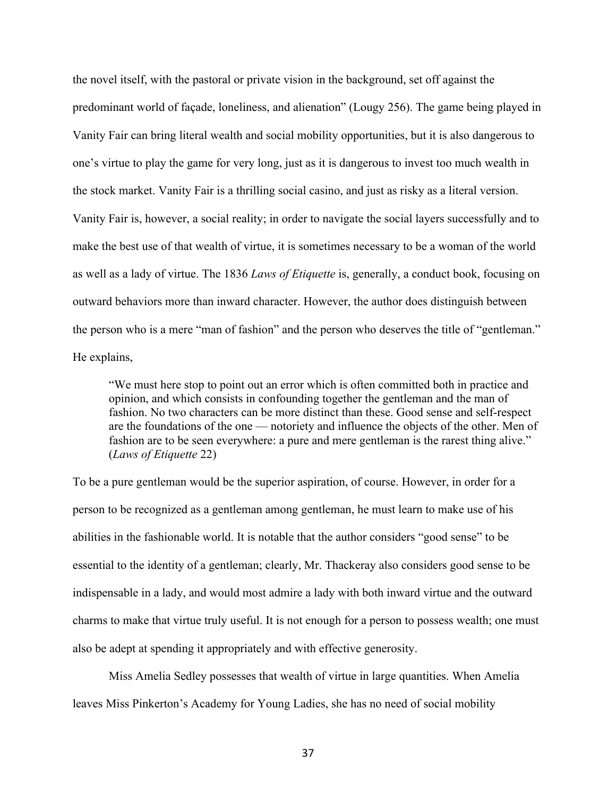the novel itself, with the pastoral or private vision in the background, set off against the predominant world of façade, loneliness, and alienation" (Lougy 256). The game being played in Vanity Fair can bring literal wealth and social mobility opportunities, but it is also dangerous to one's virtue to play the game for very long, just as it is dangerous to invest too much wealth in the stock market. Vanity Fair is a thrilling social casino, and just as risky as a literal version. Vanity Fair is, however, a social reality; in order to navigate the social layers successfully and to make the best use of that wealth of virtue, it is sometimes necessary to be a woman of the world as well as a lady of virtue. The 1836 *Laws of Etiquette* is, generally, a conduct book, focusing on outward behaviors more than inward character. However, the author does distinguish between the person who is a mere "man of fashion" and the person who deserves the title of "gentleman." He explains,

"We must here stop to point out an error which is often committed both in practice and opinion, and which consists in confounding together the gentleman and the man of fashion. No two characters can be more distinct than these. Good sense and self-respect are the foundations of the one — notoriety and influence the objects of the other. Men of fashion are to be seen everywhere: a pure and mere gentleman is the rarest thing alive." (*Laws of Etiquette* 22)

To be a pure gentleman would be the superior aspiration, of course. However, in order for a person to be recognized as a gentleman among gentleman, he must learn to make use of his abilities in the fashionable world. It is notable that the author considers "good sense" to be essential to the identity of a gentleman; clearly, Mr. Thackeray also considers good sense to be indispensable in a lady, and would most admire a lady with both inward virtue and the outward charms to make that virtue truly useful. It is not enough for a person to possess wealth; one must also be adept at spending it appropriately and with effective generosity.

Miss Amelia Sedley possesses that wealth of virtue in large quantities. When Amelia leaves Miss Pinkerton's Academy for Young Ladies, she has no need of social mobility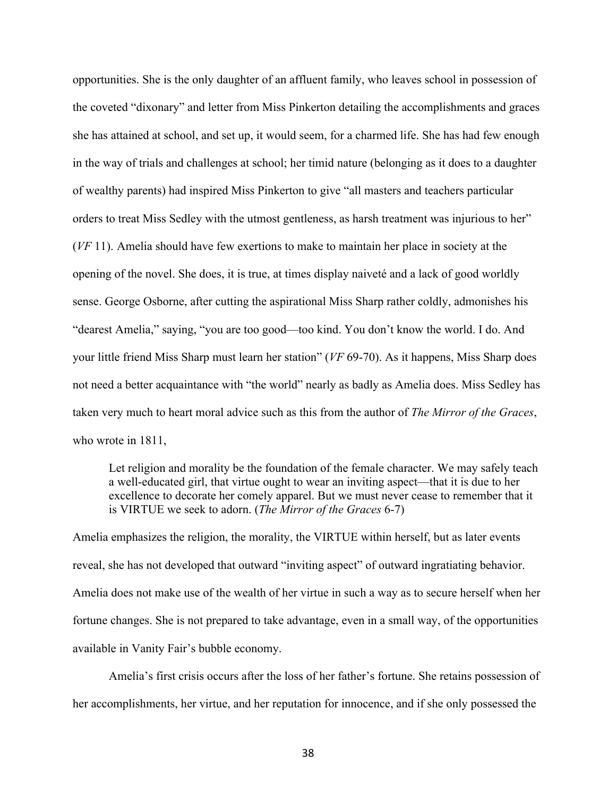opportunities. She is the only daughter of an affluent family, who leaves school in possession of the coveted "dixonary" and letter from Miss Pinkerton detailing the accomplishments and graces she has attained at school, and set up, it would seem, for a charmed life. She has had few enough in the way of trials and challenges at school; her timid nature (belonging as it does to a daughter of wealthy parents) had inspired Miss Pinkerton to give "all masters and teachers particular orders to treat Miss Sedley with the utmost gentleness, as harsh treatment was injurious to her" (*VF* 11). Amelia should have few exertions to make to maintain her place in society at the opening of the novel. She does, it is true, at times display naiveté and a lack of good worldly sense. George Osborne, after cutting the aspirational Miss Sharp rather coldly, admonishes his "dearest Amelia," saying, "you are too good—too kind. You don't know the world. I do. And your little friend Miss Sharp must learn her station" (*VF* 69-70). As it happens, Miss Sharp does not need a better acquaintance with "the world" nearly as badly as Amelia does. Miss Sedley has taken very much to heart moral advice such as this from the author of *The Mirror of the Graces*, who wrote in 1811.

Let religion and morality be the foundation of the female character. We may safely teach a well-educated girl, that virtue ought to wear an inviting aspect—that it is due to her excellence to decorate her comely apparel. But we must never cease to remember that it is VIRTUE we seek to adorn. (*The Mirror of the Graces* 6-7)

Amelia emphasizes the religion, the morality, the VIRTUE within herself, but as later events reveal, she has not developed that outward "inviting aspect" of outward ingratiating behavior. Amelia does not make use of the wealth of her virtue in such a way as to secure herself when her fortune changes. She is not prepared to take advantage, even in a small way, of the opportunities available in Vanity Fair's bubble economy.

Amelia's first crisis occurs after the loss of her father's fortune. She retains possession of her accomplishments, her virtue, and her reputation for innocence, and if she only possessed the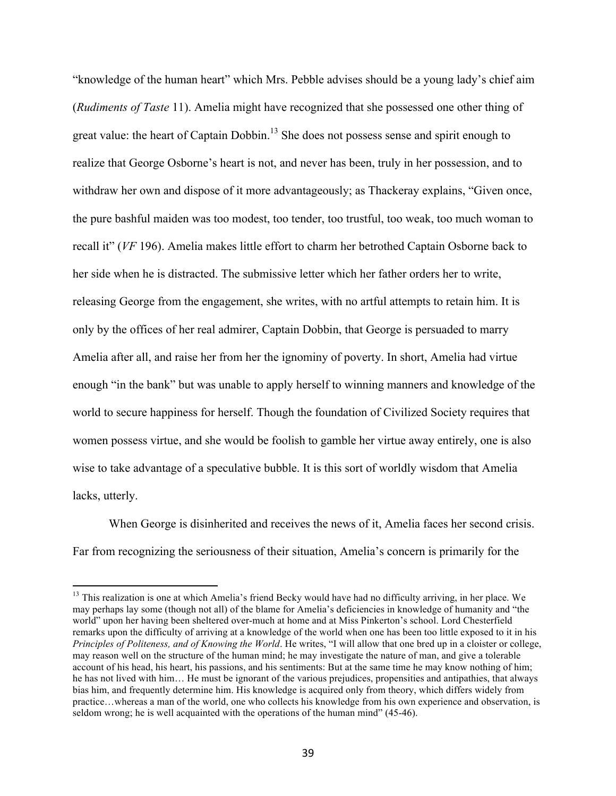"knowledge of the human heart" which Mrs. Pebble advises should be a young lady's chief aim (*Rudiments of Taste* 11). Amelia might have recognized that she possessed one other thing of great value: the heart of Captain Dobbin.<sup>13</sup> She does not possess sense and spirit enough to realize that George Osborne's heart is not, and never has been, truly in her possession, and to withdraw her own and dispose of it more advantageously; as Thackeray explains, "Given once, the pure bashful maiden was too modest, too tender, too trustful, too weak, too much woman to recall it" (*VF* 196). Amelia makes little effort to charm her betrothed Captain Osborne back to her side when he is distracted. The submissive letter which her father orders her to write, releasing George from the engagement, she writes, with no artful attempts to retain him. It is only by the offices of her real admirer, Captain Dobbin, that George is persuaded to marry Amelia after all, and raise her from her the ignominy of poverty. In short, Amelia had virtue enough "in the bank" but was unable to apply herself to winning manners and knowledge of the world to secure happiness for herself. Though the foundation of Civilized Society requires that women possess virtue, and she would be foolish to gamble her virtue away entirely, one is also wise to take advantage of a speculative bubble. It is this sort of worldly wisdom that Amelia lacks, utterly.

When George is disinherited and receives the news of it, Amelia faces her second crisis. Far from recognizing the seriousness of their situation, Amelia's concern is primarily for the

<sup>&</sup>lt;sup>13</sup> This realization is one at which Amelia's friend Becky would have had no difficulty arriving, in her place. We may perhaps lay some (though not all) of the blame for Amelia's deficiencies in knowledge of humanity and "the world" upon her having been sheltered over-much at home and at Miss Pinkerton's school. Lord Chesterfield remarks upon the difficulty of arriving at a knowledge of the world when one has been too little exposed to it in his *Principles of Politeness, and of Knowing the World*. He writes, "I will allow that one bred up in a cloister or college, may reason well on the structure of the human mind; he may investigate the nature of man, and give a tolerable account of his head, his heart, his passions, and his sentiments: But at the same time he may know nothing of him; he has not lived with him… He must be ignorant of the various prejudices, propensities and antipathies, that always bias him, and frequently determine him. His knowledge is acquired only from theory, which differs widely from practice…whereas a man of the world, one who collects his knowledge from his own experience and observation, is seldom wrong; he is well acquainted with the operations of the human mind" (45-46).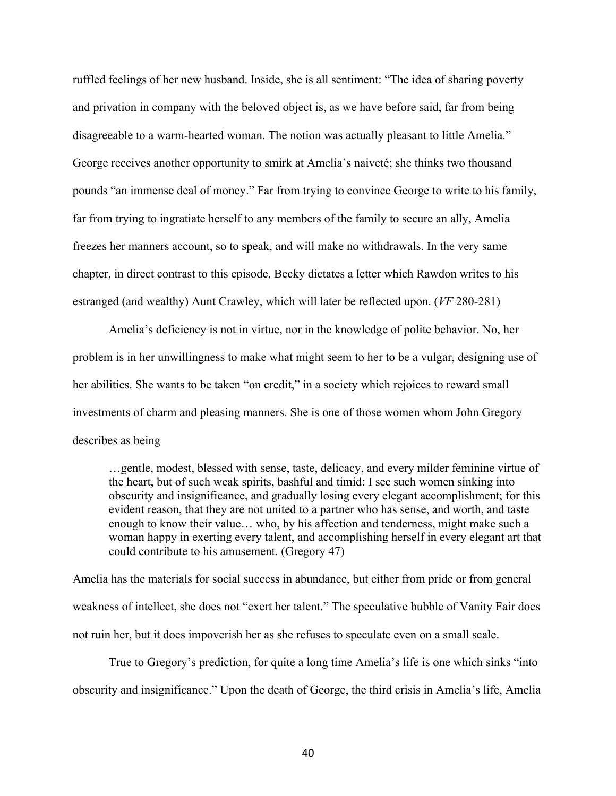ruffled feelings of her new husband. Inside, she is all sentiment: "The idea of sharing poverty and privation in company with the beloved object is, as we have before said, far from being disagreeable to a warm-hearted woman. The notion was actually pleasant to little Amelia." George receives another opportunity to smirk at Amelia's naiveté; she thinks two thousand pounds "an immense deal of money." Far from trying to convince George to write to his family, far from trying to ingratiate herself to any members of the family to secure an ally, Amelia freezes her manners account, so to speak, and will make no withdrawals. In the very same chapter, in direct contrast to this episode, Becky dictates a letter which Rawdon writes to his estranged (and wealthy) Aunt Crawley, which will later be reflected upon. (*VF* 280-281)

Amelia's deficiency is not in virtue, nor in the knowledge of polite behavior. No, her problem is in her unwillingness to make what might seem to her to be a vulgar, designing use of her abilities. She wants to be taken "on credit," in a society which rejoices to reward small investments of charm and pleasing manners. She is one of those women whom John Gregory describes as being

…gentle, modest, blessed with sense, taste, delicacy, and every milder feminine virtue of the heart, but of such weak spirits, bashful and timid: I see such women sinking into obscurity and insignificance, and gradually losing every elegant accomplishment; for this evident reason, that they are not united to a partner who has sense, and worth, and taste enough to know their value… who, by his affection and tenderness, might make such a woman happy in exerting every talent, and accomplishing herself in every elegant art that could contribute to his amusement. (Gregory 47)

Amelia has the materials for social success in abundance, but either from pride or from general weakness of intellect, she does not "exert her talent." The speculative bubble of Vanity Fair does not ruin her, but it does impoverish her as she refuses to speculate even on a small scale.

True to Gregory's prediction, for quite a long time Amelia's life is one which sinks "into obscurity and insignificance." Upon the death of George, the third crisis in Amelia's life, Amelia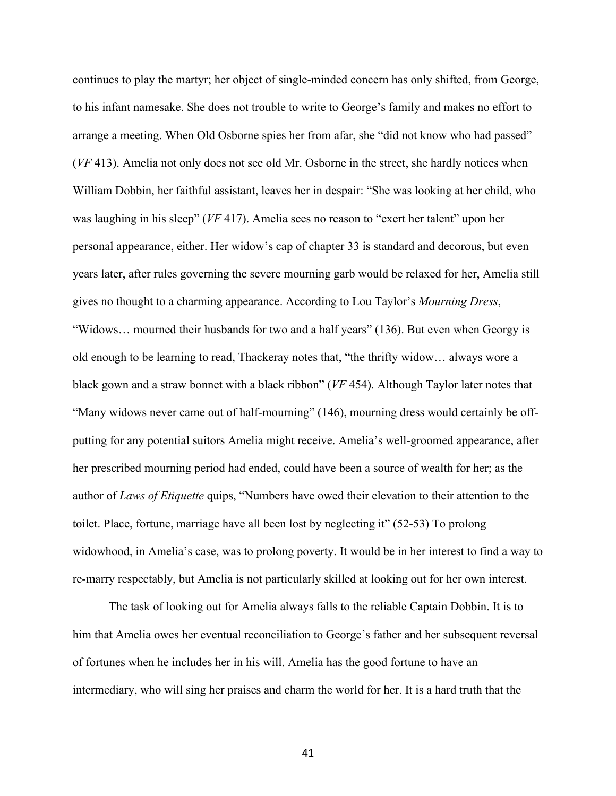continues to play the martyr; her object of single-minded concern has only shifted, from George, to his infant namesake. She does not trouble to write to George's family and makes no effort to arrange a meeting. When Old Osborne spies her from afar, she "did not know who had passed" (*VF* 413). Amelia not only does not see old Mr. Osborne in the street, she hardly notices when William Dobbin, her faithful assistant, leaves her in despair: "She was looking at her child, who was laughing in his sleep" (*VF* 417). Amelia sees no reason to "exert her talent" upon her personal appearance, either. Her widow's cap of chapter 33 is standard and decorous, but even years later, after rules governing the severe mourning garb would be relaxed for her, Amelia still gives no thought to a charming appearance. According to Lou Taylor's *Mourning Dress*, "Widows… mourned their husbands for two and a half years" (136). But even when Georgy is old enough to be learning to read, Thackeray notes that, "the thrifty widow… always wore a black gown and a straw bonnet with a black ribbon" (*VF* 454). Although Taylor later notes that "Many widows never came out of half-mourning" (146), mourning dress would certainly be offputting for any potential suitors Amelia might receive. Amelia's well-groomed appearance, after her prescribed mourning period had ended, could have been a source of wealth for her; as the author of *Laws of Etiquette* quips, "Numbers have owed their elevation to their attention to the toilet. Place, fortune, marriage have all been lost by neglecting it" (52-53) To prolong widowhood, in Amelia's case, was to prolong poverty. It would be in her interest to find a way to re-marry respectably, but Amelia is not particularly skilled at looking out for her own interest.

The task of looking out for Amelia always falls to the reliable Captain Dobbin. It is to him that Amelia owes her eventual reconciliation to George's father and her subsequent reversal of fortunes when he includes her in his will. Amelia has the good fortune to have an intermediary, who will sing her praises and charm the world for her. It is a hard truth that the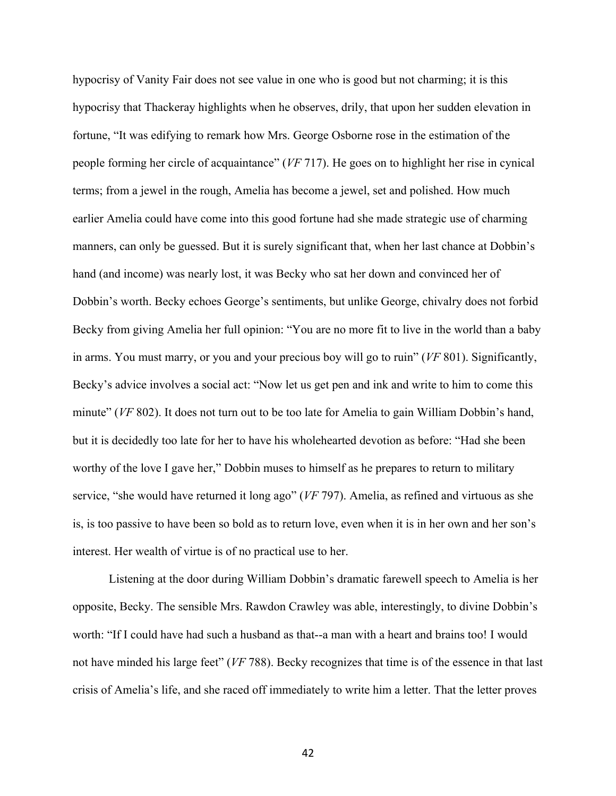hypocrisy of Vanity Fair does not see value in one who is good but not charming; it is this hypocrisy that Thackeray highlights when he observes, drily, that upon her sudden elevation in fortune, "It was edifying to remark how Mrs. George Osborne rose in the estimation of the people forming her circle of acquaintance" (*VF* 717). He goes on to highlight her rise in cynical terms; from a jewel in the rough, Amelia has become a jewel, set and polished. How much earlier Amelia could have come into this good fortune had she made strategic use of charming manners, can only be guessed. But it is surely significant that, when her last chance at Dobbin's hand (and income) was nearly lost, it was Becky who sat her down and convinced her of Dobbin's worth. Becky echoes George's sentiments, but unlike George, chivalry does not forbid Becky from giving Amelia her full opinion: "You are no more fit to live in the world than a baby in arms. You must marry, or you and your precious boy will go to ruin" (*VF* 801). Significantly, Becky's advice involves a social act: "Now let us get pen and ink and write to him to come this minute" (*VF* 802). It does not turn out to be too late for Amelia to gain William Dobbin's hand, but it is decidedly too late for her to have his wholehearted devotion as before: "Had she been worthy of the love I gave her," Dobbin muses to himself as he prepares to return to military service, "she would have returned it long ago" (*VF* 797). Amelia, as refined and virtuous as she is, is too passive to have been so bold as to return love, even when it is in her own and her son's interest. Her wealth of virtue is of no practical use to her.

Listening at the door during William Dobbin's dramatic farewell speech to Amelia is her opposite, Becky. The sensible Mrs. Rawdon Crawley was able, interestingly, to divine Dobbin's worth: "If I could have had such a husband as that--a man with a heart and brains too! I would not have minded his large feet" (*VF* 788). Becky recognizes that time is of the essence in that last crisis of Amelia's life, and she raced off immediately to write him a letter. That the letter proves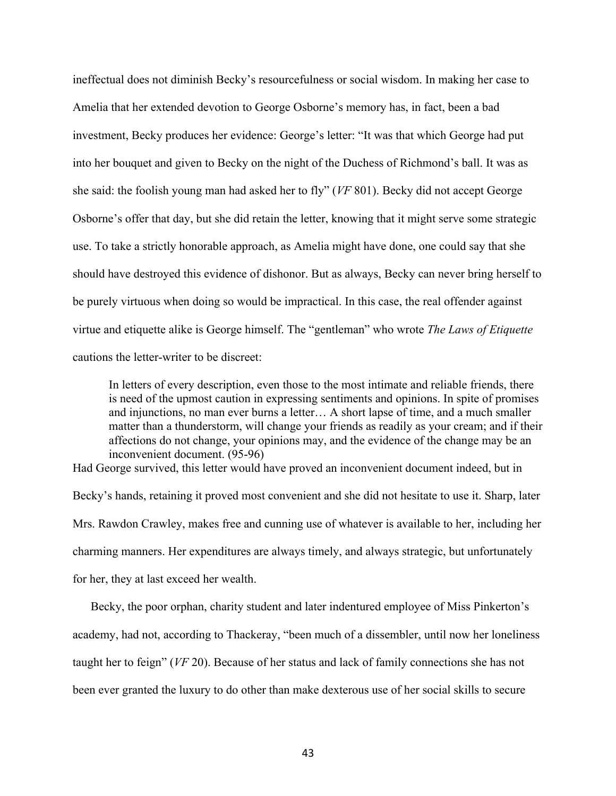ineffectual does not diminish Becky's resourcefulness or social wisdom. In making her case to Amelia that her extended devotion to George Osborne's memory has, in fact, been a bad investment, Becky produces her evidence: George's letter: "It was that which George had put into her bouquet and given to Becky on the night of the Duchess of Richmond's ball. It was as she said: the foolish young man had asked her to fly" (*VF* 801). Becky did not accept George Osborne's offer that day, but she did retain the letter, knowing that it might serve some strategic use. To take a strictly honorable approach, as Amelia might have done, one could say that she should have destroyed this evidence of dishonor. But as always, Becky can never bring herself to be purely virtuous when doing so would be impractical. In this case, the real offender against virtue and etiquette alike is George himself. The "gentleman" who wrote *The Laws of Etiquette*  cautions the letter-writer to be discreet:

In letters of every description, even those to the most intimate and reliable friends, there is need of the upmost caution in expressing sentiments and opinions. In spite of promises and injunctions, no man ever burns a letter… A short lapse of time, and a much smaller matter than a thunderstorm, will change your friends as readily as your cream; and if their affections do not change, your opinions may, and the evidence of the change may be an inconvenient document. (95-96)

Had George survived, this letter would have proved an inconvenient document indeed, but in Becky's hands, retaining it proved most convenient and she did not hesitate to use it. Sharp, later Mrs. Rawdon Crawley, makes free and cunning use of whatever is available to her, including her charming manners. Her expenditures are always timely, and always strategic, but unfortunately for her, they at last exceed her wealth.

Becky, the poor orphan, charity student and later indentured employee of Miss Pinkerton's academy, had not, according to Thackeray, "been much of a dissembler, until now her loneliness taught her to feign" (*VF* 20). Because of her status and lack of family connections she has not been ever granted the luxury to do other than make dexterous use of her social skills to secure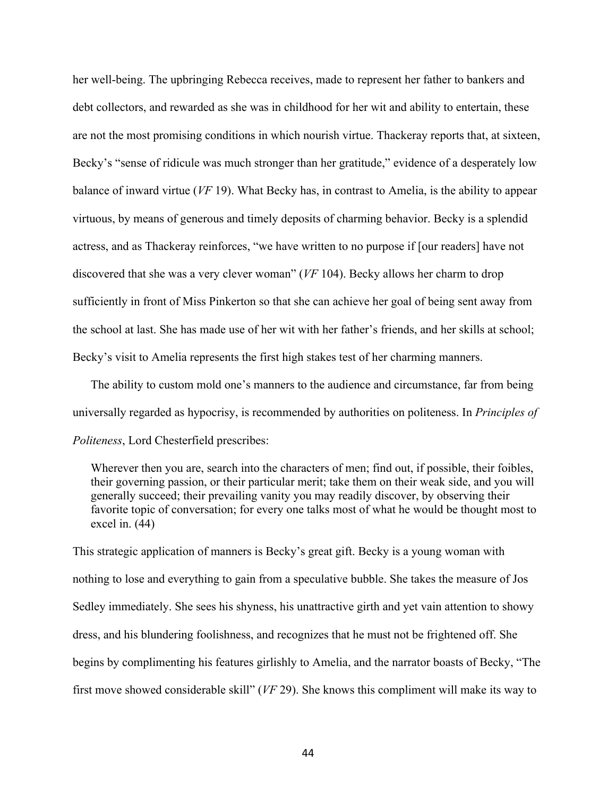her well-being. The upbringing Rebecca receives, made to represent her father to bankers and debt collectors, and rewarded as she was in childhood for her wit and ability to entertain, these are not the most promising conditions in which nourish virtue. Thackeray reports that, at sixteen, Becky's "sense of ridicule was much stronger than her gratitude," evidence of a desperately low balance of inward virtue (*VF* 19). What Becky has, in contrast to Amelia, is the ability to appear virtuous, by means of generous and timely deposits of charming behavior. Becky is a splendid actress, and as Thackeray reinforces, "we have written to no purpose if [our readers] have not discovered that she was a very clever woman" (*VF* 104). Becky allows her charm to drop sufficiently in front of Miss Pinkerton so that she can achieve her goal of being sent away from the school at last. She has made use of her wit with her father's friends, and her skills at school; Becky's visit to Amelia represents the first high stakes test of her charming manners.

The ability to custom mold one's manners to the audience and circumstance, far from being universally regarded as hypocrisy, is recommended by authorities on politeness. In *Principles of Politeness*, Lord Chesterfield prescribes:

Wherever then you are, search into the characters of men; find out, if possible, their foibles, their governing passion, or their particular merit; take them on their weak side, and you will generally succeed; their prevailing vanity you may readily discover, by observing their favorite topic of conversation; for every one talks most of what he would be thought most to excel in. (44)

This strategic application of manners is Becky's great gift. Becky is a young woman with nothing to lose and everything to gain from a speculative bubble. She takes the measure of Jos Sedley immediately. She sees his shyness, his unattractive girth and yet vain attention to showy dress, and his blundering foolishness, and recognizes that he must not be frightened off. She begins by complimenting his features girlishly to Amelia, and the narrator boasts of Becky, "The first move showed considerable skill" (*VF* 29). She knows this compliment will make its way to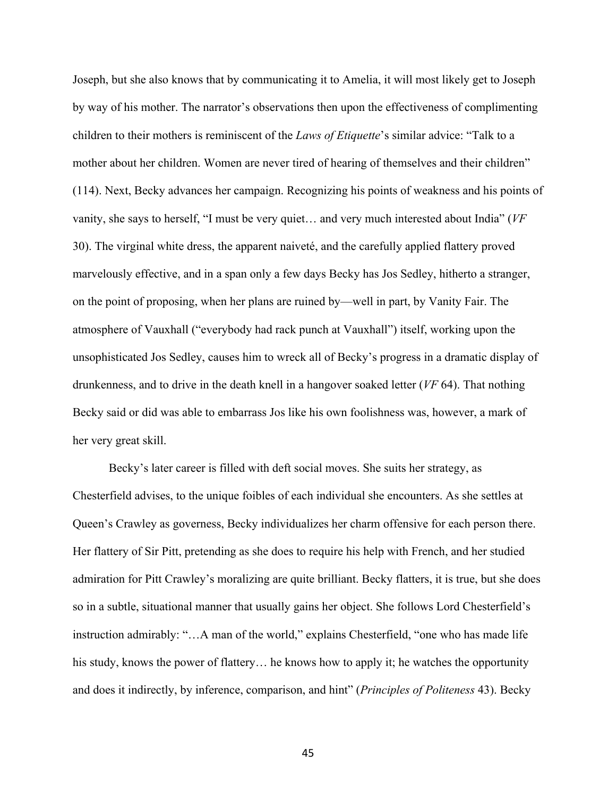Joseph, but she also knows that by communicating it to Amelia, it will most likely get to Joseph by way of his mother. The narrator's observations then upon the effectiveness of complimenting children to their mothers is reminiscent of the *Laws of Etiquette*'s similar advice: "Talk to a mother about her children. Women are never tired of hearing of themselves and their children" (114). Next, Becky advances her campaign. Recognizing his points of weakness and his points of vanity, she says to herself, "I must be very quiet… and very much interested about India" (*VF*  30). The virginal white dress, the apparent naiveté, and the carefully applied flattery proved marvelously effective, and in a span only a few days Becky has Jos Sedley, hitherto a stranger, on the point of proposing, when her plans are ruined by—well in part, by Vanity Fair. The atmosphere of Vauxhall ("everybody had rack punch at Vauxhall") itself, working upon the unsophisticated Jos Sedley, causes him to wreck all of Becky's progress in a dramatic display of drunkenness, and to drive in the death knell in a hangover soaked letter (*VF* 64). That nothing Becky said or did was able to embarrass Jos like his own foolishness was, however, a mark of her very great skill.

Becky's later career is filled with deft social moves. She suits her strategy, as Chesterfield advises, to the unique foibles of each individual she encounters. As she settles at Queen's Crawley as governess, Becky individualizes her charm offensive for each person there. Her flattery of Sir Pitt, pretending as she does to require his help with French, and her studied admiration for Pitt Crawley's moralizing are quite brilliant. Becky flatters, it is true, but she does so in a subtle, situational manner that usually gains her object. She follows Lord Chesterfield's instruction admirably: "…A man of the world," explains Chesterfield, "one who has made life his study, knows the power of flattery... he knows how to apply it; he watches the opportunity and does it indirectly, by inference, comparison, and hint" (*Principles of Politeness* 43). Becky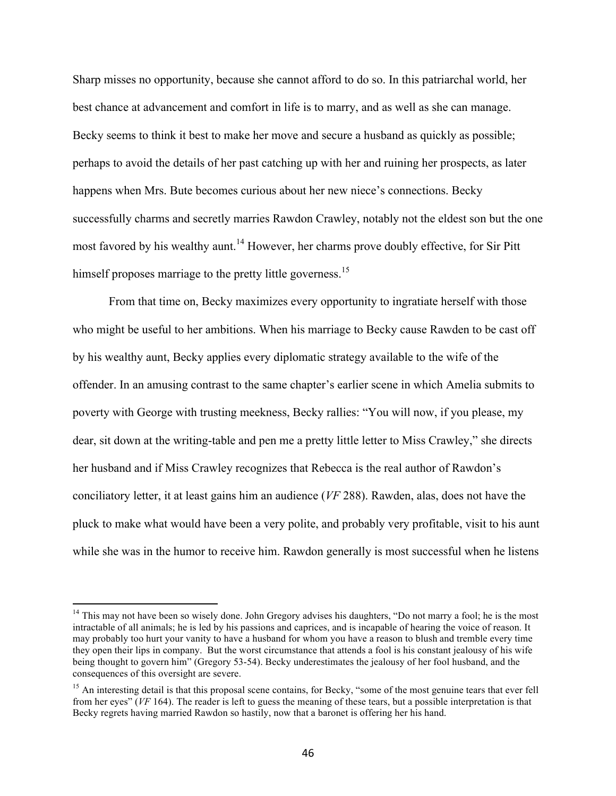Sharp misses no opportunity, because she cannot afford to do so. In this patriarchal world, her best chance at advancement and comfort in life is to marry, and as well as she can manage. Becky seems to think it best to make her move and secure a husband as quickly as possible; perhaps to avoid the details of her past catching up with her and ruining her prospects, as later happens when Mrs. Bute becomes curious about her new niece's connections. Becky successfully charms and secretly marries Rawdon Crawley, notably not the eldest son but the one most favored by his wealthy aunt.<sup>14</sup> However, her charms prove doubly effective, for Sir Pitt himself proposes marriage to the pretty little governess.<sup>15</sup>

From that time on, Becky maximizes every opportunity to ingratiate herself with those who might be useful to her ambitions. When his marriage to Becky cause Rawden to be cast off by his wealthy aunt, Becky applies every diplomatic strategy available to the wife of the offender. In an amusing contrast to the same chapter's earlier scene in which Amelia submits to poverty with George with trusting meekness, Becky rallies: "You will now, if you please, my dear, sit down at the writing-table and pen me a pretty little letter to Miss Crawley," she directs her husband and if Miss Crawley recognizes that Rebecca is the real author of Rawdon's conciliatory letter, it at least gains him an audience (*VF* 288). Rawden, alas, does not have the pluck to make what would have been a very polite, and probably very profitable, visit to his aunt while she was in the humor to receive him. Rawdon generally is most successful when he listens

<sup>&</sup>lt;sup>14</sup> This may not have been so wisely done. John Gregory advises his daughters, "Do not marry a fool; he is the most intractable of all animals; he is led by his passions and caprices, and is incapable of hearing the voice of reason. It may probably too hurt your vanity to have a husband for whom you have a reason to blush and tremble every time they open their lips in company. But the worst circumstance that attends a fool is his constant jealousy of his wife being thought to govern him" (Gregory 53-54). Becky underestimates the jealousy of her fool husband, and the consequences of this oversight are severe.

<sup>&</sup>lt;sup>15</sup> An interesting detail is that this proposal scene contains, for Becky, "some of the most genuine tears that ever fell from her eyes" (*VF* 164). The reader is left to guess the meaning of these tears, but a possible interpretation is that Becky regrets having married Rawdon so hastily, now that a baronet is offering her his hand.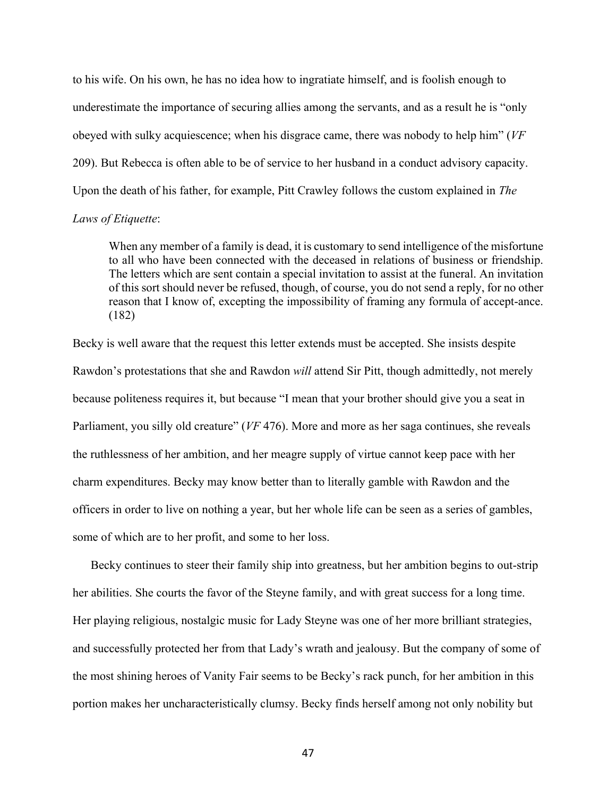to his wife. On his own, he has no idea how to ingratiate himself, and is foolish enough to underestimate the importance of securing allies among the servants, and as a result he is "only obeyed with sulky acquiescence; when his disgrace came, there was nobody to help him" (*VF* 209). But Rebecca is often able to be of service to her husband in a conduct advisory capacity. Upon the death of his father, for example, Pitt Crawley follows the custom explained in *The* 

# *Laws of Etiquette*:

When any member of a family is dead, it is customary to send intelligence of the misfortune to all who have been connected with the deceased in relations of business or friendship. The letters which are sent contain a special invitation to assist at the funeral. An invitation of this sort should never be refused, though, of course, you do not send a reply, for no other reason that I know of, excepting the impossibility of framing any formula of accept-ance. (182)

Becky is well aware that the request this letter extends must be accepted. She insists despite Rawdon's protestations that she and Rawdon *will* attend Sir Pitt, though admittedly, not merely because politeness requires it, but because "I mean that your brother should give you a seat in Parliament, you silly old creature" (*VF* 476). More and more as her saga continues, she reveals the ruthlessness of her ambition, and her meagre supply of virtue cannot keep pace with her charm expenditures. Becky may know better than to literally gamble with Rawdon and the officers in order to live on nothing a year, but her whole life can be seen as a series of gambles, some of which are to her profit, and some to her loss.

Becky continues to steer their family ship into greatness, but her ambition begins to out-strip her abilities. She courts the favor of the Steyne family, and with great success for a long time. Her playing religious, nostalgic music for Lady Steyne was one of her more brilliant strategies, and successfully protected her from that Lady's wrath and jealousy. But the company of some of the most shining heroes of Vanity Fair seems to be Becky's rack punch, for her ambition in this portion makes her uncharacteristically clumsy. Becky finds herself among not only nobility but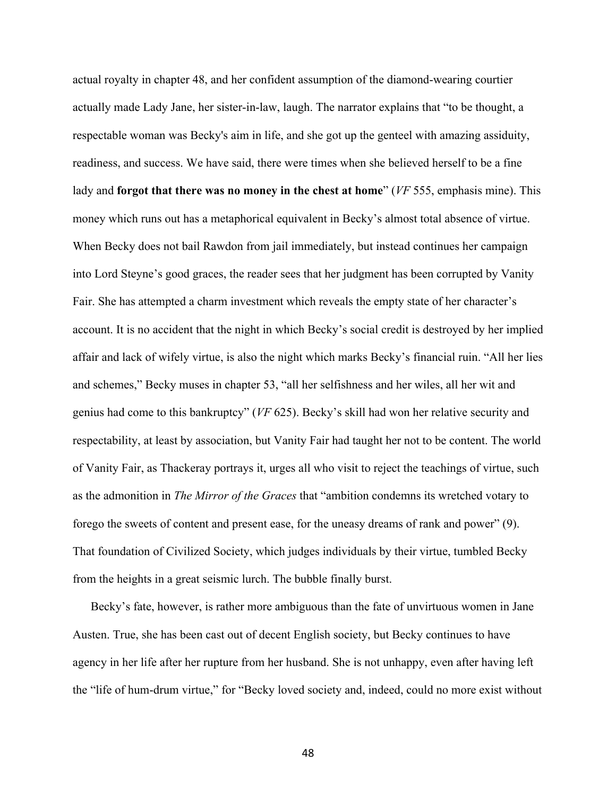actual royalty in chapter 48, and her confident assumption of the diamond-wearing courtier actually made Lady Jane, her sister-in-law, laugh. The narrator explains that "to be thought, a respectable woman was Becky's aim in life, and she got up the genteel with amazing assiduity, readiness, and success. We have said, there were times when she believed herself to be a fine lady and **forgot that there was no money in the chest at home**" (*VF* 555, emphasis mine). This money which runs out has a metaphorical equivalent in Becky's almost total absence of virtue. When Becky does not bail Rawdon from jail immediately, but instead continues her campaign into Lord Steyne's good graces, the reader sees that her judgment has been corrupted by Vanity Fair. She has attempted a charm investment which reveals the empty state of her character's account. It is no accident that the night in which Becky's social credit is destroyed by her implied affair and lack of wifely virtue, is also the night which marks Becky's financial ruin. "All her lies and schemes," Becky muses in chapter 53, "all her selfishness and her wiles, all her wit and genius had come to this bankruptcy" (*VF* 625). Becky's skill had won her relative security and respectability, at least by association, but Vanity Fair had taught her not to be content. The world of Vanity Fair, as Thackeray portrays it, urges all who visit to reject the teachings of virtue, such as the admonition in *The Mirror of the Graces* that "ambition condemns its wretched votary to forego the sweets of content and present ease, for the uneasy dreams of rank and power" (9). That foundation of Civilized Society, which judges individuals by their virtue, tumbled Becky from the heights in a great seismic lurch. The bubble finally burst.

Becky's fate, however, is rather more ambiguous than the fate of unvirtuous women in Jane Austen. True, she has been cast out of decent English society, but Becky continues to have agency in her life after her rupture from her husband. She is not unhappy, even after having left the "life of hum-drum virtue," for "Becky loved society and, indeed, could no more exist without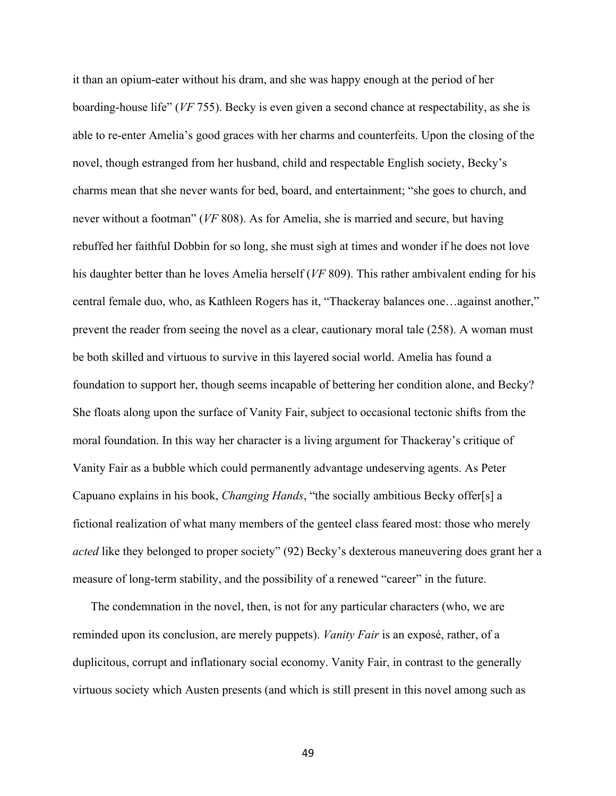it than an opium-eater without his dram, and she was happy enough at the period of her boarding-house life" (*VF* 755). Becky is even given a second chance at respectability, as she is able to re-enter Amelia's good graces with her charms and counterfeits. Upon the closing of the novel, though estranged from her husband, child and respectable English society, Becky's charms mean that she never wants for bed, board, and entertainment; "she goes to church, and never without a footman" (*VF* 808). As for Amelia, she is married and secure, but having rebuffed her faithful Dobbin for so long, she must sigh at times and wonder if he does not love his daughter better than he loves Amelia herself (*VF* 809). This rather ambivalent ending for his central female duo, who, as Kathleen Rogers has it, "Thackeray balances one…against another," prevent the reader from seeing the novel as a clear, cautionary moral tale (258). A woman must be both skilled and virtuous to survive in this layered social world. Amelia has found a foundation to support her, though seems incapable of bettering her condition alone, and Becky? She floats along upon the surface of Vanity Fair, subject to occasional tectonic shifts from the moral foundation. In this way her character is a living argument for Thackeray's critique of Vanity Fair as a bubble which could permanently advantage undeserving agents. As Peter Capuano explains in his book, *Changing Hands*, "the socially ambitious Becky offer[s] a fictional realization of what many members of the genteel class feared most: those who merely *acted* like they belonged to proper society" (92) Becky's dexterous maneuvering does grant her a measure of long-term stability, and the possibility of a renewed "career" in the future.

The condemnation in the novel, then, is not for any particular characters (who, we are reminded upon its conclusion, are merely puppets). *Vanity Fair* is an exposé, rather, of a duplicitous, corrupt and inflationary social economy. Vanity Fair, in contrast to the generally virtuous society which Austen presents (and which is still present in this novel among such as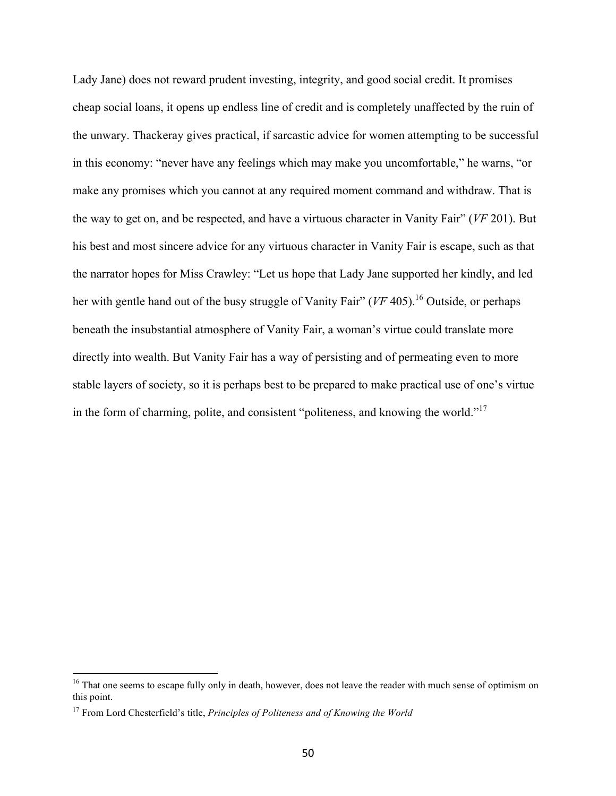Lady Jane) does not reward prudent investing, integrity, and good social credit. It promises cheap social loans, it opens up endless line of credit and is completely unaffected by the ruin of the unwary. Thackeray gives practical, if sarcastic advice for women attempting to be successful in this economy: "never have any feelings which may make you uncomfortable," he warns, "or make any promises which you cannot at any required moment command and withdraw. That is the way to get on, and be respected, and have a virtuous character in Vanity Fair" (*VF* 201). But his best and most sincere advice for any virtuous character in Vanity Fair is escape, such as that the narrator hopes for Miss Crawley: "Let us hope that Lady Jane supported her kindly, and led her with gentle hand out of the busy struggle of Vanity Fair" (*VF* 405). <sup>16</sup> Outside, or perhaps beneath the insubstantial atmosphere of Vanity Fair, a woman's virtue could translate more directly into wealth. But Vanity Fair has a way of persisting and of permeating even to more stable layers of society, so it is perhaps best to be prepared to make practical use of one's virtue in the form of charming, polite, and consistent "politeness, and knowing the world."<sup>17</sup>

<sup>&</sup>lt;sup>16</sup> That one seems to escape fully only in death, however, does not leave the reader with much sense of optimism on this point.

<sup>17</sup> From Lord Chesterfield's title, *Principles of Politeness and of Knowing the World*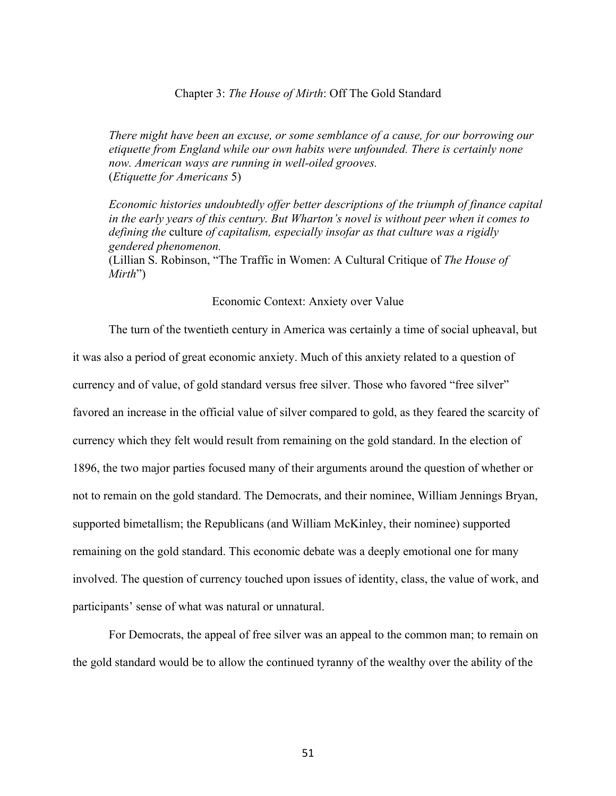## Chapter 3: *The House of Mirth*: Off The Gold Standard

*There might have been an excuse, or some semblance of a cause, for our borrowing our etiquette from England while our own habits were unfounded. There is certainly none now. American ways are running in well-oiled grooves.* (*Etiquette for Americans* 5)

*Economic histories undoubtedly offer better descriptions of the triumph of finance capital in the early years of this century. But Wharton's novel is without peer when it comes to defining the* culture *of capitalism, especially insofar as that culture was a rigidly gendered phenomenon.* 

(Lillian S. Robinson, "The Traffic in Women: A Cultural Critique of *The House of Mirth*")

### Economic Context: Anxiety over Value

The turn of the twentieth century in America was certainly a time of social upheaval, but it was also a period of great economic anxiety. Much of this anxiety related to a question of currency and of value, of gold standard versus free silver. Those who favored "free silver" favored an increase in the official value of silver compared to gold, as they feared the scarcity of currency which they felt would result from remaining on the gold standard. In the election of 1896, the two major parties focused many of their arguments around the question of whether or not to remain on the gold standard. The Democrats, and their nominee, William Jennings Bryan, supported bimetallism; the Republicans (and William McKinley, their nominee) supported remaining on the gold standard. This economic debate was a deeply emotional one for many involved. The question of currency touched upon issues of identity, class, the value of work, and participants' sense of what was natural or unnatural.

For Democrats, the appeal of free silver was an appeal to the common man; to remain on the gold standard would be to allow the continued tyranny of the wealthy over the ability of the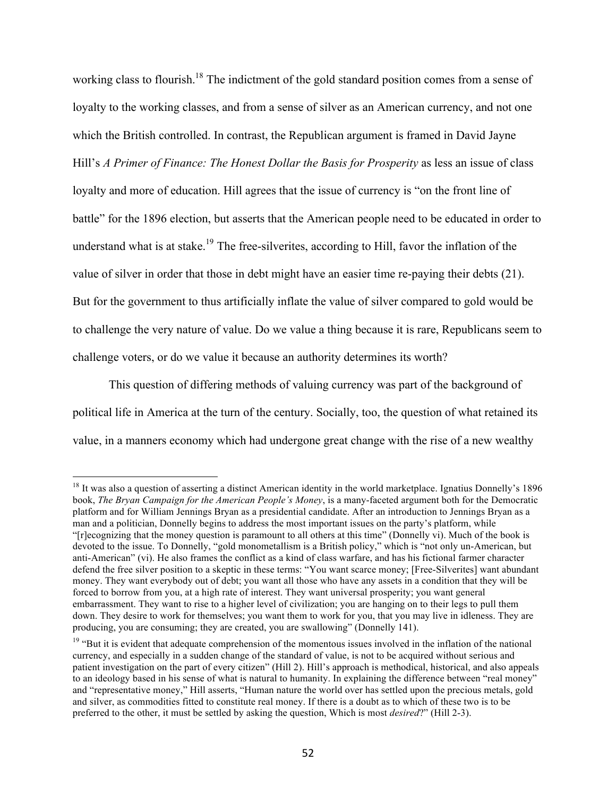working class to flourish.<sup>18</sup> The indictment of the gold standard position comes from a sense of loyalty to the working classes, and from a sense of silver as an American currency, and not one which the British controlled. In contrast, the Republican argument is framed in David Jayne Hill's *A Primer of Finance: The Honest Dollar the Basis for Prosperity* as less an issue of class loyalty and more of education. Hill agrees that the issue of currency is "on the front line of battle" for the 1896 election, but asserts that the American people need to be educated in order to understand what is at stake.<sup>19</sup> The free-silverites, according to Hill, favor the inflation of the value of silver in order that those in debt might have an easier time re-paying their debts (21). But for the government to thus artificially inflate the value of silver compared to gold would be to challenge the very nature of value. Do we value a thing because it is rare, Republicans seem to challenge voters, or do we value it because an authority determines its worth?

This question of differing methods of valuing currency was part of the background of political life in America at the turn of the century. Socially, too, the question of what retained its value, in a manners economy which had undergone great change with the rise of a new wealthy

<sup>&</sup>lt;sup>18</sup> It was also a question of asserting a distinct American identity in the world marketplace. Ignatius Donnelly's 1896 book, *The Bryan Campaign for the American People's Money*, is a many-faceted argument both for the Democratic platform and for William Jennings Bryan as a presidential candidate. After an introduction to Jennings Bryan as a man and a politician, Donnelly begins to address the most important issues on the party's platform, while "[r]ecognizing that the money question is paramount to all others at this time" (Donnelly vi). Much of the book is devoted to the issue. To Donnelly, "gold monometallism is a British policy," which is "not only un-American, but anti-American" (vi). He also frames the conflict as a kind of class warfare, and has his fictional farmer character defend the free silver position to a skeptic in these terms: "You want scarce money; [Free-Silverites] want abundant money. They want everybody out of debt; you want all those who have any assets in a condition that they will be forced to borrow from you, at a high rate of interest. They want universal prosperity; you want general embarrassment. They want to rise to a higher level of civilization; you are hanging on to their legs to pull them down. They desire to work for themselves; you want them to work for you, that you may live in idleness. They are producing, you are consuming; they are created, you are swallowing" (Donnelly 141).

<sup>&</sup>lt;sup>19</sup> "But it is evident that adequate comprehension of the momentous issues involved in the inflation of the national currency, and especially in a sudden change of the standard of value, is not to be acquired without serious and patient investigation on the part of every citizen" (Hill 2). Hill's approach is methodical, historical, and also appeals to an ideology based in his sense of what is natural to humanity. In explaining the difference between "real money" and "representative money," Hill asserts, "Human nature the world over has settled upon the precious metals, gold and silver, as commodities fitted to constitute real money. If there is a doubt as to which of these two is to be preferred to the other, it must be settled by asking the question, Which is most *desired*?" (Hill 2-3).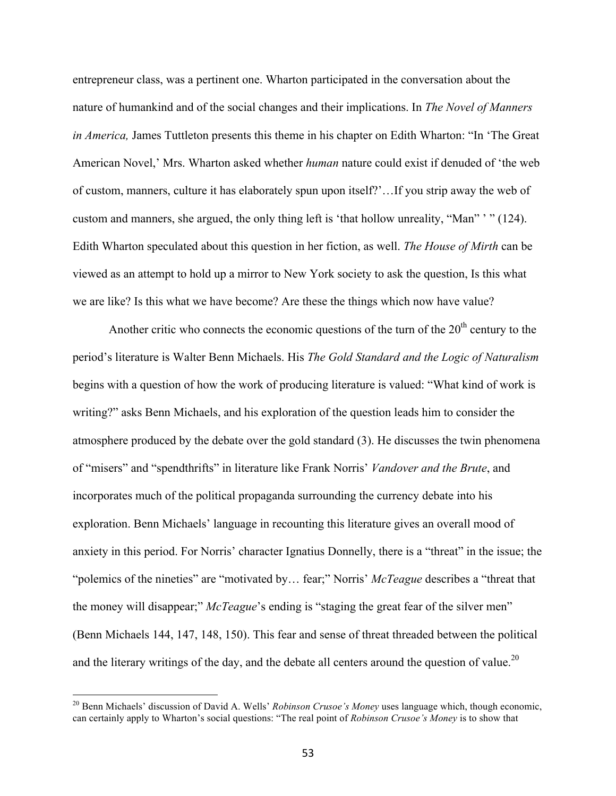entrepreneur class, was a pertinent one. Wharton participated in the conversation about the nature of humankind and of the social changes and their implications. In *The Novel of Manners in America,* James Tuttleton presents this theme in his chapter on Edith Wharton: "In 'The Great American Novel,' Mrs. Wharton asked whether *human* nature could exist if denuded of 'the web of custom, manners, culture it has elaborately spun upon itself?'…If you strip away the web of custom and manners, she argued, the only thing left is 'that hollow unreality, "Man" ' " (124). Edith Wharton speculated about this question in her fiction, as well. *The House of Mirth* can be viewed as an attempt to hold up a mirror to New York society to ask the question, Is this what we are like? Is this what we have become? Are these the things which now have value?

Another critic who connects the economic questions of the turn of the  $20<sup>th</sup>$  century to the period's literature is Walter Benn Michaels. His *The Gold Standard and the Logic of Naturalism* begins with a question of how the work of producing literature is valued: "What kind of work is writing?" asks Benn Michaels, and his exploration of the question leads him to consider the atmosphere produced by the debate over the gold standard (3). He discusses the twin phenomena of "misers" and "spendthrifts" in literature like Frank Norris' *Vandover and the Brute*, and incorporates much of the political propaganda surrounding the currency debate into his exploration. Benn Michaels' language in recounting this literature gives an overall mood of anxiety in this period. For Norris' character Ignatius Donnelly, there is a "threat" in the issue; the "polemics of the nineties" are "motivated by… fear;" Norris' *McTeague* describes a "threat that the money will disappear;" *McTeague*'s ending is "staging the great fear of the silver men" (Benn Michaels 144, 147, 148, 150). This fear and sense of threat threaded between the political and the literary writings of the day, and the debate all centers around the question of value.<sup>20</sup>

<sup>&</sup>lt;sup>20</sup> Benn Michaels' discussion of David A. Wells' *Robinson Crusoe's Money* uses language which, though economic, can certainly apply to Wharton's social questions: "The real point of *Robinson Crusoe's Money* is to show that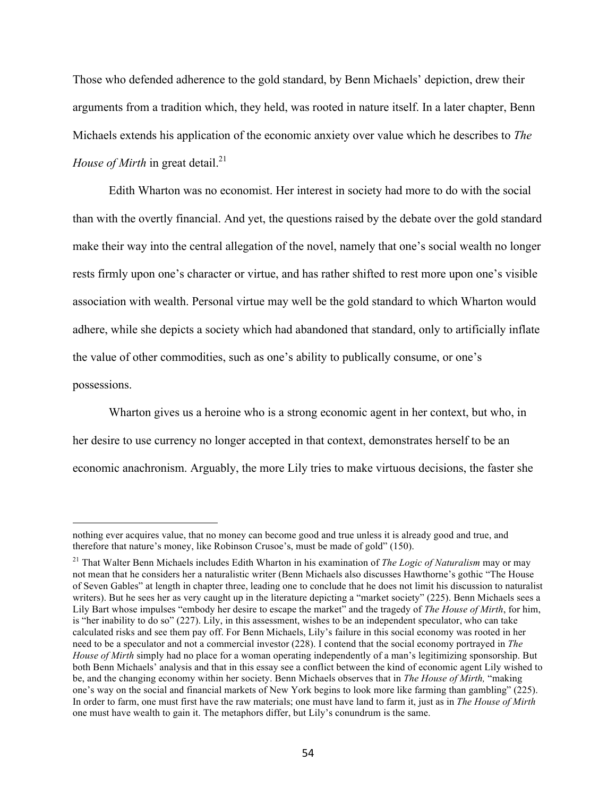Those who defended adherence to the gold standard, by Benn Michaels' depiction, drew their arguments from a tradition which, they held, was rooted in nature itself. In a later chapter, Benn Michaels extends his application of the economic anxiety over value which he describes to *The House of Mirth* in great detail.<sup>21</sup>

Edith Wharton was no economist. Her interest in society had more to do with the social than with the overtly financial. And yet, the questions raised by the debate over the gold standard make their way into the central allegation of the novel, namely that one's social wealth no longer rests firmly upon one's character or virtue, and has rather shifted to rest more upon one's visible association with wealth. Personal virtue may well be the gold standard to which Wharton would adhere, while she depicts a society which had abandoned that standard, only to artificially inflate the value of other commodities, such as one's ability to publically consume, or one's possessions.

Wharton gives us a heroine who is a strong economic agent in her context, but who, in her desire to use currency no longer accepted in that context, demonstrates herself to be an economic anachronism. Arguably, the more Lily tries to make virtuous decisions, the faster she

nothing ever acquires value, that no money can become good and true unless it is already good and true, and therefore that nature's money, like Robinson Crusoe's, must be made of gold" (150).

<sup>21</sup> That Walter Benn Michaels includes Edith Wharton in his examination of *The Logic of Naturalism* may or may not mean that he considers her a naturalistic writer (Benn Michaels also discusses Hawthorne's gothic "The House of Seven Gables" at length in chapter three, leading one to conclude that he does not limit his discussion to naturalist writers). But he sees her as very caught up in the literature depicting a "market society" (225). Benn Michaels sees a Lily Bart whose impulses "embody her desire to escape the market" and the tragedy of *The House of Mirth*, for him, is "her inability to do so" (227). Lily, in this assessment, wishes to be an independent speculator, who can take calculated risks and see them pay off. For Benn Michaels, Lily's failure in this social economy was rooted in her need to be a speculator and not a commercial investor (228). I contend that the social economy portrayed in *The House of Mirth* simply had no place for a woman operating independently of a man's legitimizing sponsorship. But both Benn Michaels' analysis and that in this essay see a conflict between the kind of economic agent Lily wished to be, and the changing economy within her society. Benn Michaels observes that in *The House of Mirth,* "making one's way on the social and financial markets of New York begins to look more like farming than gambling" (225). In order to farm, one must first have the raw materials; one must have land to farm it, just as in *The House of Mirth*  one must have wealth to gain it. The metaphors differ, but Lily's conundrum is the same.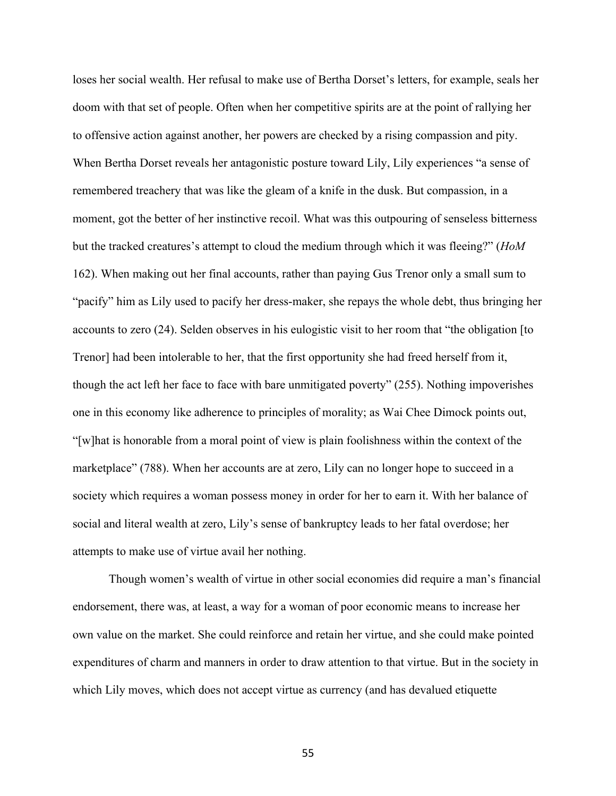loses her social wealth. Her refusal to make use of Bertha Dorset's letters, for example, seals her doom with that set of people. Often when her competitive spirits are at the point of rallying her to offensive action against another, her powers are checked by a rising compassion and pity. When Bertha Dorset reveals her antagonistic posture toward Lily, Lily experiences "a sense of remembered treachery that was like the gleam of a knife in the dusk. But compassion, in a moment, got the better of her instinctive recoil. What was this outpouring of senseless bitterness but the tracked creatures's attempt to cloud the medium through which it was fleeing?" (*HoM*  162). When making out her final accounts, rather than paying Gus Trenor only a small sum to "pacify" him as Lily used to pacify her dress-maker, she repays the whole debt, thus bringing her accounts to zero (24). Selden observes in his eulogistic visit to her room that "the obligation [to Trenor] had been intolerable to her, that the first opportunity she had freed herself from it, though the act left her face to face with bare unmitigated poverty" (255). Nothing impoverishes one in this economy like adherence to principles of morality; as Wai Chee Dimock points out, "[w]hat is honorable from a moral point of view is plain foolishness within the context of the marketplace" (788). When her accounts are at zero, Lily can no longer hope to succeed in a society which requires a woman possess money in order for her to earn it. With her balance of social and literal wealth at zero, Lily's sense of bankruptcy leads to her fatal overdose; her attempts to make use of virtue avail her nothing.

Though women's wealth of virtue in other social economies did require a man's financial endorsement, there was, at least, a way for a woman of poor economic means to increase her own value on the market. She could reinforce and retain her virtue, and she could make pointed expenditures of charm and manners in order to draw attention to that virtue. But in the society in which Lily moves, which does not accept virtue as currency (and has devalued etiquette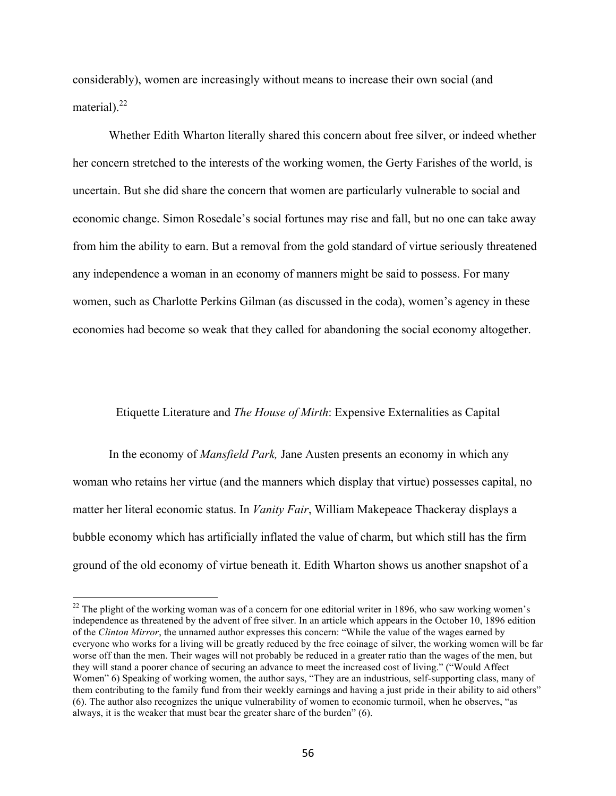considerably), women are increasingly without means to increase their own social (and material).<sup>22</sup>

Whether Edith Wharton literally shared this concern about free silver, or indeed whether her concern stretched to the interests of the working women, the Gerty Farishes of the world, is uncertain. But she did share the concern that women are particularly vulnerable to social and economic change. Simon Rosedale's social fortunes may rise and fall, but no one can take away from him the ability to earn. But a removal from the gold standard of virtue seriously threatened any independence a woman in an economy of manners might be said to possess. For many women, such as Charlotte Perkins Gilman (as discussed in the coda), women's agency in these economies had become so weak that they called for abandoning the social economy altogether.

### Etiquette Literature and *The House of Mirth*: Expensive Externalities as Capital

In the economy of *Mansfield Park,* Jane Austen presents an economy in which any woman who retains her virtue (and the manners which display that virtue) possesses capital, no matter her literal economic status. In *Vanity Fair*, William Makepeace Thackeray displays a bubble economy which has artificially inflated the value of charm, but which still has the firm ground of the old economy of virtue beneath it. Edith Wharton shows us another snapshot of a

<sup>&</sup>lt;sup>22</sup> The plight of the working woman was of a concern for one editorial writer in 1896, who saw working women's independence as threatened by the advent of free silver. In an article which appears in the October 10, 1896 edition of the *Clinton Mirror*, the unnamed author expresses this concern: "While the value of the wages earned by everyone who works for a living will be greatly reduced by the free coinage of silver, the working women will be far worse off than the men. Their wages will not probably be reduced in a greater ratio than the wages of the men, but they will stand a poorer chance of securing an advance to meet the increased cost of living." ("Would Affect Women" 6) Speaking of working women, the author says, "They are an industrious, self-supporting class, many of them contributing to the family fund from their weekly earnings and having a just pride in their ability to aid others" (6). The author also recognizes the unique vulnerability of women to economic turmoil, when he observes, "as always, it is the weaker that must bear the greater share of the burden" (6).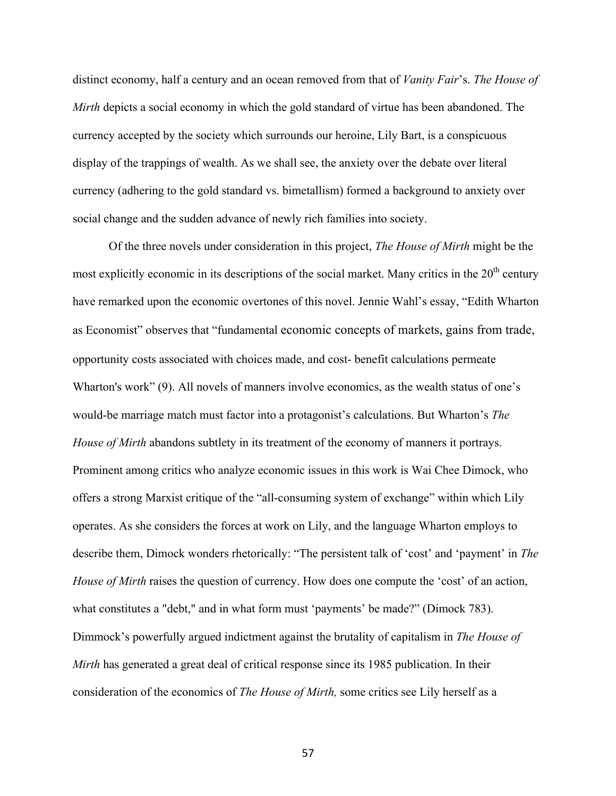distinct economy, half a century and an ocean removed from that of *Vanity Fair*'s. *The House of Mirth* depicts a social economy in which the gold standard of virtue has been abandoned. The currency accepted by the society which surrounds our heroine, Lily Bart, is a conspicuous display of the trappings of wealth. As we shall see, the anxiety over the debate over literal currency (adhering to the gold standard vs. bimetallism) formed a background to anxiety over social change and the sudden advance of newly rich families into society.

Of the three novels under consideration in this project, *The House of Mirth* might be the most explicitly economic in its descriptions of the social market. Many critics in the 20<sup>th</sup> century have remarked upon the economic overtones of this novel. Jennie Wahl's essay, "Edith Wharton as Economist" observes that "fundamental economic concepts of markets, gains from trade, opportunity costs associated with choices made, and cost- benefit calculations permeate Wharton's work" (9). All novels of manners involve economics, as the wealth status of one's would-be marriage match must factor into a protagonist's calculations. But Wharton's *The House of Mirth* abandons subtlety in its treatment of the economy of manners it portrays. Prominent among critics who analyze economic issues in this work is Wai Chee Dimock, who offers a strong Marxist critique of the "all-consuming system of exchange" within which Lily operates. As she considers the forces at work on Lily, and the language Wharton employs to describe them, Dimock wonders rhetorically: "The persistent talk of 'cost' and 'payment' in *The House of Mirth* raises the question of currency. How does one compute the 'cost' of an action, what constitutes a "debt," and in what form must 'payments' be made?" (Dimock 783). Dimmock's powerfully argued indictment against the brutality of capitalism in *The House of Mirth* has generated a great deal of critical response since its 1985 publication. In their consideration of the economics of *The House of Mirth,* some critics see Lily herself as a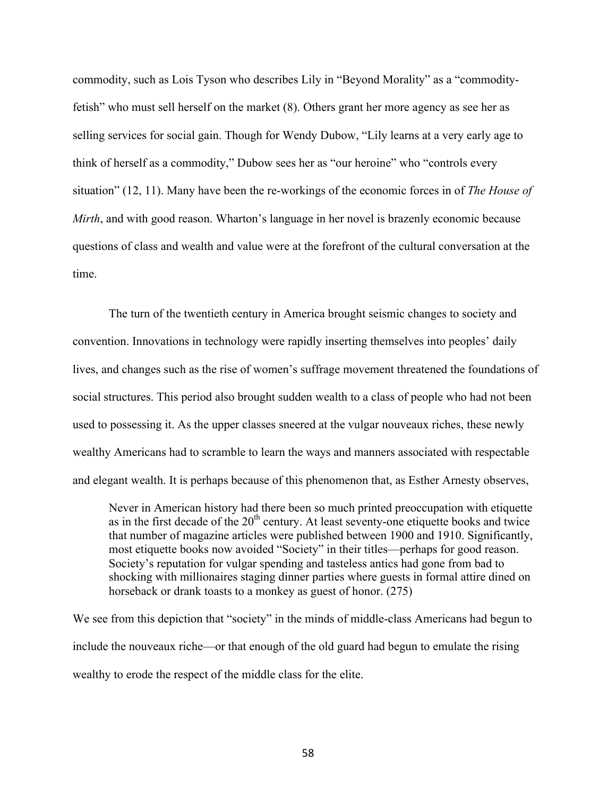commodity, such as Lois Tyson who describes Lily in "Beyond Morality" as a "commodityfetish" who must sell herself on the market (8). Others grant her more agency as see her as selling services for social gain. Though for Wendy Dubow, "Lily learns at a very early age to think of herself as a commodity," Dubow sees her as "our heroine" who "controls every situation" (12, 11). Many have been the re-workings of the economic forces in of *The House of Mirth*, and with good reason. Wharton's language in her novel is brazenly economic because questions of class and wealth and value were at the forefront of the cultural conversation at the time.

The turn of the twentieth century in America brought seismic changes to society and convention. Innovations in technology were rapidly inserting themselves into peoples' daily lives, and changes such as the rise of women's suffrage movement threatened the foundations of social structures. This period also brought sudden wealth to a class of people who had not been used to possessing it. As the upper classes sneered at the vulgar nouveaux riches, these newly wealthy Americans had to scramble to learn the ways and manners associated with respectable and elegant wealth. It is perhaps because of this phenomenon that, as Esther Arnesty observes,

Never in American history had there been so much printed preoccupation with etiquette as in the first decade of the  $20<sup>th</sup>$  century. At least seventy-one etiquette books and twice that number of magazine articles were published between 1900 and 1910. Significantly, most etiquette books now avoided "Society" in their titles—perhaps for good reason. Society's reputation for vulgar spending and tasteless antics had gone from bad to shocking with millionaires staging dinner parties where guests in formal attire dined on horseback or drank toasts to a monkey as guest of honor. (275)

We see from this depiction that "society" in the minds of middle-class Americans had begun to include the nouveaux riche—or that enough of the old guard had begun to emulate the rising wealthy to erode the respect of the middle class for the elite.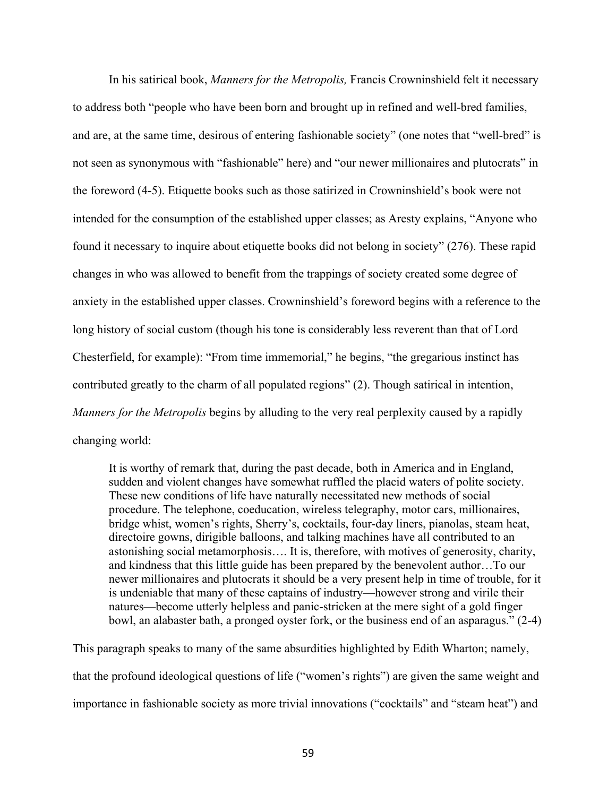In his satirical book, *Manners for the Metropolis,* Francis Crowninshield felt it necessary to address both "people who have been born and brought up in refined and well-bred families, and are, at the same time, desirous of entering fashionable society" (one notes that "well-bred" is not seen as synonymous with "fashionable" here) and "our newer millionaires and plutocrats" in the foreword (4-5). Etiquette books such as those satirized in Crowninshield's book were not intended for the consumption of the established upper classes; as Aresty explains, "Anyone who found it necessary to inquire about etiquette books did not belong in society" (276). These rapid changes in who was allowed to benefit from the trappings of society created some degree of anxiety in the established upper classes. Crowninshield's foreword begins with a reference to the long history of social custom (though his tone is considerably less reverent than that of Lord Chesterfield, for example): "From time immemorial," he begins, "the gregarious instinct has contributed greatly to the charm of all populated regions" (2). Though satirical in intention, *Manners for the Metropolis* begins by alluding to the very real perplexity caused by a rapidly changing world:

It is worthy of remark that, during the past decade, both in America and in England, sudden and violent changes have somewhat ruffled the placid waters of polite society. These new conditions of life have naturally necessitated new methods of social procedure. The telephone, coeducation, wireless telegraphy, motor cars, millionaires, bridge whist, women's rights, Sherry's, cocktails, four-day liners, pianolas, steam heat, directoire gowns, dirigible balloons, and talking machines have all contributed to an astonishing social metamorphosis…. It is, therefore, with motives of generosity, charity, and kindness that this little guide has been prepared by the benevolent author…To our newer millionaires and plutocrats it should be a very present help in time of trouble, for it is undeniable that many of these captains of industry—however strong and virile their natures—become utterly helpless and panic-stricken at the mere sight of a gold finger bowl, an alabaster bath, a pronged oyster fork, or the business end of an asparagus." (2-4)

This paragraph speaks to many of the same absurdities highlighted by Edith Wharton; namely, that the profound ideological questions of life ("women's rights") are given the same weight and importance in fashionable society as more trivial innovations ("cocktails" and "steam heat") and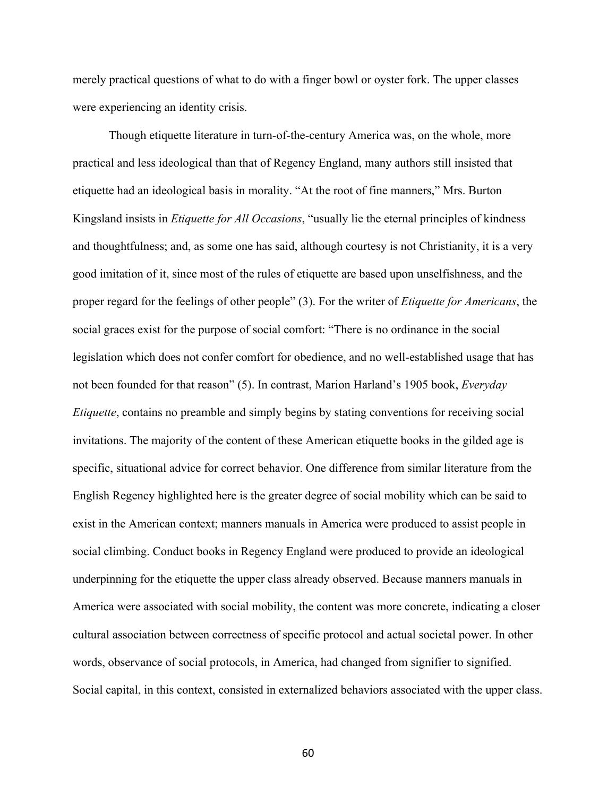merely practical questions of what to do with a finger bowl or oyster fork. The upper classes were experiencing an identity crisis.

Though etiquette literature in turn-of-the-century America was, on the whole, more practical and less ideological than that of Regency England, many authors still insisted that etiquette had an ideological basis in morality. "At the root of fine manners," Mrs. Burton Kingsland insists in *Etiquette for All Occasions*, "usually lie the eternal principles of kindness and thoughtfulness; and, as some one has said, although courtesy is not Christianity, it is a very good imitation of it, since most of the rules of etiquette are based upon unselfishness, and the proper regard for the feelings of other people" (3). For the writer of *Etiquette for Americans*, the social graces exist for the purpose of social comfort: "There is no ordinance in the social legislation which does not confer comfort for obedience, and no well-established usage that has not been founded for that reason" (5). In contrast, Marion Harland's 1905 book, *Everyday Etiquette*, contains no preamble and simply begins by stating conventions for receiving social invitations. The majority of the content of these American etiquette books in the gilded age is specific, situational advice for correct behavior. One difference from similar literature from the English Regency highlighted here is the greater degree of social mobility which can be said to exist in the American context; manners manuals in America were produced to assist people in social climbing. Conduct books in Regency England were produced to provide an ideological underpinning for the etiquette the upper class already observed. Because manners manuals in America were associated with social mobility, the content was more concrete, indicating a closer cultural association between correctness of specific protocol and actual societal power. In other words, observance of social protocols, in America, had changed from signifier to signified. Social capital, in this context, consisted in externalized behaviors associated with the upper class.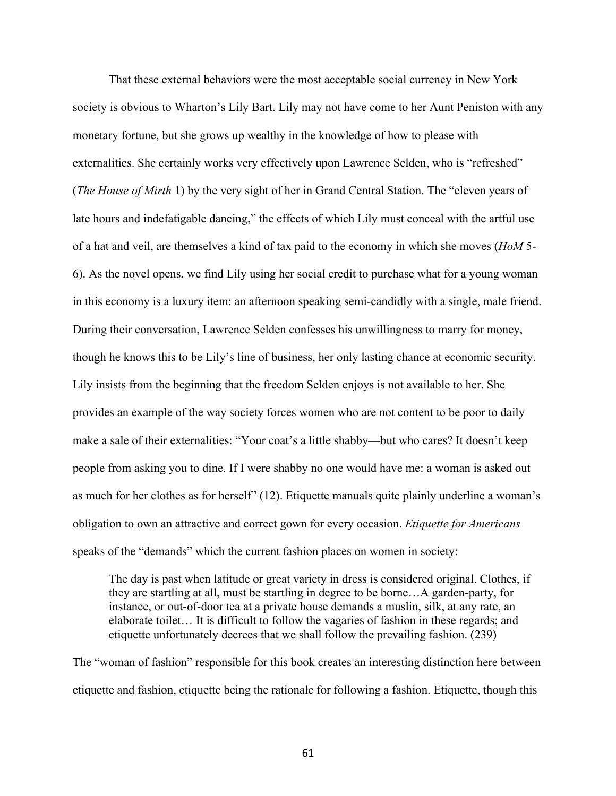That these external behaviors were the most acceptable social currency in New York society is obvious to Wharton's Lily Bart. Lily may not have come to her Aunt Peniston with any monetary fortune, but she grows up wealthy in the knowledge of how to please with externalities. She certainly works very effectively upon Lawrence Selden, who is "refreshed" (*The House of Mirth* 1) by the very sight of her in Grand Central Station. The "eleven years of late hours and indefatigable dancing," the effects of which Lily must conceal with the artful use of a hat and veil, are themselves a kind of tax paid to the economy in which she moves (*HoM* 5- 6). As the novel opens, we find Lily using her social credit to purchase what for a young woman in this economy is a luxury item: an afternoon speaking semi-candidly with a single, male friend. During their conversation, Lawrence Selden confesses his unwillingness to marry for money, though he knows this to be Lily's line of business, her only lasting chance at economic security. Lily insists from the beginning that the freedom Selden enjoys is not available to her. She provides an example of the way society forces women who are not content to be poor to daily make a sale of their externalities: "Your coat's a little shabby—but who cares? It doesn't keep people from asking you to dine. If I were shabby no one would have me: a woman is asked out as much for her clothes as for herself" (12). Etiquette manuals quite plainly underline a woman's obligation to own an attractive and correct gown for every occasion. *Etiquette for Americans*  speaks of the "demands" which the current fashion places on women in society:

The day is past when latitude or great variety in dress is considered original. Clothes, if they are startling at all, must be startling in degree to be borne…A garden-party, for instance, or out-of-door tea at a private house demands a muslin, silk, at any rate, an elaborate toilet… It is difficult to follow the vagaries of fashion in these regards; and etiquette unfortunately decrees that we shall follow the prevailing fashion. (239)

The "woman of fashion" responsible for this book creates an interesting distinction here between etiquette and fashion, etiquette being the rationale for following a fashion. Etiquette, though this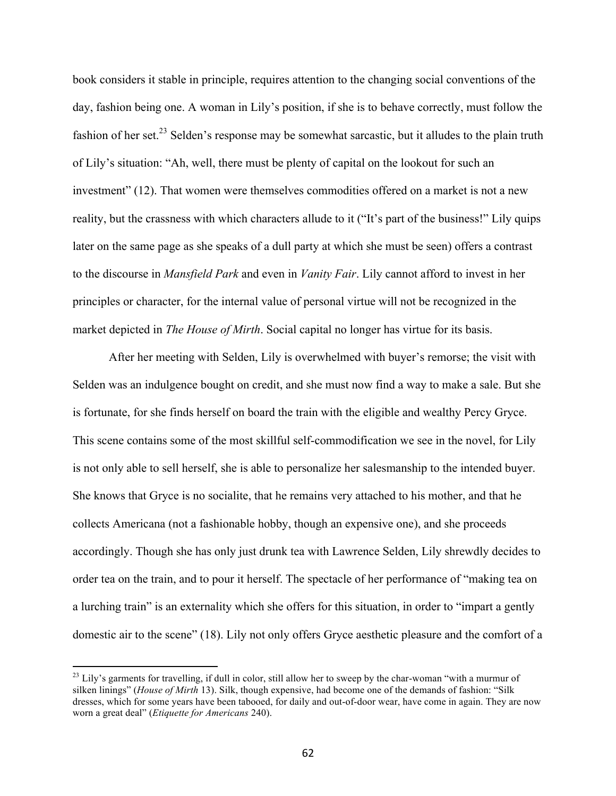book considers it stable in principle, requires attention to the changing social conventions of the day, fashion being one. A woman in Lily's position, if she is to behave correctly, must follow the fashion of her set.<sup>23</sup> Selden's response may be somewhat sarcastic, but it alludes to the plain truth of Lily's situation: "Ah, well, there must be plenty of capital on the lookout for such an investment" (12). That women were themselves commodities offered on a market is not a new reality, but the crassness with which characters allude to it ("It's part of the business!" Lily quips later on the same page as she speaks of a dull party at which she must be seen) offers a contrast to the discourse in *Mansfield Park* and even in *Vanity Fair*. Lily cannot afford to invest in her principles or character, for the internal value of personal virtue will not be recognized in the market depicted in *The House of Mirth*. Social capital no longer has virtue for its basis.

After her meeting with Selden, Lily is overwhelmed with buyer's remorse; the visit with Selden was an indulgence bought on credit, and she must now find a way to make a sale. But she is fortunate, for she finds herself on board the train with the eligible and wealthy Percy Gryce. This scene contains some of the most skillful self-commodification we see in the novel, for Lily is not only able to sell herself, she is able to personalize her salesmanship to the intended buyer. She knows that Gryce is no socialite, that he remains very attached to his mother, and that he collects Americana (not a fashionable hobby, though an expensive one), and she proceeds accordingly. Though she has only just drunk tea with Lawrence Selden, Lily shrewdly decides to order tea on the train, and to pour it herself. The spectacle of her performance of "making tea on a lurching train" is an externality which she offers for this situation, in order to "impart a gently domestic air to the scene" (18). Lily not only offers Gryce aesthetic pleasure and the comfort of a

 $^{23}$  Lily's garments for travelling, if dull in color, still allow her to sweep by the char-woman "with a murmur of silken linings" (*House of Mirth* 13). Silk, though expensive, had become one of the demands of fashion: "Silk dresses, which for some years have been tabooed, for daily and out-of-door wear, have come in again. They are now worn a great deal" (*Etiquette for Americans* 240).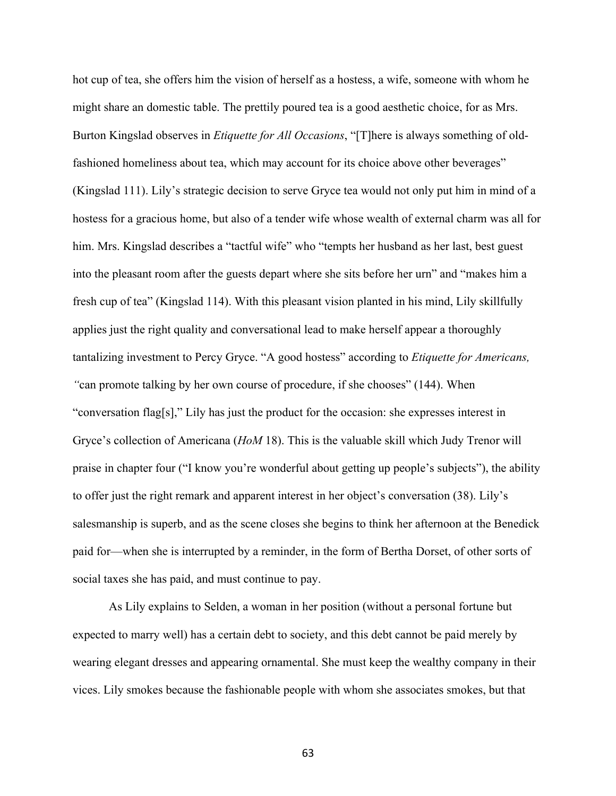hot cup of tea, she offers him the vision of herself as a hostess, a wife, someone with whom he might share an domestic table. The prettily poured tea is a good aesthetic choice, for as Mrs. Burton Kingslad observes in *Etiquette for All Occasions*, "[T]here is always something of oldfashioned homeliness about tea, which may account for its choice above other beverages" (Kingslad 111). Lily's strategic decision to serve Gryce tea would not only put him in mind of a hostess for a gracious home, but also of a tender wife whose wealth of external charm was all for him. Mrs. Kingslad describes a "tactful wife" who "tempts her husband as her last, best guest into the pleasant room after the guests depart where she sits before her urn" and "makes him a fresh cup of tea" (Kingslad 114). With this pleasant vision planted in his mind, Lily skillfully applies just the right quality and conversational lead to make herself appear a thoroughly tantalizing investment to Percy Gryce. "A good hostess" according to *Etiquette for Americans, "*can promote talking by her own course of procedure, if she chooses" (144). When "conversation flag[s]," Lily has just the product for the occasion: she expresses interest in Gryce's collection of Americana (*HoM* 18). This is the valuable skill which Judy Trenor will praise in chapter four ("I know you're wonderful about getting up people's subjects"), the ability to offer just the right remark and apparent interest in her object's conversation (38). Lily's salesmanship is superb, and as the scene closes she begins to think her afternoon at the Benedick paid for—when she is interrupted by a reminder, in the form of Bertha Dorset, of other sorts of social taxes she has paid, and must continue to pay.

As Lily explains to Selden, a woman in her position (without a personal fortune but expected to marry well) has a certain debt to society, and this debt cannot be paid merely by wearing elegant dresses and appearing ornamental. She must keep the wealthy company in their vices. Lily smokes because the fashionable people with whom she associates smokes, but that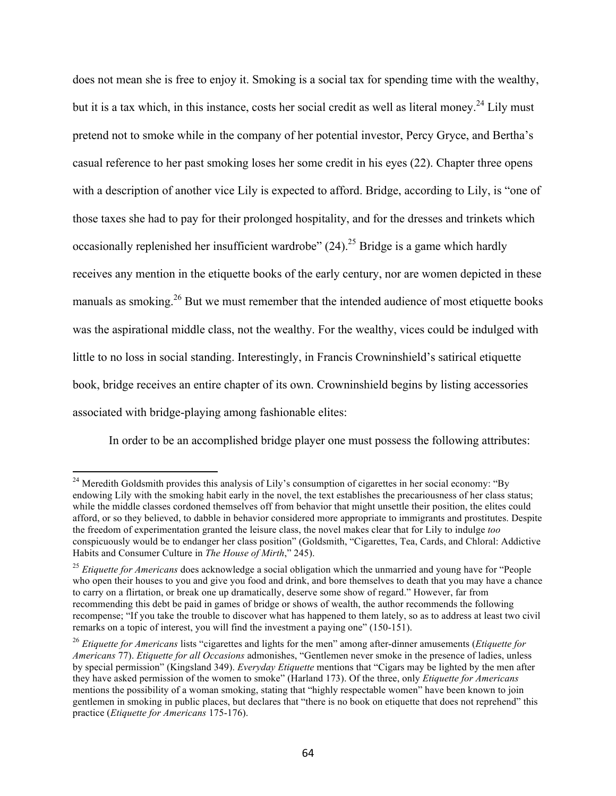does not mean she is free to enjoy it. Smoking is a social tax for spending time with the wealthy, but it is a tax which, in this instance, costs her social credit as well as literal money.<sup>24</sup> Lily must pretend not to smoke while in the company of her potential investor, Percy Gryce, and Bertha's casual reference to her past smoking loses her some credit in his eyes (22). Chapter three opens with a description of another vice Lily is expected to afford. Bridge, according to Lily, is "one of those taxes she had to pay for their prolonged hospitality, and for the dresses and trinkets which occasionally replenished her insufficient wardrobe"  $(24)$ .<sup>25</sup> Bridge is a game which hardly receives any mention in the etiquette books of the early century, nor are women depicted in these manuals as smoking.<sup>26</sup> But we must remember that the intended audience of most etiquette books was the aspirational middle class, not the wealthy. For the wealthy, vices could be indulged with little to no loss in social standing. Interestingly, in Francis Crowninshield's satirical etiquette book, bridge receives an entire chapter of its own. Crowninshield begins by listing accessories associated with bridge-playing among fashionable elites:

In order to be an accomplished bridge player one must possess the following attributes:

<sup>&</sup>lt;sup>24</sup> Meredith Goldsmith provides this analysis of Lily's consumption of cigarettes in her social economy: "By endowing Lily with the smoking habit early in the novel, the text establishes the precariousness of her class status; while the middle classes cordoned themselves off from behavior that might unsettle their position, the elites could afford, or so they believed, to dabble in behavior considered more appropriate to immigrants and prostitutes. Despite the freedom of experimentation granted the leisure class, the novel makes clear that for Lily to indulge *too*  conspicuously would be to endanger her class position" (Goldsmith, "Cigarettes, Tea, Cards, and Chloral: Addictive Habits and Consumer Culture in *The House of Mirth*," 245).

<sup>&</sup>lt;sup>25</sup> *Etiquette for Americans* does acknowledge a social obligation which the unmarried and young have for "People who open their houses to you and give you food and drink, and bore themselves to death that you may have a chance to carry on a flirtation, or break one up dramatically, deserve some show of regard." However, far from recommending this debt be paid in games of bridge or shows of wealth, the author recommends the following recompense; "If you take the trouble to discover what has happened to them lately, so as to address at least two civil remarks on a topic of interest, you will find the investment a paying one" (150-151).

<sup>26</sup> *Etiquette for Americans* lists "cigarettes and lights for the men" among after-dinner amusements (*Etiquette for Americans* 77). *Etiquette for all Occasions* admonishes, "Gentlemen never smoke in the presence of ladies, unless by special permission" (Kingsland 349). *Everyday Etiquette* mentions that "Cigars may be lighted by the men after they have asked permission of the women to smoke" (Harland 173). Of the three, only *Etiquette for Americans*  mentions the possibility of a woman smoking, stating that "highly respectable women" have been known to join gentlemen in smoking in public places, but declares that "there is no book on etiquette that does not reprehend" this practice (*Etiquette for Americans* 175-176).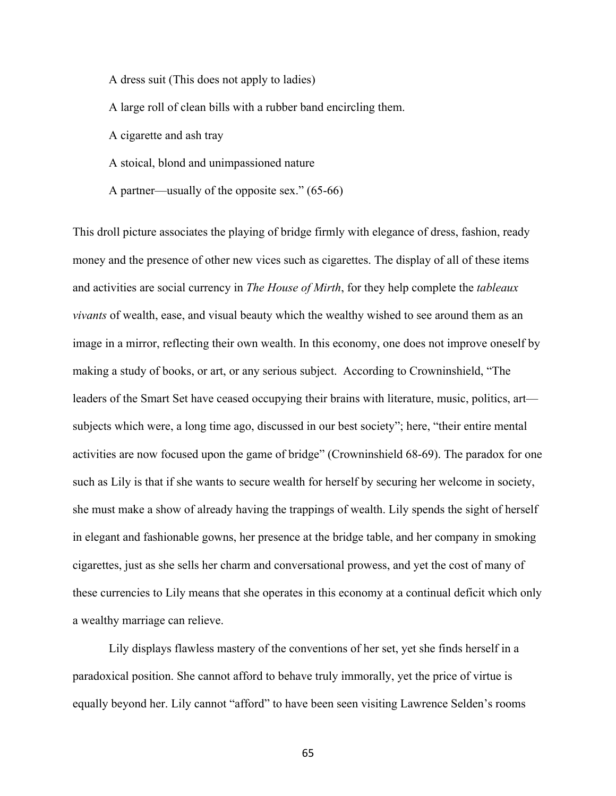A dress suit (This does not apply to ladies)

A large roll of clean bills with a rubber band encircling them.

A cigarette and ash tray

A stoical, blond and unimpassioned nature

A partner—usually of the opposite sex." (65-66)

This droll picture associates the playing of bridge firmly with elegance of dress, fashion, ready money and the presence of other new vices such as cigarettes. The display of all of these items and activities are social currency in *The House of Mirth*, for they help complete the *tableaux vivants* of wealth, ease, and visual beauty which the wealthy wished to see around them as an image in a mirror, reflecting their own wealth. In this economy, one does not improve oneself by making a study of books, or art, or any serious subject. According to Crowninshield, "The leaders of the Smart Set have ceased occupying their brains with literature, music, politics, art subjects which were, a long time ago, discussed in our best society"; here, "their entire mental activities are now focused upon the game of bridge" (Crowninshield 68-69). The paradox for one such as Lily is that if she wants to secure wealth for herself by securing her welcome in society, she must make a show of already having the trappings of wealth. Lily spends the sight of herself in elegant and fashionable gowns, her presence at the bridge table, and her company in smoking cigarettes, just as she sells her charm and conversational prowess, and yet the cost of many of these currencies to Lily means that she operates in this economy at a continual deficit which only a wealthy marriage can relieve.

Lily displays flawless mastery of the conventions of her set, yet she finds herself in a paradoxical position. She cannot afford to behave truly immorally, yet the price of virtue is equally beyond her. Lily cannot "afford" to have been seen visiting Lawrence Selden's rooms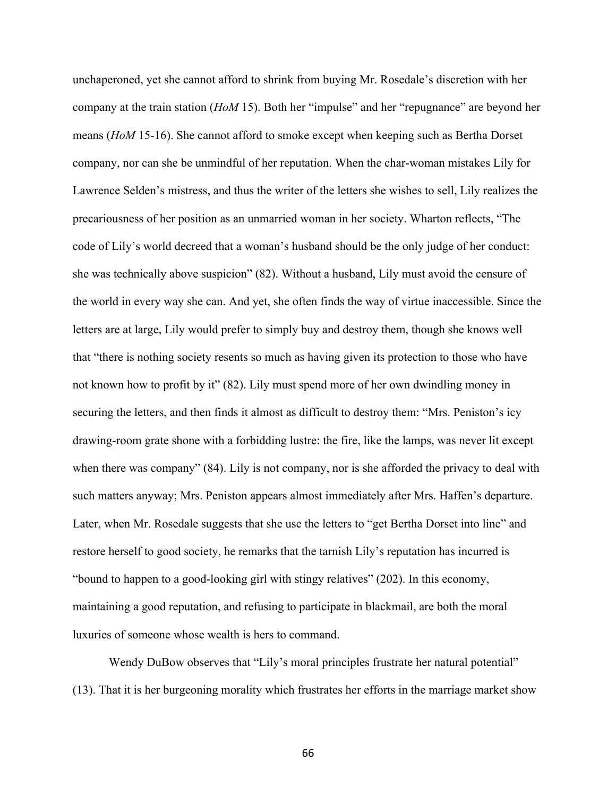unchaperoned, yet she cannot afford to shrink from buying Mr. Rosedale's discretion with her company at the train station (*HoM* 15). Both her "impulse" and her "repugnance" are beyond her means (*HoM* 15-16). She cannot afford to smoke except when keeping such as Bertha Dorset company, nor can she be unmindful of her reputation. When the char-woman mistakes Lily for Lawrence Selden's mistress, and thus the writer of the letters she wishes to sell, Lily realizes the precariousness of her position as an unmarried woman in her society. Wharton reflects, "The code of Lily's world decreed that a woman's husband should be the only judge of her conduct: she was technically above suspicion" (82). Without a husband, Lily must avoid the censure of the world in every way she can. And yet, she often finds the way of virtue inaccessible. Since the letters are at large, Lily would prefer to simply buy and destroy them, though she knows well that "there is nothing society resents so much as having given its protection to those who have not known how to profit by it" (82). Lily must spend more of her own dwindling money in securing the letters, and then finds it almost as difficult to destroy them: "Mrs. Peniston's icy drawing-room grate shone with a forbidding lustre: the fire, like the lamps, was never lit except when there was company" (84). Lily is not company, nor is she afforded the privacy to deal with such matters anyway; Mrs. Peniston appears almost immediately after Mrs. Haffen's departure. Later, when Mr. Rosedale suggests that she use the letters to "get Bertha Dorset into line" and restore herself to good society, he remarks that the tarnish Lily's reputation has incurred is "bound to happen to a good-looking girl with stingy relatives" (202). In this economy, maintaining a good reputation, and refusing to participate in blackmail, are both the moral luxuries of someone whose wealth is hers to command.

Wendy DuBow observes that "Lily's moral principles frustrate her natural potential" (13). That it is her burgeoning morality which frustrates her efforts in the marriage market show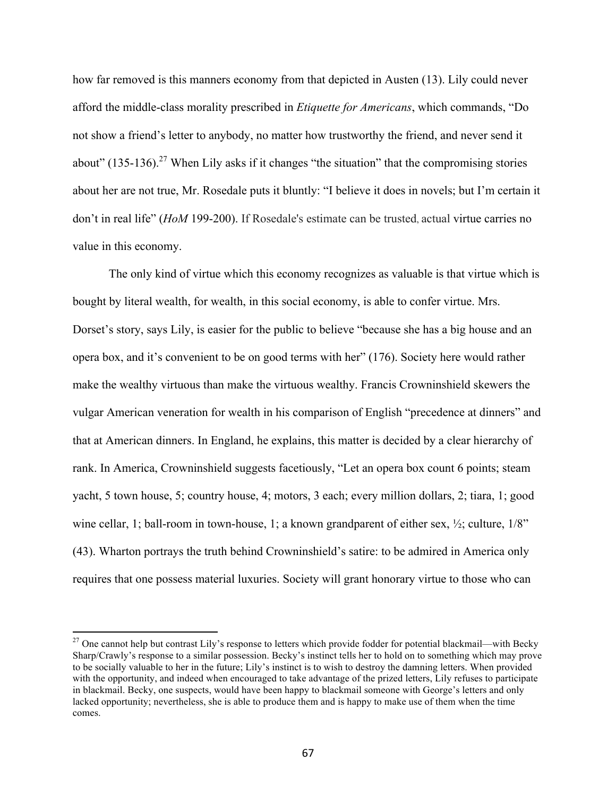how far removed is this manners economy from that depicted in Austen (13). Lily could never afford the middle-class morality prescribed in *Etiquette for Americans*, which commands, "Do not show a friend's letter to anybody, no matter how trustworthy the friend, and never send it about" (135-136).<sup>27</sup> When Lily asks if it changes "the situation" that the compromising stories about her are not true, Mr. Rosedale puts it bluntly: "I believe it does in novels; but I'm certain it don't in real life" (*HoM* 199-200). If Rosedale's estimate can be trusted, actual virtue carries no value in this economy.

The only kind of virtue which this economy recognizes as valuable is that virtue which is bought by literal wealth, for wealth, in this social economy, is able to confer virtue. Mrs. Dorset's story, says Lily, is easier for the public to believe "because she has a big house and an opera box, and it's convenient to be on good terms with her" (176). Society here would rather make the wealthy virtuous than make the virtuous wealthy. Francis Crowninshield skewers the vulgar American veneration for wealth in his comparison of English "precedence at dinners" and that at American dinners. In England, he explains, this matter is decided by a clear hierarchy of rank. In America, Crowninshield suggests facetiously, "Let an opera box count 6 points; steam yacht, 5 town house, 5; country house, 4; motors, 3 each; every million dollars, 2; tiara, 1; good wine cellar, 1; ball-room in town-house, 1; a known grandparent of either sex,  $\frac{1}{2}$ ; culture,  $1/8$ " (43). Wharton portrays the truth behind Crowninshield's satire: to be admired in America only requires that one possess material luxuries. Society will grant honorary virtue to those who can

 $27$  One cannot help but contrast Lily's response to letters which provide fodder for potential blackmail—with Becky Sharp/Crawly's response to a similar possession. Becky's instinct tells her to hold on to something which may prove to be socially valuable to her in the future; Lily's instinct is to wish to destroy the damning letters. When provided with the opportunity, and indeed when encouraged to take advantage of the prized letters, Lily refuses to participate in blackmail. Becky, one suspects, would have been happy to blackmail someone with George's letters and only lacked opportunity; nevertheless, she is able to produce them and is happy to make use of them when the time comes.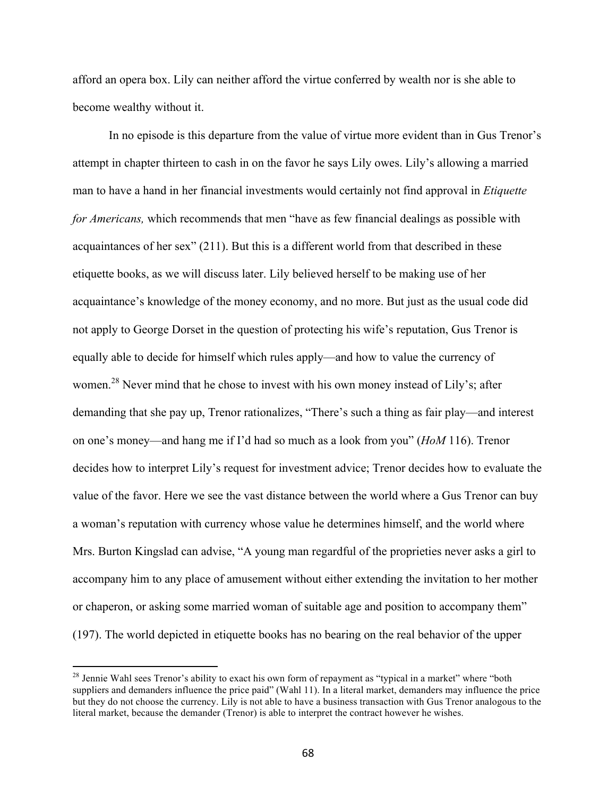afford an opera box. Lily can neither afford the virtue conferred by wealth nor is she able to become wealthy without it.

In no episode is this departure from the value of virtue more evident than in Gus Trenor's attempt in chapter thirteen to cash in on the favor he says Lily owes. Lily's allowing a married man to have a hand in her financial investments would certainly not find approval in *Etiquette for Americans,* which recommends that men "have as few financial dealings as possible with acquaintances of her sex" (211). But this is a different world from that described in these etiquette books, as we will discuss later. Lily believed herself to be making use of her acquaintance's knowledge of the money economy, and no more. But just as the usual code did not apply to George Dorset in the question of protecting his wife's reputation, Gus Trenor is equally able to decide for himself which rules apply—and how to value the currency of women.<sup>28</sup> Never mind that he chose to invest with his own money instead of Lily's; after demanding that she pay up, Trenor rationalizes, "There's such a thing as fair play—and interest on one's money—and hang me if I'd had so much as a look from you" (*HoM* 116). Trenor decides how to interpret Lily's request for investment advice; Trenor decides how to evaluate the value of the favor. Here we see the vast distance between the world where a Gus Trenor can buy a woman's reputation with currency whose value he determines himself, and the world where Mrs. Burton Kingslad can advise, "A young man regardful of the proprieties never asks a girl to accompany him to any place of amusement without either extending the invitation to her mother or chaperon, or asking some married woman of suitable age and position to accompany them" (197). The world depicted in etiquette books has no bearing on the real behavior of the upper

<sup>&</sup>lt;sup>28</sup> Jennie Wahl sees Trenor's ability to exact his own form of repayment as "typical in a market" where "both suppliers and demanders influence the price paid" (Wahl 11). In a literal market, demanders may influence the price but they do not choose the currency. Lily is not able to have a business transaction with Gus Trenor analogous to the literal market, because the demander (Trenor) is able to interpret the contract however he wishes.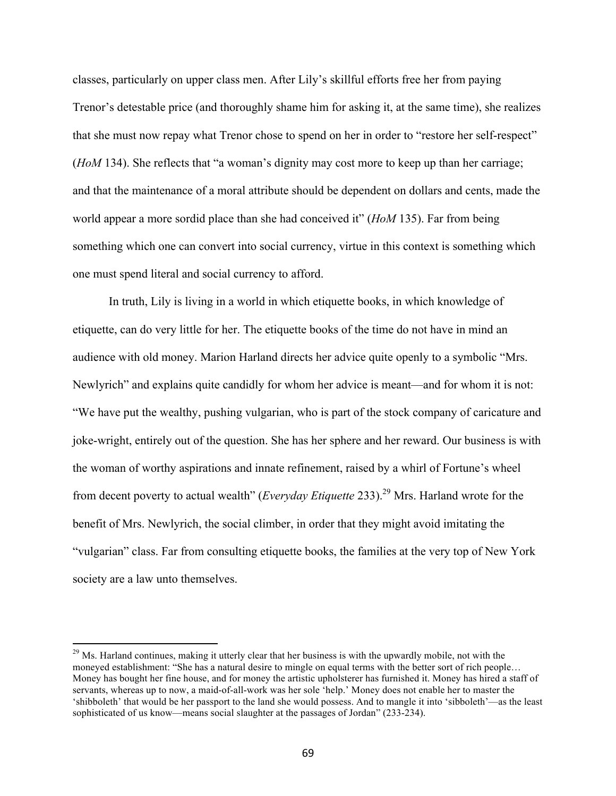classes, particularly on upper class men. After Lily's skillful efforts free her from paying Trenor's detestable price (and thoroughly shame him for asking it, at the same time), she realizes that she must now repay what Trenor chose to spend on her in order to "restore her self-respect" (*HoM* 134). She reflects that "a woman's dignity may cost more to keep up than her carriage; and that the maintenance of a moral attribute should be dependent on dollars and cents, made the world appear a more sordid place than she had conceived it" (*HoM* 135). Far from being something which one can convert into social currency, virtue in this context is something which one must spend literal and social currency to afford.

In truth, Lily is living in a world in which etiquette books, in which knowledge of etiquette, can do very little for her. The etiquette books of the time do not have in mind an audience with old money. Marion Harland directs her advice quite openly to a symbolic "Mrs. Newlyrich" and explains quite candidly for whom her advice is meant—and for whom it is not: "We have put the wealthy, pushing vulgarian, who is part of the stock company of caricature and joke-wright, entirely out of the question. She has her sphere and her reward. Our business is with the woman of worthy aspirations and innate refinement, raised by a whirl of Fortune's wheel from decent poverty to actual wealth" (*Everyday Etiquette* 233). <sup>29</sup> Mrs. Harland wrote for the benefit of Mrs. Newlyrich, the social climber, in order that they might avoid imitating the "vulgarian" class. Far from consulting etiquette books, the families at the very top of New York society are a law unto themselves.

<sup>&</sup>lt;sup>29</sup> Ms. Harland continues, making it utterly clear that her business is with the upwardly mobile, not with the moneyed establishment: "She has a natural desire to mingle on equal terms with the better sort of rich people… Money has bought her fine house, and for money the artistic upholsterer has furnished it. Money has hired a staff of servants, whereas up to now, a maid-of-all-work was her sole 'help.' Money does not enable her to master the 'shibboleth' that would be her passport to the land she would possess. And to mangle it into 'sibboleth'—as the least sophisticated of us know—means social slaughter at the passages of Jordan" (233-234).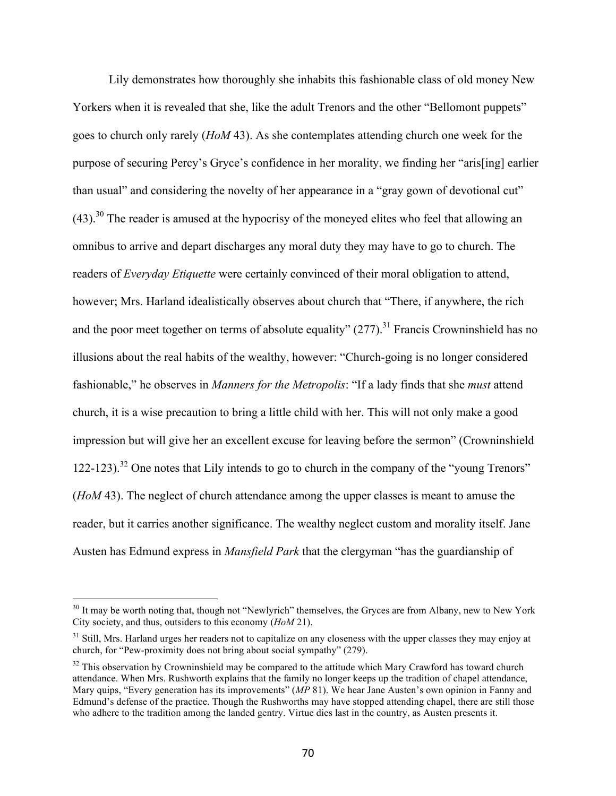Lily demonstrates how thoroughly she inhabits this fashionable class of old money New Yorkers when it is revealed that she, like the adult Trenors and the other "Bellomont puppets" goes to church only rarely (*HoM* 43). As she contemplates attending church one week for the purpose of securing Percy's Gryce's confidence in her morality, we finding her "aris[ing] earlier than usual" and considering the novelty of her appearance in a "gray gown of devotional cut"  $(43)$ <sup>30</sup> The reader is amused at the hypocrisy of the moneyed elites who feel that allowing an omnibus to arrive and depart discharges any moral duty they may have to go to church. The readers of *Everyday Etiquette* were certainly convinced of their moral obligation to attend, however; Mrs. Harland idealistically observes about church that "There, if anywhere, the rich and the poor meet together on terms of absolute equality"  $(277)$ .<sup>31</sup> Francis Crowninshield has no illusions about the real habits of the wealthy, however: "Church-going is no longer considered fashionable," he observes in *Manners for the Metropolis*: "If a lady finds that she *must* attend church, it is a wise precaution to bring a little child with her. This will not only make a good impression but will give her an excellent excuse for leaving before the sermon" (Crowninshield 122-123). <sup>32</sup> One notes that Lily intends to go to church in the company of the "young Trenors" (*HoM* 43). The neglect of church attendance among the upper classes is meant to amuse the reader, but it carries another significance. The wealthy neglect custom and morality itself. Jane Austen has Edmund express in *Mansfield Park* that the clergyman "has the guardianship of

<sup>&</sup>lt;sup>30</sup> It may be worth noting that, though not "Newlyrich" themselves, the Gryces are from Albany, new to New York City society, and thus, outsiders to this economy (*HoM* 21).

 $31$  Still, Mrs. Harland urges her readers not to capitalize on any closeness with the upper classes they may enjoy at church, for "Pew-proximity does not bring about social sympathy" (279).

 $32$  This observation by Crowninshield may be compared to the attitude which Mary Crawford has toward church attendance. When Mrs. Rushworth explains that the family no longer keeps up the tradition of chapel attendance, Mary quips, "Every generation has its improvements" (*MP* 81). We hear Jane Austen's own opinion in Fanny and Edmund's defense of the practice. Though the Rushworths may have stopped attending chapel, there are still those who adhere to the tradition among the landed gentry. Virtue dies last in the country, as Austen presents it.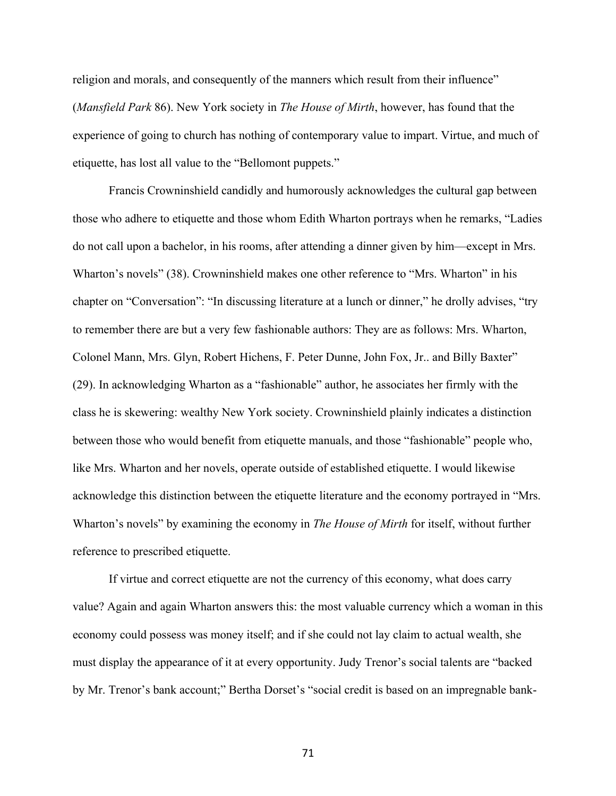religion and morals, and consequently of the manners which result from their influence" (*Mansfield Park* 86). New York society in *The House of Mirth*, however, has found that the experience of going to church has nothing of contemporary value to impart. Virtue, and much of etiquette, has lost all value to the "Bellomont puppets."

Francis Crowninshield candidly and humorously acknowledges the cultural gap between those who adhere to etiquette and those whom Edith Wharton portrays when he remarks, "Ladies do not call upon a bachelor, in his rooms, after attending a dinner given by him—except in Mrs. Wharton's novels" (38). Crowninshield makes one other reference to "Mrs. Wharton" in his chapter on "Conversation": "In discussing literature at a lunch or dinner," he drolly advises, "try to remember there are but a very few fashionable authors: They are as follows: Mrs. Wharton, Colonel Mann, Mrs. Glyn, Robert Hichens, F. Peter Dunne, John Fox, Jr.. and Billy Baxter" (29). In acknowledging Wharton as a "fashionable" author, he associates her firmly with the class he is skewering: wealthy New York society. Crowninshield plainly indicates a distinction between those who would benefit from etiquette manuals, and those "fashionable" people who, like Mrs. Wharton and her novels, operate outside of established etiquette. I would likewise acknowledge this distinction between the etiquette literature and the economy portrayed in "Mrs. Wharton's novels" by examining the economy in *The House of Mirth* for itself, without further reference to prescribed etiquette.

If virtue and correct etiquette are not the currency of this economy, what does carry value? Again and again Wharton answers this: the most valuable currency which a woman in this economy could possess was money itself; and if she could not lay claim to actual wealth, she must display the appearance of it at every opportunity. Judy Trenor's social talents are "backed by Mr. Trenor's bank account;" Bertha Dorset's "social credit is based on an impregnable bank-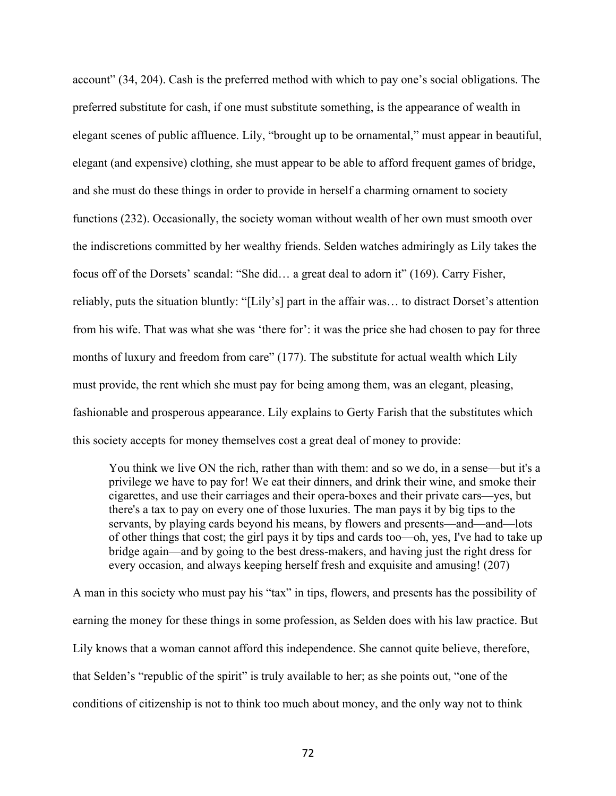account" (34, 204). Cash is the preferred method with which to pay one's social obligations. The preferred substitute for cash, if one must substitute something, is the appearance of wealth in elegant scenes of public affluence. Lily, "brought up to be ornamental," must appear in beautiful, elegant (and expensive) clothing, she must appear to be able to afford frequent games of bridge, and she must do these things in order to provide in herself a charming ornament to society functions (232). Occasionally, the society woman without wealth of her own must smooth over the indiscretions committed by her wealthy friends. Selden watches admiringly as Lily takes the focus off of the Dorsets' scandal: "She did… a great deal to adorn it" (169). Carry Fisher, reliably, puts the situation bluntly: "[Lily's] part in the affair was… to distract Dorset's attention from his wife. That was what she was 'there for': it was the price she had chosen to pay for three months of luxury and freedom from care" (177). The substitute for actual wealth which Lily must provide, the rent which she must pay for being among them, was an elegant, pleasing, fashionable and prosperous appearance. Lily explains to Gerty Farish that the substitutes which this society accepts for money themselves cost a great deal of money to provide:

You think we live ON the rich, rather than with them: and so we do, in a sense—but it's a privilege we have to pay for! We eat their dinners, and drink their wine, and smoke their cigarettes, and use their carriages and their opera-boxes and their private cars—yes, but there's a tax to pay on every one of those luxuries. The man pays it by big tips to the servants, by playing cards beyond his means, by flowers and presents—and—and—lots of other things that cost; the girl pays it by tips and cards too—oh, yes, I've had to take up bridge again—and by going to the best dress-makers, and having just the right dress for every occasion, and always keeping herself fresh and exquisite and amusing! (207)

A man in this society who must pay his "tax" in tips, flowers, and presents has the possibility of earning the money for these things in some profession, as Selden does with his law practice. But Lily knows that a woman cannot afford this independence. She cannot quite believe, therefore, that Selden's "republic of the spirit" is truly available to her; as she points out, "one of the conditions of citizenship is not to think too much about money, and the only way not to think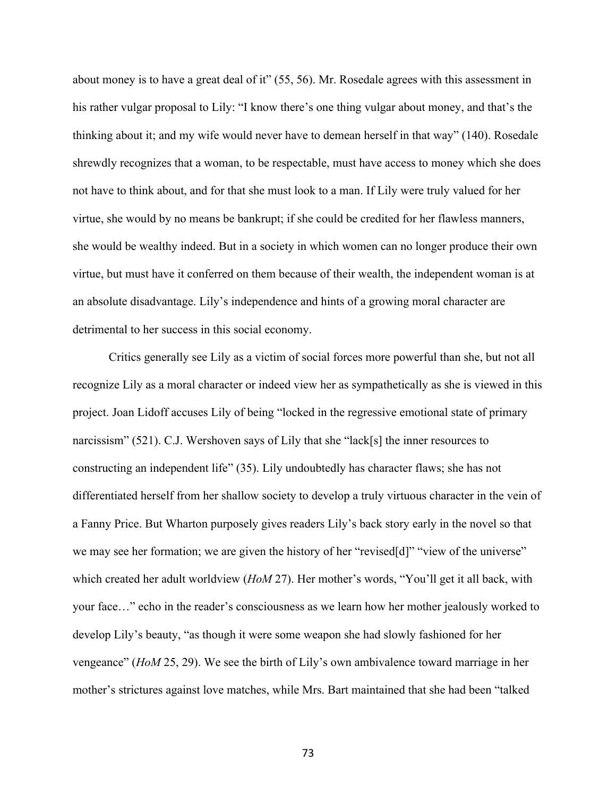about money is to have a great deal of it" (55, 56). Mr. Rosedale agrees with this assessment in his rather vulgar proposal to Lily: "I know there's one thing vulgar about money, and that's the thinking about it; and my wife would never have to demean herself in that way" (140). Rosedale shrewdly recognizes that a woman, to be respectable, must have access to money which she does not have to think about, and for that she must look to a man. If Lily were truly valued for her virtue, she would by no means be bankrupt; if she could be credited for her flawless manners, she would be wealthy indeed. But in a society in which women can no longer produce their own virtue, but must have it conferred on them because of their wealth, the independent woman is at an absolute disadvantage. Lily's independence and hints of a growing moral character are detrimental to her success in this social economy.

Critics generally see Lily as a victim of social forces more powerful than she, but not all recognize Lily as a moral character or indeed view her as sympathetically as she is viewed in this project. Joan Lidoff accuses Lily of being "locked in the regressive emotional state of primary narcissism" (521). C.J. Wershoven says of Lily that she "lack[s] the inner resources to constructing an independent life" (35). Lily undoubtedly has character flaws; she has not differentiated herself from her shallow society to develop a truly virtuous character in the vein of a Fanny Price. But Wharton purposely gives readers Lily's back story early in the novel so that we may see her formation; we are given the history of her "revised[d]" "view of the universe" which created her adult worldview (*HoM* 27). Her mother's words, "You'll get it all back, with your face…" echo in the reader's consciousness as we learn how her mother jealously worked to develop Lily's beauty, "as though it were some weapon she had slowly fashioned for her vengeance" (*HoM* 25, 29). We see the birth of Lily's own ambivalence toward marriage in her mother's strictures against love matches, while Mrs. Bart maintained that she had been "talked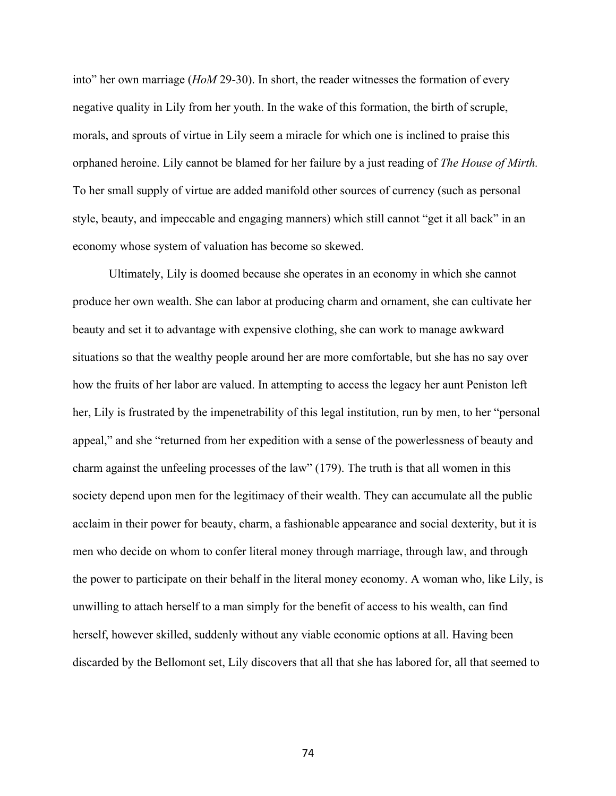into" her own marriage (*HoM* 29-30). In short, the reader witnesses the formation of every negative quality in Lily from her youth. In the wake of this formation, the birth of scruple, morals, and sprouts of virtue in Lily seem a miracle for which one is inclined to praise this orphaned heroine. Lily cannot be blamed for her failure by a just reading of *The House of Mirth.*  To her small supply of virtue are added manifold other sources of currency (such as personal style, beauty, and impeccable and engaging manners) which still cannot "get it all back" in an economy whose system of valuation has become so skewed.

Ultimately, Lily is doomed because she operates in an economy in which she cannot produce her own wealth. She can labor at producing charm and ornament, she can cultivate her beauty and set it to advantage with expensive clothing, she can work to manage awkward situations so that the wealthy people around her are more comfortable, but she has no say over how the fruits of her labor are valued. In attempting to access the legacy her aunt Peniston left her, Lily is frustrated by the impenetrability of this legal institution, run by men, to her "personal appeal," and she "returned from her expedition with a sense of the powerlessness of beauty and charm against the unfeeling processes of the law" (179). The truth is that all women in this society depend upon men for the legitimacy of their wealth. They can accumulate all the public acclaim in their power for beauty, charm, a fashionable appearance and social dexterity, but it is men who decide on whom to confer literal money through marriage, through law, and through the power to participate on their behalf in the literal money economy. A woman who, like Lily, is unwilling to attach herself to a man simply for the benefit of access to his wealth, can find herself, however skilled, suddenly without any viable economic options at all. Having been discarded by the Bellomont set, Lily discovers that all that she has labored for, all that seemed to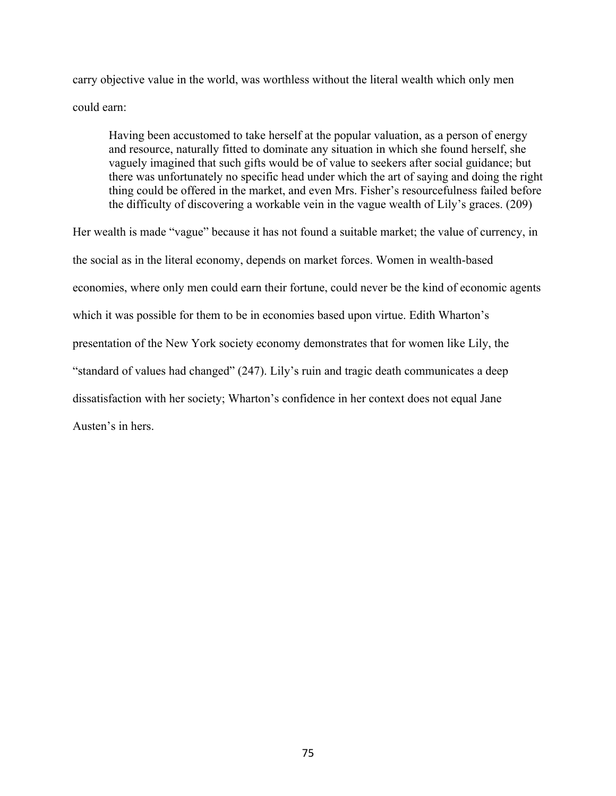carry objective value in the world, was worthless without the literal wealth which only men could earn:

Having been accustomed to take herself at the popular valuation, as a person of energy and resource, naturally fitted to dominate any situation in which she found herself, she vaguely imagined that such gifts would be of value to seekers after social guidance; but there was unfortunately no specific head under which the art of saying and doing the right thing could be offered in the market, and even Mrs. Fisher's resourcefulness failed before the difficulty of discovering a workable vein in the vague wealth of Lily's graces. (209)

Her wealth is made "vague" because it has not found a suitable market; the value of currency, in the social as in the literal economy, depends on market forces. Women in wealth-based economies, where only men could earn their fortune, could never be the kind of economic agents which it was possible for them to be in economies based upon virtue. Edith Wharton's presentation of the New York society economy demonstrates that for women like Lily, the "standard of values had changed" (247). Lily's ruin and tragic death communicates a deep dissatisfaction with her society; Wharton's confidence in her context does not equal Jane Austen's in hers.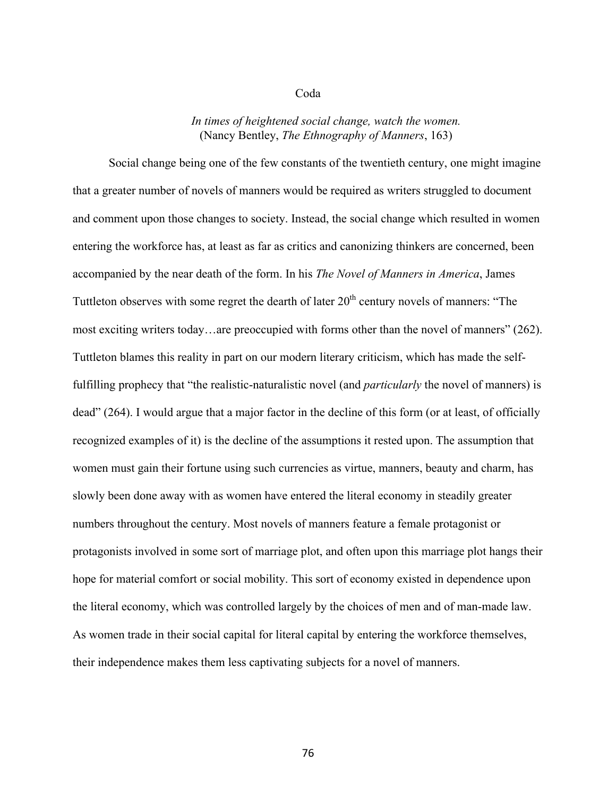## Coda

## *In times of heightened social change, watch the women.* (Nancy Bentley, *The Ethnography of Manners*, 163)

Social change being one of the few constants of the twentieth century, one might imagine that a greater number of novels of manners would be required as writers struggled to document and comment upon those changes to society. Instead, the social change which resulted in women entering the workforce has, at least as far as critics and canonizing thinkers are concerned, been accompanied by the near death of the form. In his *The Novel of Manners in America*, James Tuttleton observes with some regret the dearth of later  $20<sup>th</sup>$  century novels of manners: "The most exciting writers today…are preoccupied with forms other than the novel of manners" (262). Tuttleton blames this reality in part on our modern literary criticism, which has made the selffulfilling prophecy that "the realistic-naturalistic novel (and *particularly* the novel of manners) is dead" (264). I would argue that a major factor in the decline of this form (or at least, of officially recognized examples of it) is the decline of the assumptions it rested upon. The assumption that women must gain their fortune using such currencies as virtue, manners, beauty and charm, has slowly been done away with as women have entered the literal economy in steadily greater numbers throughout the century. Most novels of manners feature a female protagonist or protagonists involved in some sort of marriage plot, and often upon this marriage plot hangs their hope for material comfort or social mobility. This sort of economy existed in dependence upon the literal economy, which was controlled largely by the choices of men and of man-made law. As women trade in their social capital for literal capital by entering the workforce themselves, their independence makes them less captivating subjects for a novel of manners.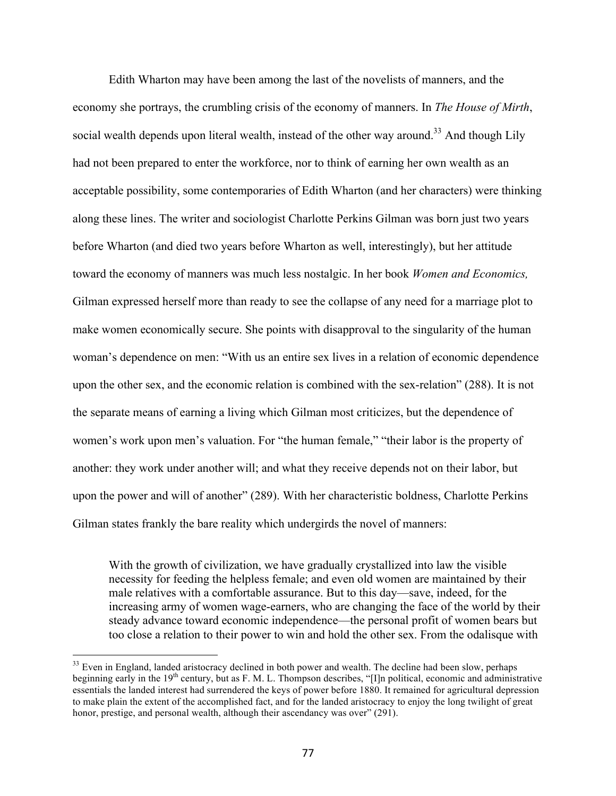Edith Wharton may have been among the last of the novelists of manners, and the economy she portrays, the crumbling crisis of the economy of manners. In *The House of Mirth*, social wealth depends upon literal wealth, instead of the other way around.<sup>33</sup> And though Lily had not been prepared to enter the workforce, nor to think of earning her own wealth as an acceptable possibility, some contemporaries of Edith Wharton (and her characters) were thinking along these lines. The writer and sociologist Charlotte Perkins Gilman was born just two years before Wharton (and died two years before Wharton as well, interestingly), but her attitude toward the economy of manners was much less nostalgic. In her book *Women and Economics,*  Gilman expressed herself more than ready to see the collapse of any need for a marriage plot to make women economically secure. She points with disapproval to the singularity of the human woman's dependence on men: "With us an entire sex lives in a relation of economic dependence upon the other sex, and the economic relation is combined with the sex-relation" (288). It is not the separate means of earning a living which Gilman most criticizes, but the dependence of women's work upon men's valuation. For "the human female," "their labor is the property of another: they work under another will; and what they receive depends not on their labor, but upon the power and will of another" (289). With her characteristic boldness, Charlotte Perkins Gilman states frankly the bare reality which undergirds the novel of manners:

With the growth of civilization, we have gradually crystallized into law the visible necessity for feeding the helpless female; and even old women are maintained by their male relatives with a comfortable assurance. But to this day—save, indeed, for the increasing army of women wage-earners, who are changing the face of the world by their steady advance toward economic independence—the personal profit of women bears but too close a relation to their power to win and hold the other sex. From the odalisque with

<sup>&</sup>lt;sup>33</sup> Even in England, landed aristocracy declined in both power and wealth. The decline had been slow, perhaps beginning early in the 19<sup>th</sup> century, but as F. M. L. Thompson describes, "[I]n political, economic and administrative essentials the landed interest had surrendered the keys of power before 1880. It remained for agricultural depression to make plain the extent of the accomplished fact, and for the landed aristocracy to enjoy the long twilight of great honor, prestige, and personal wealth, although their ascendancy was over" (291).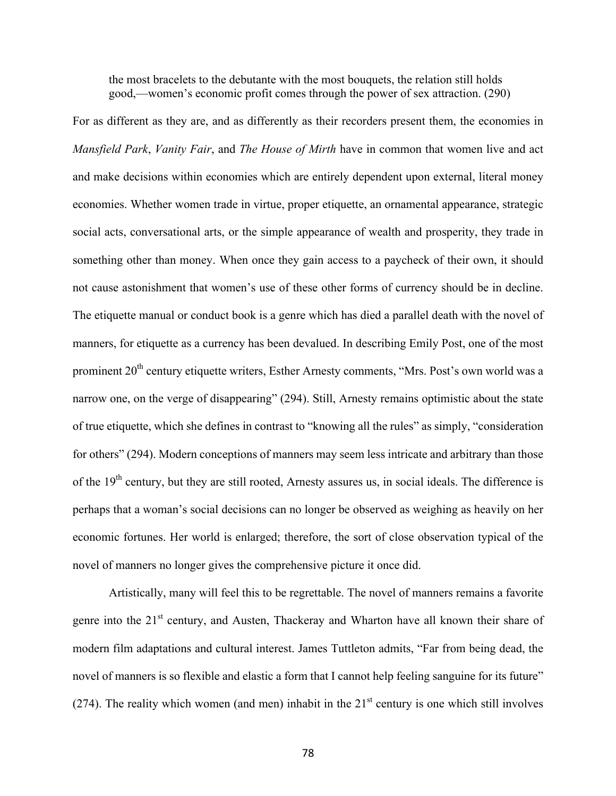the most bracelets to the debutante with the most bouquets, the relation still holds good,—women's economic profit comes through the power of sex attraction. (290)

For as different as they are, and as differently as their recorders present them, the economies in *Mansfield Park*, *Vanity Fair*, and *The House of Mirth* have in common that women live and act and make decisions within economies which are entirely dependent upon external, literal money economies. Whether women trade in virtue, proper etiquette, an ornamental appearance, strategic social acts, conversational arts, or the simple appearance of wealth and prosperity, they trade in something other than money. When once they gain access to a paycheck of their own, it should not cause astonishment that women's use of these other forms of currency should be in decline. The etiquette manual or conduct book is a genre which has died a parallel death with the novel of manners, for etiquette as a currency has been devalued. In describing Emily Post, one of the most prominent 20<sup>th</sup> century etiquette writers, Esther Arnesty comments, "Mrs. Post's own world was a narrow one, on the verge of disappearing" (294). Still, Arnesty remains optimistic about the state of true etiquette, which she defines in contrast to "knowing all the rules" as simply, "consideration for others" (294). Modern conceptions of manners may seem less intricate and arbitrary than those of the 19<sup>th</sup> century, but they are still rooted, Arnesty assures us, in social ideals. The difference is perhaps that a woman's social decisions can no longer be observed as weighing as heavily on her economic fortunes. Her world is enlarged; therefore, the sort of close observation typical of the novel of manners no longer gives the comprehensive picture it once did.

Artistically, many will feel this to be regrettable. The novel of manners remains a favorite genre into the 21<sup>st</sup> century, and Austen, Thackeray and Wharton have all known their share of modern film adaptations and cultural interest. James Tuttleton admits, "Far from being dead, the novel of manners is so flexible and elastic a form that I cannot help feeling sanguine for its future" (274). The reality which women (and men) inhabit in the  $21<sup>st</sup>$  century is one which still involves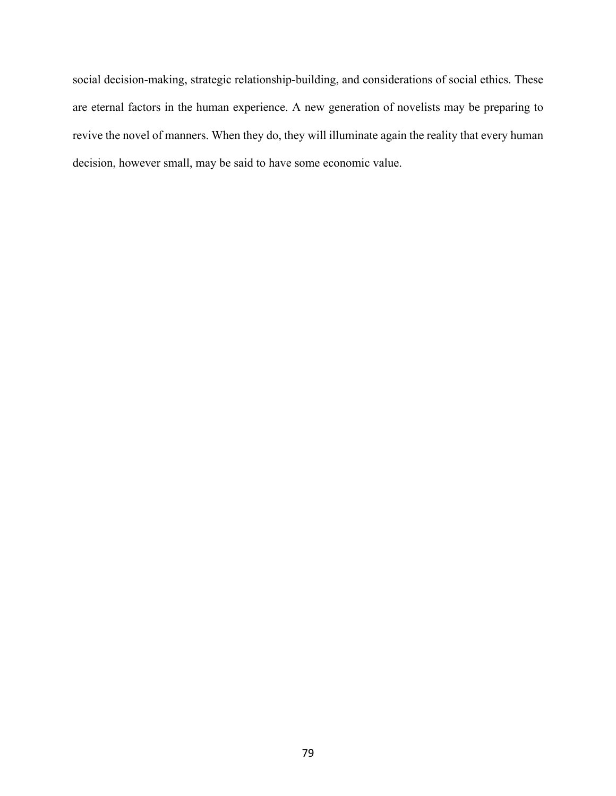social decision-making, strategic relationship-building, and considerations of social ethics. These are eternal factors in the human experience. A new generation of novelists may be preparing to revive the novel of manners. When they do, they will illuminate again the reality that every human decision, however small, may be said to have some economic value.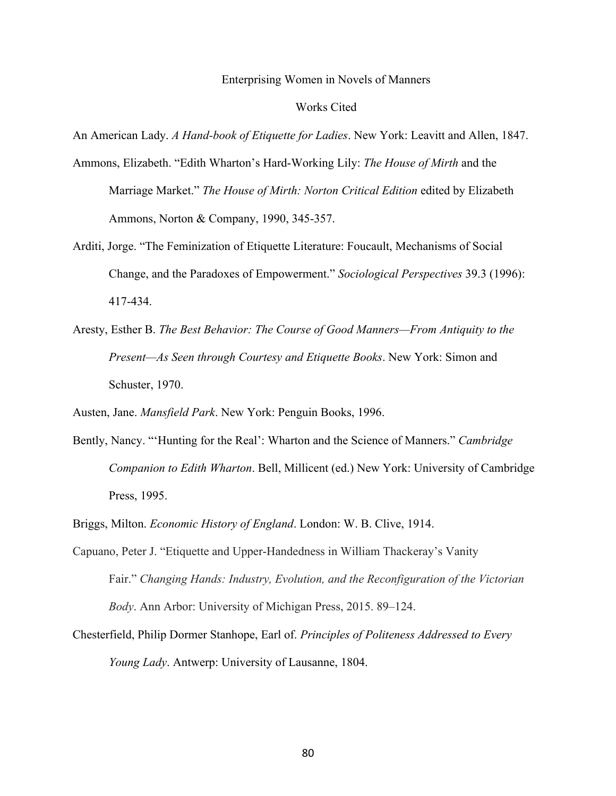## Enterprising Women in Novels of Manners

## Works Cited

An American Lady. *A Hand-book of Etiquette for Ladies*. New York: Leavitt and Allen, 1847.

- Ammons, Elizabeth. "Edith Wharton's Hard-Working Lily: *The House of Mirth* and the Marriage Market." *The House of Mirth: Norton Critical Edition* edited by Elizabeth Ammons, Norton & Company, 1990, 345-357.
- Arditi, Jorge. "The Feminization of Etiquette Literature: Foucault, Mechanisms of Social Change, and the Paradoxes of Empowerment." *Sociological Perspectives* 39.3 (1996): 417-434.
- Aresty, Esther B. *The Best Behavior: The Course of Good Manners—From Antiquity to the Present—As Seen through Courtesy and Etiquette Books*. New York: Simon and Schuster, 1970.

Austen, Jane. *Mansfield Park*. New York: Penguin Books, 1996.

- Bently, Nancy. "'Hunting for the Real': Wharton and the Science of Manners." *Cambridge Companion to Edith Wharton*. Bell, Millicent (ed.) New York: University of Cambridge Press, 1995.
- Briggs, Milton. *Economic History of England*. London: W. B. Clive, 1914.
- Capuano, Peter J. "Etiquette and Upper-Handedness in William Thackeray's Vanity Fair." *Changing Hands: Industry, Evolution, and the Reconfiguration of the Victorian Body*. Ann Arbor: University of Michigan Press, 2015. 89–124.
- Chesterfield, Philip Dormer Stanhope, Earl of. *Principles of Politeness Addressed to Every Young Lady*. Antwerp: University of Lausanne, 1804.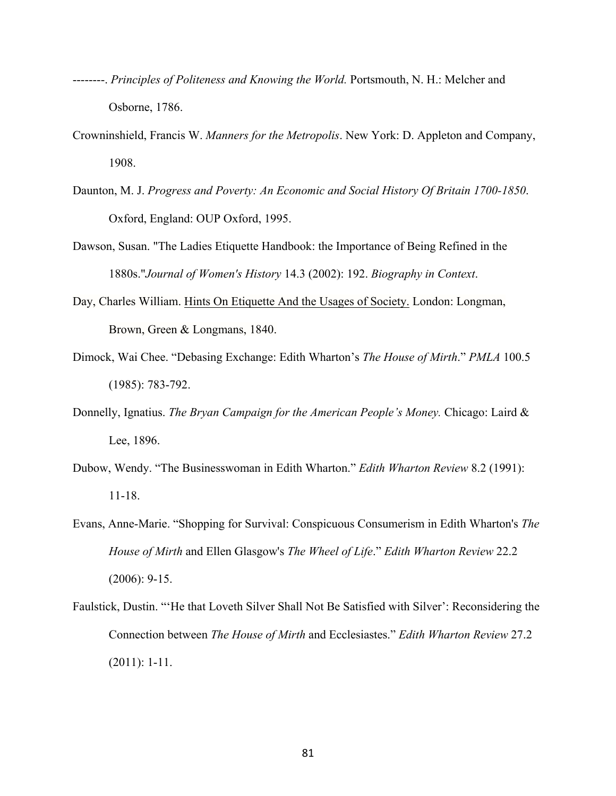- --------. *Principles of Politeness and Knowing the World.* Portsmouth, N. H.: Melcher and Osborne, 1786.
- Crowninshield, Francis W. *Manners for the Metropolis*. New York: D. Appleton and Company, 1908.
- Daunton, M. J. *Progress and Poverty: An Economic and Social History Of Britain 1700-1850*. Oxford, England: OUP Oxford, 1995.
- Dawson, Susan. "The Ladies Etiquette Handbook: the Importance of Being Refined in the 1880s."*Journal of Women's History* 14.3 (2002): 192. *Biography in Context*.
- Day, Charles William. Hints On Etiquette And the Usages of Society. London: Longman, Brown, Green & Longmans, 1840.
- Dimock, Wai Chee. "Debasing Exchange: Edith Wharton's *The House of Mirth*." *PMLA* 100.5 (1985): 783-792.
- Donnelly, Ignatius. *The Bryan Campaign for the American People's Money.* Chicago: Laird & Lee, 1896.
- Dubow, Wendy. "The Businesswoman in Edith Wharton." *Edith Wharton Review* 8.2 (1991): 11-18.
- Evans, Anne-Marie. "Shopping for Survival: Conspicuous Consumerism in Edith Wharton's *The House of Mirth* and Ellen Glasgow's *The Wheel of Life*." *Edith Wharton Review* 22.2 (2006): 9-15.
- Faulstick, Dustin. "'He that Loveth Silver Shall Not Be Satisfied with Silver': Reconsidering the Connection between *The House of Mirth* and Ecclesiastes." *Edith Wharton Review* 27.2 (2011): 1-11.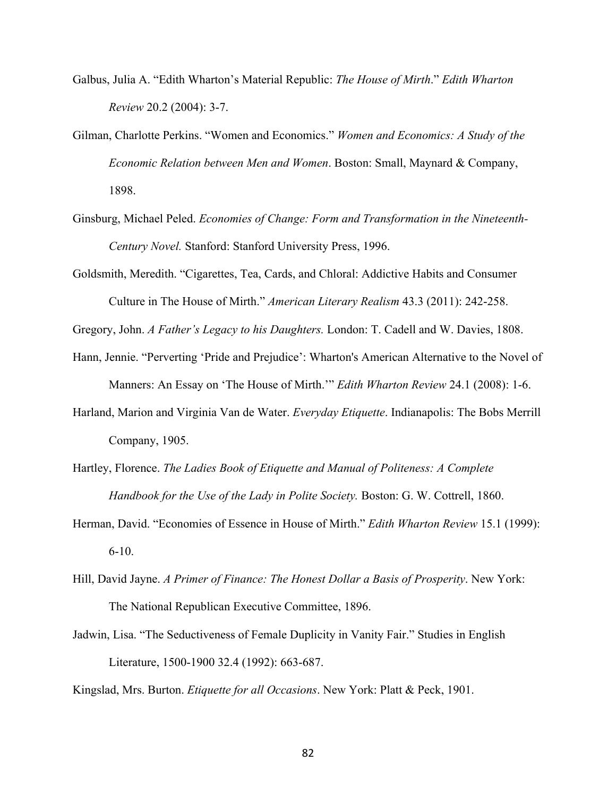- Galbus, Julia A. "Edith Wharton's Material Republic: *The House of Mirth*." *Edith Wharton Review* 20.2 (2004): 3-7.
- Gilman, Charlotte Perkins. "Women and Economics." *Women and Economics: A Study of the Economic Relation between Men and Women*. Boston: Small, Maynard & Company, 1898.
- Ginsburg, Michael Peled. *Economies of Change: Form and Transformation in the Nineteenth-Century Novel.* Stanford: Stanford University Press, 1996.
- Goldsmith, Meredith. "Cigarettes, Tea, Cards, and Chloral: Addictive Habits and Consumer Culture in The House of Mirth." *American Literary Realism* 43.3 (2011): 242-258.

Gregory, John. *A Father's Legacy to his Daughters.* London: T. Cadell and W. Davies, 1808.

- Hann, Jennie. "Perverting 'Pride and Prejudice': Wharton's American Alternative to the Novel of Manners: An Essay on 'The House of Mirth.'" *Edith Wharton Review* 24.1 (2008): 1-6.
- Harland, Marion and Virginia Van de Water. *Everyday Etiquette*. Indianapolis: The Bobs Merrill Company, 1905.
- Hartley, Florence. *The Ladies Book of Etiquette and Manual of Politeness: A Complete Handbook for the Use of the Lady in Polite Society.* Boston: G. W. Cottrell, 1860.
- Herman, David. "Economies of Essence in House of Mirth." *Edith Wharton Review* 15.1 (1999): 6-10.
- Hill, David Jayne. *A Primer of Finance: The Honest Dollar a Basis of Prosperity*. New York: The National Republican Executive Committee, 1896.
- Jadwin, Lisa. "The Seductiveness of Female Duplicity in Vanity Fair." Studies in English Literature, 1500-1900 32.4 (1992): 663-687.

Kingslad, Mrs. Burton. *Etiquette for all Occasions*. New York: Platt & Peck, 1901.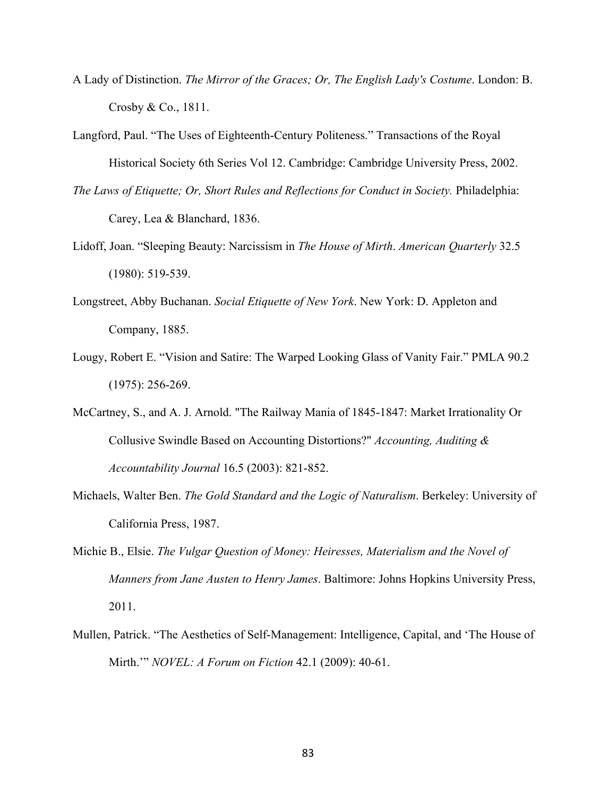- A Lady of Distinction. *The Mirror of the Graces; Or, The English Lady's Costume*. London: B. Crosby & Co., 1811.
- Langford, Paul. "The Uses of Eighteenth-Century Politeness." Transactions of the Royal Historical Society 6th Series Vol 12. Cambridge: Cambridge University Press, 2002.
- *The Laws of Etiquette; Or, Short Rules and Reflections for Conduct in Society.* Philadelphia: Carey, Lea & Blanchard, 1836.
- Lidoff, Joan. "Sleeping Beauty: Narcissism in *The House of Mirth*. *American Quarterly* 32.5 (1980): 519-539.
- Longstreet, Abby Buchanan. *Social Etiquette of New York*. New York: D. Appleton and Company, 1885.
- Lougy, Robert E. "Vision and Satire: The Warped Looking Glass of Vanity Fair." PMLA 90.2 (1975): 256-269.
- McCartney, S., and A. J. Arnold. "The Railway Mania of 1845-1847: Market Irrationality Or Collusive Swindle Based on Accounting Distortions?" *Accounting, Auditing & Accountability Journal* 16.5 (2003): 821-852.
- Michaels, Walter Ben. *The Gold Standard and the Logic of Naturalism*. Berkeley: University of California Press, 1987.
- Michie B., Elsie. *The Vulgar Question of Money: Heiresses, Materialism and the Novel of Manners from Jane Austen to Henry James*. Baltimore: Johns Hopkins University Press, 2011.
- Mullen, Patrick. "The Aesthetics of Self-Management: Intelligence, Capital, and 'The House of Mirth.'" *NOVEL: A Forum on Fiction* 42.1 (2009): 40-61.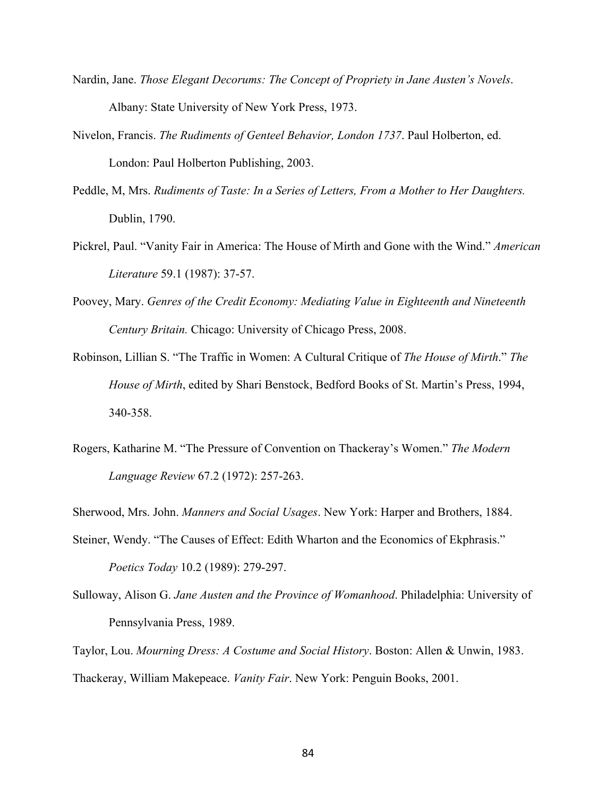- Nardin, Jane. *Those Elegant Decorums: The Concept of Propriety in Jane Austen's Novels*. Albany: State University of New York Press, 1973.
- Nivelon, Francis. *The Rudiments of Genteel Behavior, London 1737*. Paul Holberton, ed. London: Paul Holberton Publishing, 2003.
- Peddle, M, Mrs. *Rudiments of Taste: In a Series of Letters, From a Mother to Her Daughters.*  Dublin, 1790.
- Pickrel, Paul. "Vanity Fair in America: The House of Mirth and Gone with the Wind." *American Literature* 59.1 (1987): 37-57.
- Poovey, Mary. *Genres of the Credit Economy: Mediating Value in Eighteenth and Nineteenth Century Britain.* Chicago: University of Chicago Press, 2008.
- Robinson, Lillian S. "The Traffic in Women: A Cultural Critique of *The House of Mirth*." *The House of Mirth*, edited by Shari Benstock, Bedford Books of St. Martin's Press, 1994, 340-358.
- Rogers, Katharine M. "The Pressure of Convention on Thackeray's Women." *The Modern Language Review* 67.2 (1972): 257-263.

Sherwood, Mrs. John. *Manners and Social Usages*. New York: Harper and Brothers, 1884.

- Steiner, Wendy. "The Causes of Effect: Edith Wharton and the Economics of Ekphrasis." *Poetics Today* 10.2 (1989): 279-297.
- Sulloway, Alison G. *Jane Austen and the Province of Womanhood*. Philadelphia: University of Pennsylvania Press, 1989.

Taylor, Lou. *Mourning Dress: A Costume and Social History*. Boston: Allen & Unwin, 1983. Thackeray, William Makepeace. *Vanity Fair*. New York: Penguin Books, 2001.